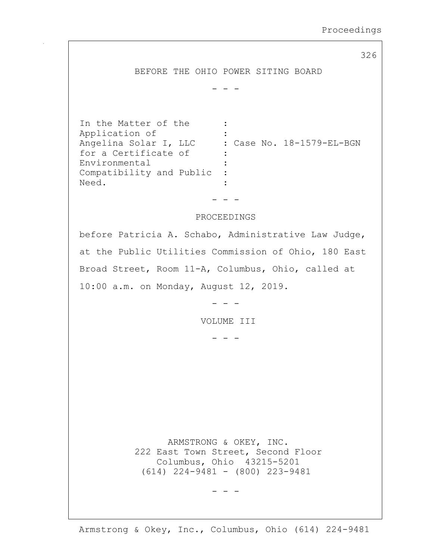326

BEFORE THE OHIO POWER SITING BOARD

- - -

In the Matter of the : Application of : Angelina Solar I, LLC : Case No. 18-1579-EL-BGN for a Certificate of : Environmental : Compatibility and Public : Need.

## PROCEEDINGS

- - -

before Patricia A. Schabo, Administrative Law Judge, at the Public Utilities Commission of Ohio, 180 East Broad Street, Room 11-A, Columbus, Ohio, called at 10:00 a.m. on Monday, August 12, 2019.

- - -

VOLUME III

- - -

 ARMSTRONG & OKEY, INC. 222 East Town Street, Second Floor Columbus, Ohio 43215-5201 (614) 224-9481 - (800) 223-9481

- - -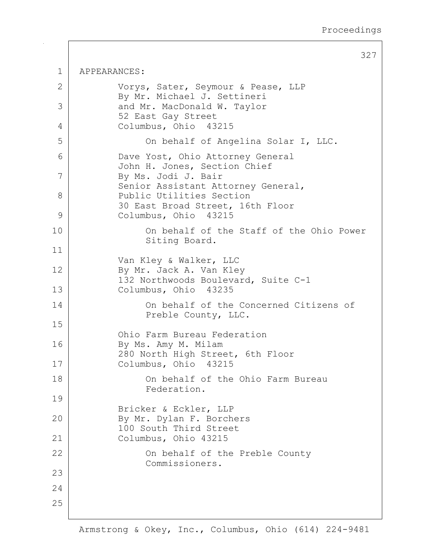327 1 APPEARANCES: 2 | Vorys, Sater, Seymour & Pease, LLP By Mr. Michael J. Settineri 3 and Mr. MacDonald W. Taylor 52 East Gay Street 4 Columbus, Ohio 43215 5 On behalf of Angelina Solar I, LLC. 6 Dave Yost, Ohio Attorney General John H. Jones, Section Chief 7 By Ms. Jodi J. Bair Senior Assistant Attorney General, 8 Public Utilities Section 30 East Broad Street, 16th Floor 9 Columbus, Ohio 43215 10 On behalf of the Staff of the Ohio Power Siting Board. 11 Van Kley & Walker, LLC 12 By Mr. Jack A. Van Kley 132 Northwoods Boulevard, Suite C-1 13 Columbus, Ohio 43235 14 On behalf of the Concerned Citizens of Preble County, LLC. 15 Ohio Farm Bureau Federation 16 By Ms. Amy M. Milam 280 North High Street, 6th Floor 17 Columbus, Ohio 43215 18 On behalf of the Ohio Farm Bureau Federation. 19 Bricker & Eckler, LLP 20 By Mr. Dylan F. Borchers 100 South Third Street 21 Columbus, Ohio 43215 22 | Con behalf of the Preble County Commissioners. 23 24 25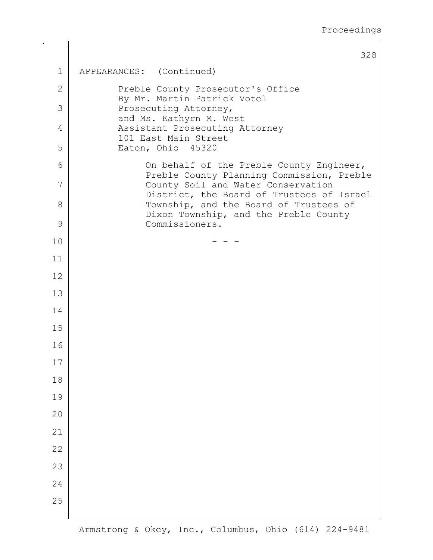|              | 328                                                                                   |
|--------------|---------------------------------------------------------------------------------------|
| 1            | APPEARANCES: (Continued)                                                              |
| $\mathbf{2}$ | Preble County Prosecutor's Office<br>By Mr. Martin Patrick Votel                      |
| 3            | Prosecuting Attorney,<br>and Ms. Kathyrn M. West                                      |
| 4            | Assistant Prosecuting Attorney<br>101 East Main Street                                |
| 5            | Eaton, Ohio 45320                                                                     |
| 6            | On behalf of the Preble County Engineer,<br>Preble County Planning Commission, Preble |
| 7            | County Soil and Water Conservation<br>District, the Board of Trustees of Israel       |
| 8            | Township, and the Board of Trustees of<br>Dixon Township, and the Preble County       |
| 9            | Commissioners.                                                                        |
| 10           |                                                                                       |
| 11           |                                                                                       |
| 12           |                                                                                       |
| 13           |                                                                                       |
| 14           |                                                                                       |
| 15           |                                                                                       |
| 16           |                                                                                       |
| 17           |                                                                                       |
| 18           |                                                                                       |
| 19           |                                                                                       |
| 20           |                                                                                       |
| 21           |                                                                                       |
| 22           |                                                                                       |
| 23           |                                                                                       |
| 24           |                                                                                       |
| 25           |                                                                                       |
|              |                                                                                       |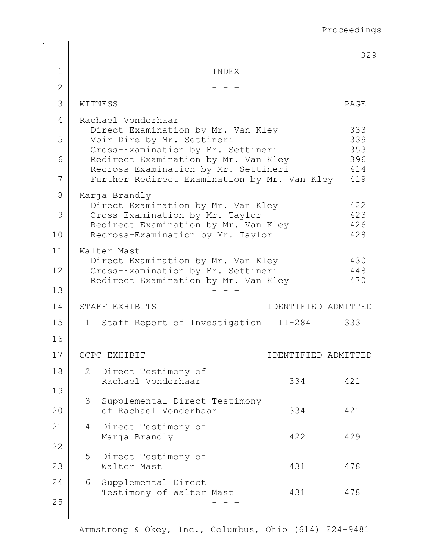|                |                |                                                                                      |                     | 329        |
|----------------|----------------|--------------------------------------------------------------------------------------|---------------------|------------|
| 1              |                | INDEX                                                                                |                     |            |
| $\overline{2}$ |                |                                                                                      |                     |            |
| 3              |                | WITNESS                                                                              |                     | PAGE       |
| 4              |                | Rachael Vonderhaar                                                                   |                     |            |
| 5              |                | Direct Examination by Mr. Van Kley<br>Voir Dire by Mr. Settineri                     |                     | 333<br>339 |
| 6              |                | Cross-Examination by Mr. Settineri<br>Redirect Examination by Mr. Van Kley           |                     | 353<br>396 |
| 7              |                | Recross-Examination by Mr. Settineri<br>Further Redirect Examination by Mr. Van Kley |                     | 414<br>419 |
| 8              |                | Marja Brandly                                                                        |                     |            |
| 9              |                | Direct Examination by Mr. Van Kley<br>Cross-Examination by Mr. Taylor                |                     | 422<br>423 |
|                |                | Redirect Examination by Mr. Van Kley                                                 |                     | 426        |
| 10             |                | Recross-Examination by Mr. Taylor                                                    |                     | 428        |
| 11             |                | Walter Mast<br>Direct Examination by Mr. Van Kley                                    |                     | 430        |
| 12             |                | Cross-Examination by Mr. Settineri<br>Redirect Examination by Mr. Van Kley           |                     | 448<br>470 |
| 13             |                |                                                                                      |                     |            |
| 14             |                | STAFF EXHIBITS                                                                       | IDENTIFIED ADMITTED |            |
| 15             | $\mathbf{1}$   | Staff Report of Investigation II-284                                                 |                     | 333        |
| 16             |                |                                                                                      |                     |            |
| 17             |                | CCPC EXHIBIT                                                                         | IDENTIFIED ADMITTED |            |
| 18             | $\overline{2}$ | Direct Testimony of<br>Rachael Vonderhaar                                            | 334                 | 421        |
| 19             |                |                                                                                      |                     |            |
| 20             | 3              | Supplemental Direct Testimony<br>of Rachael Vonderhaar                               | 334                 | 421        |
| 21             | 4              | Direct Testimony of                                                                  |                     |            |
| 22             |                | Marja Brandly                                                                        | 422                 | 429        |
| 23             | 5              | Direct Testimony of<br>Walter Mast                                                   | 431                 | 478        |
| 24             | 6              | Supplemental Direct<br>Testimony of Walter Mast                                      | 431                 | 478        |
| 25             |                |                                                                                      |                     |            |

 $\mathsf{r}$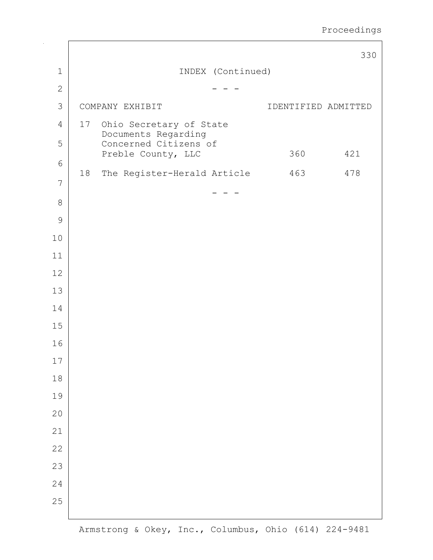|                |    |                                              |                   |                     | 330 |
|----------------|----|----------------------------------------------|-------------------|---------------------|-----|
| $\mathbf 1$    |    |                                              | INDEX (Continued) |                     |     |
| $\mathbf{2}$   |    |                                              |                   |                     |     |
| 3              |    | COMPANY EXHIBIT                              |                   | IDENTIFIED ADMITTED |     |
| $\overline{4}$ |    | 17 Ohio Secretary of State                   |                   |                     |     |
| 5              |    | Documents Regarding<br>Concerned Citizens of |                   |                     |     |
| 6              |    | Preble County, LLC                           |                   | 360                 | 421 |
| 7              | 18 | The Register-Herald Article                  |                   | 463                 | 478 |
| $\,8\,$        |    |                                              |                   |                     |     |
| $\mathcal{G}$  |    |                                              |                   |                     |     |
| 10             |    |                                              |                   |                     |     |
| 11             |    |                                              |                   |                     |     |
| 12             |    |                                              |                   |                     |     |
| 13             |    |                                              |                   |                     |     |
| 14             |    |                                              |                   |                     |     |
| 15             |    |                                              |                   |                     |     |
| 16             |    |                                              |                   |                     |     |
| $17\,$         |    |                                              |                   |                     |     |
| $18$           |    |                                              |                   |                     |     |
| 19             |    |                                              |                   |                     |     |
| 20             |    |                                              |                   |                     |     |
| 21             |    |                                              |                   |                     |     |
| 22             |    |                                              |                   |                     |     |
| 23             |    |                                              |                   |                     |     |
| 24             |    |                                              |                   |                     |     |
| 25             |    |                                              |                   |                     |     |
|                |    |                                              |                   |                     |     |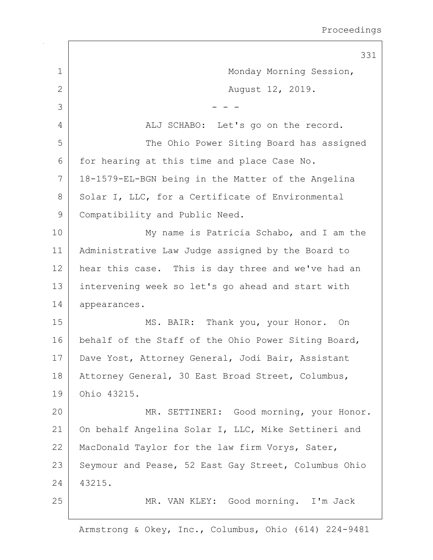|                | 331                                                  |
|----------------|------------------------------------------------------|
| $\mathbf 1$    | Monday Morning Session,                              |
| $\overline{2}$ | August 12, 2019.                                     |
| 3              |                                                      |
| 4              | ALJ SCHABO: Let's go on the record.                  |
| 5              | The Ohio Power Siting Board has assigned             |
| 6              | for hearing at this time and place Case No.          |
| 7              | 18-1579-EL-BGN being in the Matter of the Angelina   |
| 8              | Solar I, LLC, for a Certificate of Environmental     |
| 9              | Compatibility and Public Need.                       |
| 10             | My name is Patricia Schabo, and I am the             |
| 11             | Administrative Law Judge assigned by the Board to    |
| 12             | hear this case. This is day three and we've had an   |
| 13             | intervening week so let's go ahead and start with    |
| 14             | appearances.                                         |
| 15             | MS. BAIR: Thank you, your Honor. On                  |
| 16             | behalf of the Staff of the Ohio Power Siting Board,  |
| 17             | Dave Yost, Attorney General, Jodi Bair, Assistant    |
| 18             | Attorney General, 30 East Broad Street, Columbus,    |
| 19             | Ohio 43215.                                          |
| 20             | MR. SETTINERI: Good morning, your Honor.             |
| 21             | On behalf Angelina Solar I, LLC, Mike Settineri and  |
| 22             | MacDonald Taylor for the law firm Vorys, Sater,      |
| 23             | Seymour and Pease, 52 East Gay Street, Columbus Ohio |
| 24             | 43215.                                               |
| 25             | MR. VAN KLEY: Good morning. I'm Jack                 |
|                |                                                      |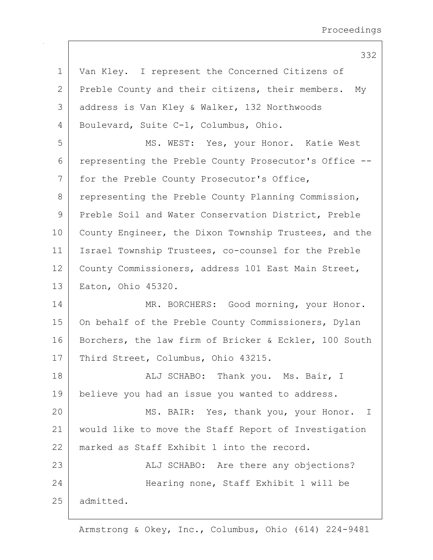332

1 | Van Kley. I represent the Concerned Citizens of 2 | Preble County and their citizens, their members. My 3 address is Van Kley & Walker, 132 Northwoods 4 Boulevard, Suite C-1, Columbus, Ohio. 5 | MS. WEST: Yes, your Honor. Katie West 6 representing the Preble County Prosecutor's Office --7 for the Preble County Prosecutor's Office, 8 representing the Preble County Planning Commission, 9 Preble Soil and Water Conservation District, Preble 10 County Engineer, the Dixon Township Trustees, and the 11 Israel Township Trustees, co-counsel for the Preble 12 County Commissioners, address 101 East Main Street, 13 Eaton, Ohio 45320. 14 MR. BORCHERS: Good morning, your Honor. 15 | On behalf of the Preble County Commissioners, Dylan 16 | Borchers, the law firm of Bricker & Eckler, 100 South 17 | Third Street, Columbus, Ohio 43215. 18 | Ruj SCHABO: Thank you. Ms. Bair, I 19 | believe you had an issue you wanted to address. 20 MS. BAIR: Yes, thank you, your Honor. I 21 would like to move the Staff Report of Investigation 22 marked as Staff Exhibit 1 into the record. 23 | ALJ SCHABO: Are there any objections? 24 | Hearing none, Staff Exhibit 1 will be 25 admitted.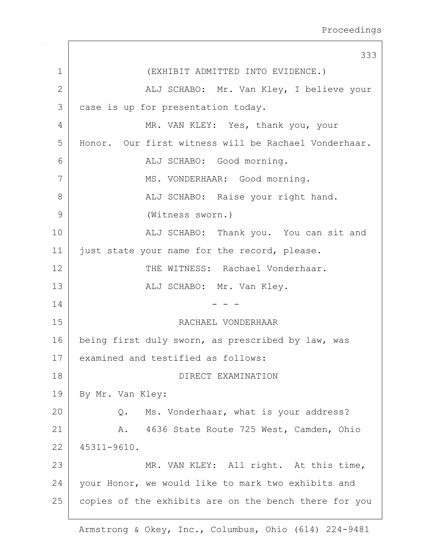|                 | 333                                                   |
|-----------------|-------------------------------------------------------|
| 1               | (EXHIBIT ADMITTED INTO EVIDENCE.)                     |
| $\mathbf{2}$    | ALJ SCHABO: Mr. Van Kley, I believe your              |
| 3               | case is up for presentation today.                    |
| 4               | MR. VAN KLEY: Yes, thank you, your                    |
| 5               | Honor. Our first witness will be Rachael Vonderhaar.  |
| 6               | ALJ SCHABO: Good morning.                             |
| 7               | MS. VONDERHAAR: Good morning.                         |
| 8               | ALJ SCHABO: Raise your right hand.                    |
| 9               | (Witness sworn.)                                      |
| 10              | ALJ SCHABO: Thank you. You can sit and                |
| 11              | just state your name for the record, please.          |
| 12              | THE WITNESS: Rachael Vonderhaar.                      |
| 13              | ALJ SCHABO: Mr. Van Kley.                             |
| 14              |                                                       |
| 15              | RACHAEL VONDERHAAR                                    |
| 16              | being first duly sworn, as prescribed by law, was     |
| 17 <sub>1</sub> | examined and testified as follows:                    |
| 18              | DIRECT EXAMINATION                                    |
| 19              | By Mr. Van Kley:                                      |
| 20              | Ms. Vonderhaar, what is your address?<br>$Q$ .        |
| 21              | 4636 State Route 725 West, Camden, Ohio<br>A.         |
| 22              | 45311-9610.                                           |
| 23              | MR. VAN KLEY: All right. At this time,                |
| 24              | your Honor, we would like to mark two exhibits and    |
| 25              | copies of the exhibits are on the bench there for you |
|                 |                                                       |

 $\Gamma$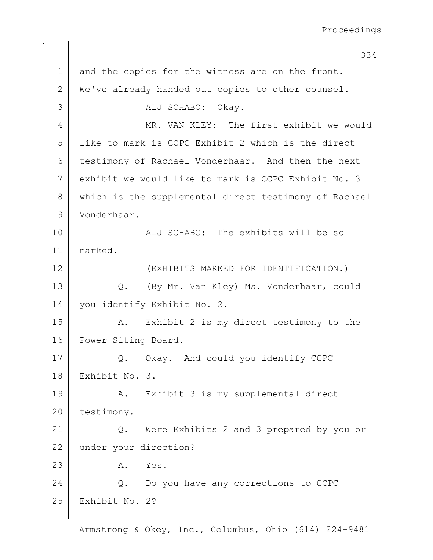334 1 and the copies for the witness are on the front. 2 | We've already handed out copies to other counsel. 3 ALJ SCHABO: Okay. 4 MR. VAN KLEY: The first exhibit we would 5 like to mark is CCPC Exhibit 2 which is the direct 6 testimony of Rachael Vonderhaar. And then the next 7 exhibit we would like to mark is CCPC Exhibit No. 3 8 which is the supplemental direct testimony of Rachael 9 Vonderhaar. 10 ALJ SCHABO: The exhibits will be so 11 marked. 12 (EXHIBITS MARKED FOR IDENTIFICATION.) 13 Q. (By Mr. Van Kley) Ms. Vonderhaar, could 14 | you identify Exhibit No. 2. 15 | A. Exhibit 2 is my direct testimony to the 16 Power Siting Board. 17 | Q. Okay. And could you identify CCPC 18 Exhibit No. 3. 19 | A. Exhibit 3 is my supplemental direct 20 testimony. 21 Q. Were Exhibits 2 and 3 prepared by you or 22 under your direction? 23 A. Yes. 24 Q. Do you have any corrections to CCPC 25 Exhibit No. 2?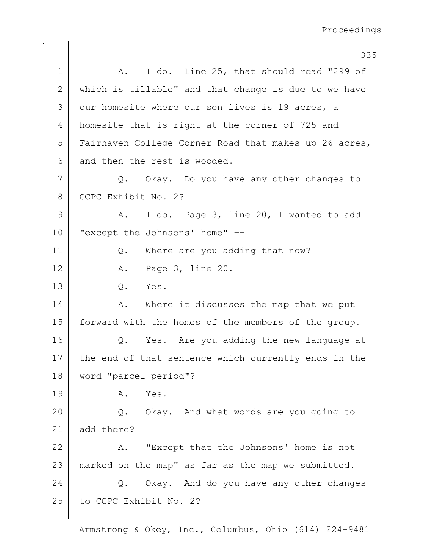|    | 335                                                   |
|----|-------------------------------------------------------|
| 1  | I do. Line 25, that should read "299 of<br>A.         |
| 2  | which is tillable" and that change is due to we have  |
| 3  | our homesite where our son lives is 19 acres, a       |
| 4  | homesite that is right at the corner of 725 and       |
| 5  | Fairhaven College Corner Road that makes up 26 acres, |
| 6  | and then the rest is wooded.                          |
| 7  | Okay. Do you have any other changes to<br>Q.          |
| 8  | CCPC Exhibit No. 2?                                   |
| 9  | I do. Page 3, line 20, I wanted to add<br>Α.          |
| 10 | "except the Johnsons' home" --                        |
| 11 | Where are you adding that now?<br>Q.                  |
| 12 | A. Page 3, line 20.                                   |
| 13 | Q. Yes.                                               |
| 14 | Where it discusses the map that we put<br>Α.          |
| 15 | forward with the homes of the members of the group.   |
| 16 | Yes. Are you adding the new language at<br>Q.         |
| 17 | the end of that sentence which currently ends in the  |
| 18 | word "parcel period"?                                 |
| 19 | Yes.<br>Α.                                            |
| 20 | Q. Okay. And what words are you going to              |
| 21 | add there?                                            |
| 22 | "Except that the Johnsons' home is not<br>Α.          |
| 23 | marked on the map" as far as the map we submitted.    |
| 24 | Okay. And do you have any other changes<br>Q.         |
| 25 | to CCPC Exhibit No. 2?                                |
|    |                                                       |

 $\mathbf{I}$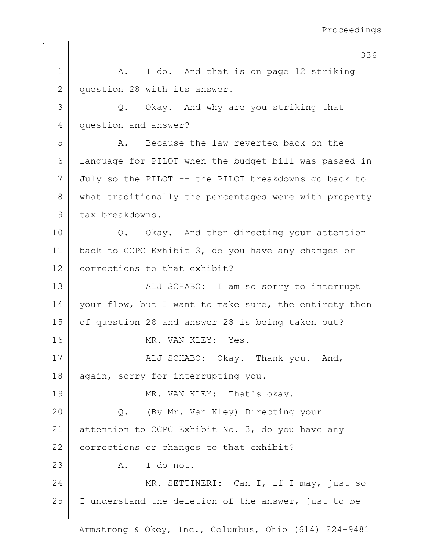|              | 336                                                   |
|--------------|-------------------------------------------------------|
| 1            | I do. And that is on page 12 striking<br>A.           |
| $\mathbf{2}$ | question 28 with its answer.                          |
| 3            | Q. Okay. And why are you striking that                |
| 4            | question and answer?                                  |
| 5            | Because the law reverted back on the<br>Α.            |
| 6            | language for PILOT when the budget bill was passed in |
| 7            | July so the PILOT -- the PILOT breakdowns go back to  |
| $8\,$        | what traditionally the percentages were with property |
| 9            | tax breakdowns.                                       |
| 10           | Q. Okay. And then directing your attention            |
| 11           | back to CCPC Exhibit 3, do you have any changes or    |
| 12           | corrections to that exhibit?                          |
| 13           | ALJ SCHABO: I am so sorry to interrupt                |
| 14           | your flow, but I want to make sure, the entirety then |
| 15           | of question 28 and answer 28 is being taken out?      |
| 16           | MR. VAN KLEY: Yes.                                    |
| 17           | ALJ SCHABO: Okay. Thank you. And,                     |
| 18           | again, sorry for interrupting you.                    |
| 19           | MR. VAN KLEY: That's okay.                            |
| 20           | Q. (By Mr. Van Kley) Directing your                   |
| 21           | attention to CCPC Exhibit No. 3, do you have any      |
| 22           | corrections or changes to that exhibit?               |
| 23           | A. I do not.                                          |
| 24           | MR. SETTINERI: Can I, if I may, just so               |
| 25           | I understand the deletion of the answer, just to be   |
|              |                                                       |

 $\mathsf{I}$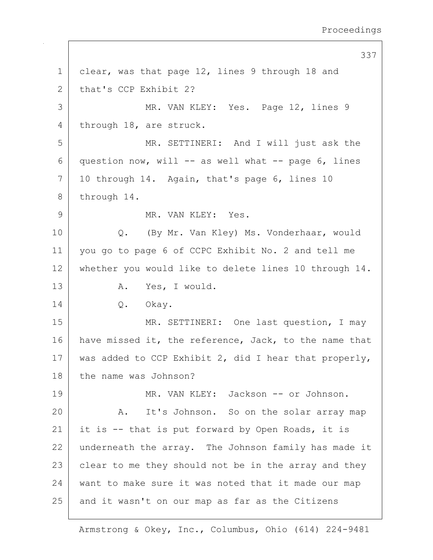```
337
1 clear, was that page 12, lines 9 through 18 and
2 that's CCP Exhibit 2?
 3 MR. VAN KLEY: Yes. Page 12, lines 9
4 through 18, are struck.
5 MR. SETTINERI: And I will just ask the
6 question now, will -- as well what -- page 6, lines
7 | 10 through 14. Again, that's page 6, lines 10
8 through 14.
9 MR. VAN KLEY: Yes.
10 Q. (By Mr. Van Kley) Ms. Vonderhaar, would
11 you go to page 6 of CCPC Exhibit No. 2 and tell me
12 whether you would like to delete lines 10 through 14.
13 A. Yes, I would.
14 | Q. Okay.
15 | MR. SETTINERI: One last question, I may
16 have missed it, the reference, Jack, to the name that
17 | was added to CCP Exhibit 2, did I hear that properly,
18 the name was Johnson?
19 | MR. VAN KLEY: Jackson -- or Johnson.
20 A. It's Johnson. So on the solar array map
21 it is -- that is put forward by Open Roads, it is
22 underneath the array. The Johnson family has made it
23 clear to me they should not be in the array and they
24 want to make sure it was noted that it made our map
25 and it wasn't on our map as far as the Citizens
```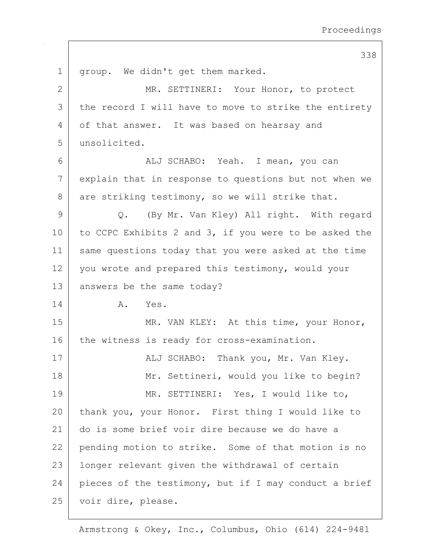338 1 | group. We didn't get them marked. 2 MR. SETTINERI: Your Honor, to protect 3 the record I will have to move to strike the entirety 4 of that answer. It was based on hearsay and 5 unsolicited. 6 ALJ SCHABO: Yeah. I mean, you can 7 explain that in response to questions but not when we  $8$  are striking testimony, so we will strike that. 9 Q. (By Mr. Van Kley) All right. With regard 10 to CCPC Exhibits 2 and 3, if you were to be asked the 11 same questions today that you were asked at the time 12 you wrote and prepared this testimony, would your 13 answers be the same today? 14 A. Yes. 15 | MR. VAN KLEY: At this time, your Honor, 16 the witness is ready for cross-examination. 17 | ALJ SCHABO: Thank you, Mr. Van Kley. 18 | Mr. Settineri, would you like to begin? 19 MR. SETTINERI: Yes, I would like to, 20 thank you, your Honor. First thing I would like to 21 do is some brief voir dire because we do have a 22 pending motion to strike. Some of that motion is no 23 longer relevant given the withdrawal of certain 24 pieces of the testimony, but if I may conduct a brief 25 voir dire, please.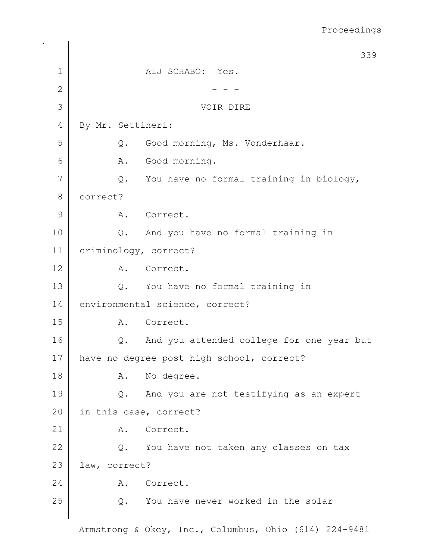|              | 339                                             |
|--------------|-------------------------------------------------|
| $\mathbf 1$  | ALJ SCHABO: Yes.                                |
| $\mathbf{2}$ |                                                 |
| 3            | VOIR DIRE                                       |
| 4            | By Mr. Settineri:                               |
| 5            | Good morning, Ms. Vonderhaar.<br>Q.             |
| 6            | Good morning.<br>Α.                             |
| 7            | You have no formal training in biology,<br>Q.   |
| $8\,$        | correct?                                        |
| 9            | A. Correct.                                     |
| 10           | And you have no formal training in<br>Q.        |
| 11           | criminology, correct?                           |
| 12           | Α.<br>Correct.                                  |
| 13           | You have no formal training in<br>$Q$ .         |
| 14           | environmental science, correct?                 |
| 15           | Correct.<br>Α.                                  |
| 16           | And you attended college for one year but<br>Q. |
| $17$         | have no degree post high school, correct?       |
| 18           | No degree.<br>Α.                                |
| 19           | And you are not testifying as an expert<br>Q.   |
| 20           | in this case, correct?                          |
| 21           | Correct.<br>Α.                                  |
| 22           | You have not taken any classes on tax<br>Q.     |
| 23           | law, correct?                                   |
| 24           | Correct.<br>Α.                                  |
| 25           | You have never worked in the solar<br>Q.        |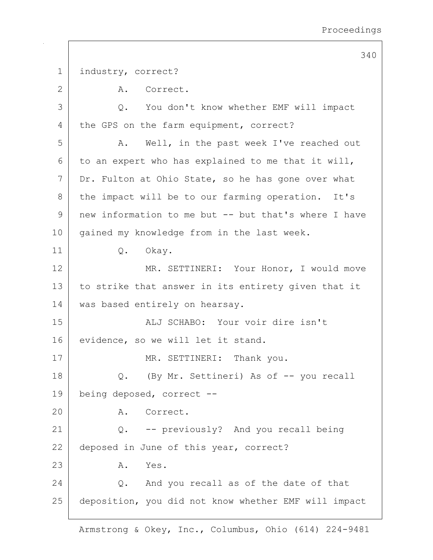1 | industry, correct? 2 A. Correct. 3 Q. You don't know whether EMF will impact 4 the GPS on the farm equipment, correct? 5 A. Well, in the past week I've reached out  $6$  to an expert who has explained to me that it will, 7 Dr. Fulton at Ohio State, so he has gone over what 8 the impact will be to our farming operation. It's 9 new information to me but -- but that's where I have 10 | gained my knowledge from in the last week. 11 Q. Okay. 12 MR. SETTINERI: Your Honor, I would move 13 to strike that answer in its entirety given that it 14 | was based entirely on hearsay. 15 ALJ SCHABO: Your voir dire isn't 16 evidence, so we will let it stand. 17 | MR. SETTINERI: Thank you. 18 Q. (By Mr. Settineri) As of -- you recall 19 being deposed, correct -- 20 A. Correct. 21 Q. -- previously? And you recall being 22 deposed in June of this year, correct? 23 A. Yes. 24 O. And you recall as of the date of that 25 deposition, you did not know whether EMF will impact

340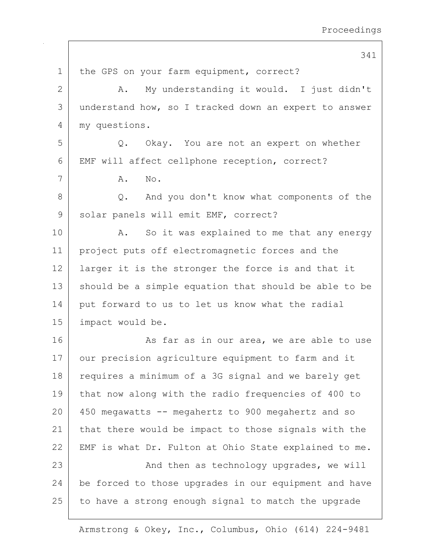341

1 | the GPS on your farm equipment, correct? 2 A. My understanding it would. I just didn't 3 understand how, so I tracked down an expert to answer 4 my questions. 5 Q. Okay. You are not an expert on whether 6 EMF will affect cellphone reception, correct? 7 | A. No. 8 Q. And you don't know what components of the 9 solar panels will emit EMF, correct? 10 | A. So it was explained to me that any energy 11 project puts off electromagnetic forces and the 12 | larger it is the stronger the force is and that it 13 should be a simple equation that should be able to be 14 put forward to us to let us know what the radial 15 impact would be. 16 As far as in our area, we are able to use 17 | our precision agriculture equipment to farm and it 18 requires a minimum of a 3G signal and we barely get 19 that now along with the radio frequencies of 400 to 20 450 megawatts -- megahertz to 900 megahertz and so 21 | that there would be impact to those signals with the 22 | EMF is what Dr. Fulton at Ohio State explained to me. 23 | And then as technology upgrades, we will 24 be forced to those upgrades in our equipment and have  $25$  to have a strong enough signal to match the upgrade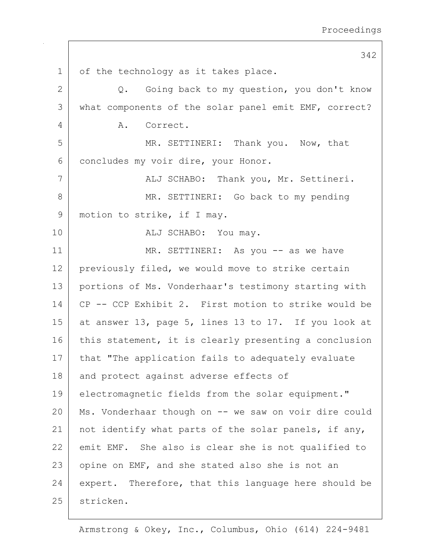1 of the technology as it takes place. 2 Q. Going back to my question, you don't know 3 | what components of the solar panel emit EMF, correct? 4 A. Correct. 5 MR. SETTINERI: Thank you. Now, that 6 concludes my voir dire, your Honor. 7 | ALJ SCHABO: Thank you, Mr. Settineri. 8 MR. SETTINERI: Go back to my pending 9 | motion to strike, if I may. 10 ALJ SCHABO: You may. 11 | MR. SETTINERI: As you -- as we have 12 previously filed, we would move to strike certain 13 portions of Ms. Vonderhaar's testimony starting with 14 CP -- CCP Exhibit 2. First motion to strike would be 15 at answer 13, page 5, lines 13 to 17. If you look at 16 this statement, it is clearly presenting a conclusion 17 | that "The application fails to adequately evaluate 18 and protect against adverse effects of 19 electromagnetic fields from the solar equipment." 20 Ms. Vonderhaar though on -- we saw on voir dire could 21 | not identify what parts of the solar panels, if any, 22 emit EMF. She also is clear she is not qualified to  $23$  opine on EMF, and she stated also she is not an 24 expert. Therefore, that this language here should be 25 stricken.

342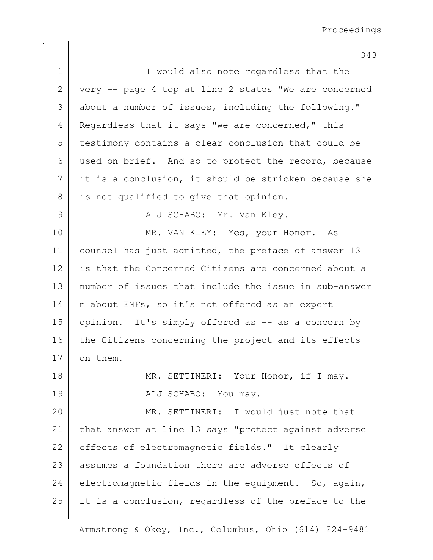|             | 343                                                   |
|-------------|-------------------------------------------------------|
| $\mathbf 1$ | I would also note regardless that the                 |
| 2           | very -- page 4 top at line 2 states "We are concerned |
| 3           | about a number of issues, including the following."   |
| 4           | Regardless that it says "we are concerned," this      |
| 5           | testimony contains a clear conclusion that could be   |
| 6           | used on brief. And so to protect the record, because  |
| 7           | it is a conclusion, it should be stricken because she |
| 8           | is not qualified to give that opinion.                |
| 9           | ALJ SCHABO: Mr. Van Kley.                             |
| 10          | MR. VAN KLEY: Yes, your Honor. As                     |
| 11          | counsel has just admitted, the preface of answer 13   |
| 12          | is that the Concerned Citizens are concerned about a  |
| 13          | number of issues that include the issue in sub-answer |
| 14          | m about EMFs, so it's not offered as an expert        |
| 15          | opinion. It's simply offered as -- as a concern by    |
| 16          | the Citizens concerning the project and its effects   |
| 17          | on them.                                              |
| 18          | MR. SETTINERI: Your Honor, if I may.                  |
| 19          | ALJ SCHABO: You may.                                  |
| 20          | MR. SETTINERI: I would just note that                 |
| 21          | that answer at line 13 says "protect against adverse  |
| 22          | effects of electromagnetic fields." It clearly        |
| 23          | assumes a foundation there are adverse effects of     |
| 24          | electromagnetic fields in the equipment. So, again,   |
| 25          | it is a conclusion, regardless of the preface to the  |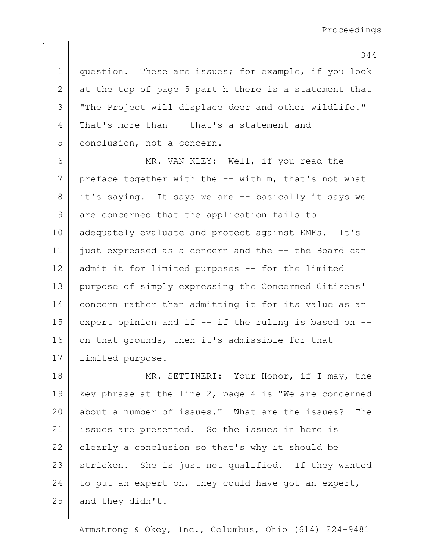```
344
```
1 | question. These are issues; for example, if you look  $2$  at the top of page 5 part h there is a statement that 3 "The Project will displace deer and other wildlife." 4 That's more than -- that's a statement and 5 conclusion, not a concern.

6 MR. VAN KLEY: Well, if you read the  $7$  preface together with the  $-$ - with m, that's not what 8 it's saying. It says we are -- basically it says we 9 are concerned that the application fails to 10 adequately evaluate and protect against EMFs. It's 11 just expressed as a concern and the -- the Board can 12 admit it for limited purposes -- for the limited 13 purpose of simply expressing the Concerned Citizens' 14 concern rather than admitting it for its value as an 15 expert opinion and if  $--$  if the ruling is based on  $--$ 16 on that grounds, then it's admissible for that 17 limited purpose.

18 MR. SETTINERI: Your Honor, if I may, the 19 | key phrase at the line 2, page 4 is "We are concerned 20 about a number of issues." What are the issues? The 21 | issues are presented. So the issues in here is 22 clearly a conclusion so that's why it should be 23 stricken. She is just not qualified. If they wanted 24 to put an expert on, they could have got an expert,  $25$  and they didn't.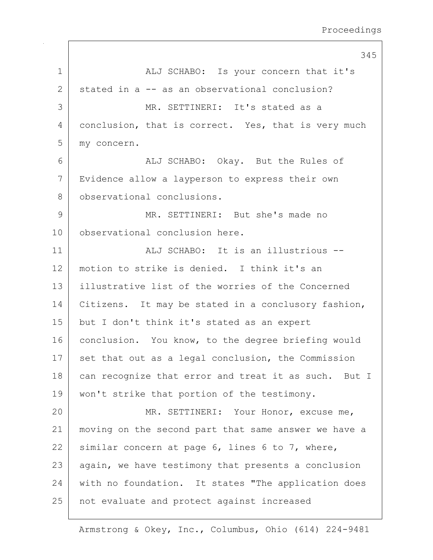345 1 ALJ SCHABO: Is your concern that it's 2 stated in a -- as an observational conclusion? 3 MR. SETTINERI: It's stated as a 4 conclusion, that is correct. Yes, that is very much 5 my concern. 6 ALJ SCHABO: Okay. But the Rules of 7 Evidence allow a layperson to express their own 8 | observational conclusions. 9 MR. SETTINERI: But she's made no 10 observational conclusion here. 11 | ALJ SCHABO: It is an illustrious --12 motion to strike is denied. I think it's an 13 illustrative list of the worries of the Concerned 14 | Citizens. It may be stated in a conclusory fashion, 15 | but I don't think it's stated as an expert 16 conclusion. You know, to the degree briefing would 17 | set that out as a legal conclusion, the Commission 18 can recognize that error and treat it as such. But I 19 won't strike that portion of the testimony. 20 MR. SETTINERI: Your Honor, excuse me, 21 moving on the second part that same answer we have a 22 similar concern at page 6, lines 6 to 7, where, 23 | again, we have testimony that presents a conclusion 24 with no foundation. It states "The application does 25 | not evaluate and protect against increased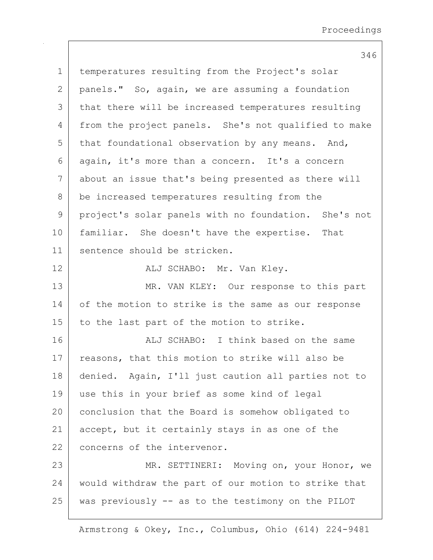346 1 | temperatures resulting from the Project's solar 2 panels." So, again, we are assuming a foundation 3 | that there will be increased temperatures resulting 4 from the project panels. She's not qualified to make  $5$  that foundational observation by any means. And, 6 again, it's more than a concern. It's a concern 7 about an issue that's being presented as there will 8 be increased temperatures resulting from the 9 project's solar panels with no foundation. She's not 10 | familiar. She doesn't have the expertise. That 11 sentence should be stricken. 12 | REALU SCHABO: Mr. Van Kley. 13 MR. VAN KLEY: Our response to this part 14 of the motion to strike is the same as our response 15 | to the last part of the motion to strike. 16 ALJ SCHABO: I think based on the same 17 reasons, that this motion to strike will also be 18 denied. Again, I'll just caution all parties not to 19 use this in your brief as some kind of legal 20 conclusion that the Board is somehow obligated to 21 accept, but it certainly stays in as one of the 22 concerns of the intervenor. 23 | MR. SETTINERI: Moving on, your Honor, we 24 would withdraw the part of our motion to strike that 25 was previously -- as to the testimony on the PILOT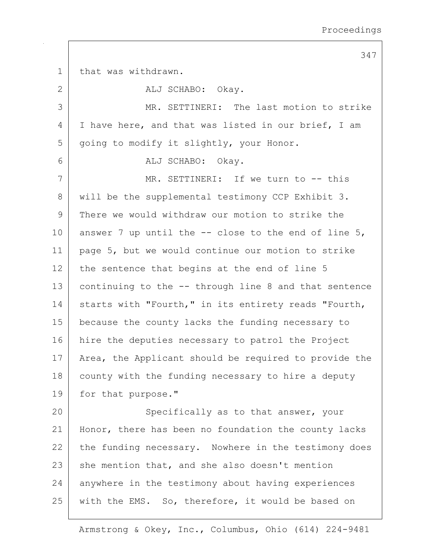347

1 that was withdrawn. 2 ALJ SCHABO: Okay. 3 MR. SETTINERI: The last motion to strike 4 I have here, and that was listed in our brief, I am 5 | going to modify it slightly, your Honor. 6 ALJ SCHABO: Okay. 7 MR. SETTINERI: If we turn to -- this 8 | will be the supplemental testimony CCP Exhibit 3. 9 There we would withdraw our motion to strike the 10 answer 7 up until the  $-$ - close to the end of line 5, 11 page 5, but we would continue our motion to strike  $12$  the sentence that begins at the end of line 5 13 continuing to the -- through line 8 and that sentence 14 | starts with "Fourth," in its entirety reads "Fourth, 15 because the county lacks the funding necessary to 16 hire the deputies necessary to patrol the Project 17 | Area, the Applicant should be required to provide the 18 county with the funding necessary to hire a deputy 19 for that purpose." 20 Specifically as to that answer, your 21 | Honor, there has been no foundation the county lacks  $22$  the funding necessary. Nowhere in the testimony does  $23$  she mention that, and she also doesn't mention 24 anywhere in the testimony about having experiences 25 with the EMS. So, therefore, it would be based on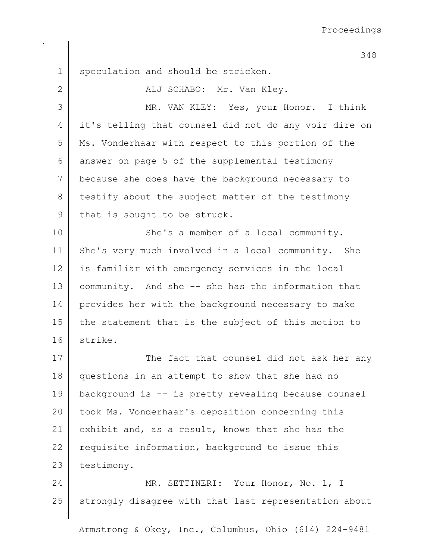1 | speculation and should be stricken. 2 | ALJ SCHABO: Mr. Van Kley. 3 MR. VAN KLEY: Yes, your Honor. I think 4 it's telling that counsel did not do any voir dire on 5 Ms. Vonderhaar with respect to this portion of the 6 answer on page 5 of the supplemental testimony 7 because she does have the background necessary to 8 testify about the subject matter of the testimony 9 that is sought to be struck. 10 She's a member of a local community. 11 She's very much involved in a local community. She 12 is familiar with emergency services in the local 13 community. And she -- she has the information that 14 provides her with the background necessary to make 15 | the statement that is the subject of this motion to 16 strike. 17 The fact that counsel did not ask her any 18 questions in an attempt to show that she had no 19 background is -- is pretty revealing because counsel 20 took Ms. Vonderhaar's deposition concerning this 21 exhibit and, as a result, knows that she has the 22 requisite information, background to issue this 23 testimony. 24 MR. SETTINERI: Your Honor, No. 1, I 25 strongly disagree with that last representation about

Armstrong & Okey, Inc., Columbus, Ohio (614) 224-9481

348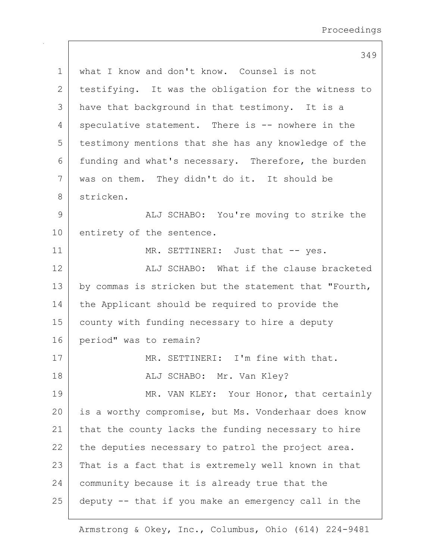349

| $\mathbf 1$   | what I know and don't know. Counsel is not            |
|---------------|-------------------------------------------------------|
| $\mathbf{2}$  | testifying. It was the obligation for the witness to  |
| 3             | have that background in that testimony. It is a       |
| 4             | speculative statement. There is -- nowhere in the     |
| 5             | testimony mentions that she has any knowledge of the  |
| 6             | funding and what's necessary. Therefore, the burden   |
| 7             | was on them. They didn't do it. It should be          |
| $8\,$         | stricken.                                             |
| $\mathcal{G}$ | ALJ SCHABO: You're moving to strike the               |
| 10            | entirety of the sentence.                             |
| 11            | MR. SETTINERI: Just that -- yes.                      |
| 12            | ALJ SCHABO: What if the clause bracketed              |
| 13            | by commas is stricken but the statement that "Fourth, |
| 14            | the Applicant should be required to provide the       |
| 15            | county with funding necessary to hire a deputy        |
| 16            | period" was to remain?                                |
| 17            | MR. SETTINERI: I'm fine with that.                    |
| 18            | ALJ SCHABO: Mr. Van Kley?                             |
| 19            | MR. VAN KLEY: Your Honor, that certainly              |
| 20            | is a worthy compromise, but Ms. Vonderhaar does know  |
| 21            | that the county lacks the funding necessary to hire   |
| 22            | the deputies necessary to patrol the project area.    |
| 23            | That is a fact that is extremely well known in that   |
| 24            | community because it is already true that the         |
| 25            | deputy -- that if you make an emergency call in the   |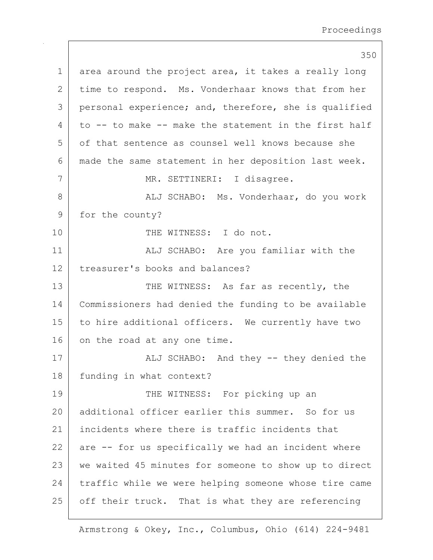350  $1$  area around the project area, it takes a really long 2 time to respond. Ms. Vonderhaar knows that from her 3 personal experience; and, therefore, she is qualified 4 to  $-$  to make  $-$  make the statement in the first half 5 of that sentence as counsel well knows because she 6 made the same statement in her deposition last week. 7 | MR. SETTINERI: I disagree. 8 | ALJ SCHABO: Ms. Vonderhaar, do you work 9 for the county? 10 | THE WITNESS: I do not. 11 | ALJ SCHABO: Are you familiar with the 12 treasurer's books and balances? 13 THE WITNESS: As far as recently, the 14 Commissioners had denied the funding to be available 15 to hire additional officers. We currently have two 16 on the road at any one time. 17 | ALJ SCHABO: And they -- they denied the 18 | funding in what context? 19 THE WITNESS: For picking up an 20 additional officer earlier this summer. So for us 21 incidents where there is traffic incidents that  $22$  are  $-$  for us specifically we had an incident where 23 | we waited 45 minutes for someone to show up to direct 24 traffic while we were helping someone whose tire came 25 | off their truck. That is what they are referencing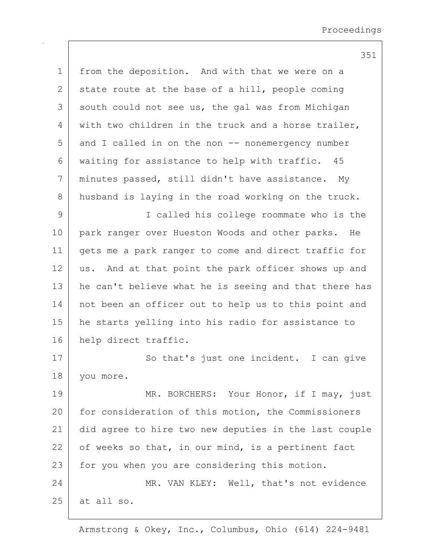351

1 from the deposition. And with that we were on a 2 state route at the base of a hill, people coming 3 south could not see us, the gal was from Michigan 4 with two children in the truck and a horse trailer,  $5$  and I called in on the non  $-$  nonemergency number 6 waiting for assistance to help with traffic. 45 7 minutes passed, still didn't have assistance. My 8 husband is laying in the road working on the truck. 9 I called his college roommate who is the 10 park ranger over Hueston Woods and other parks. He 11 gets me a park ranger to come and direct traffic for 12 | us. And at that point the park officer shows up and 13 | he can't believe what he is seeing and that there has 14 not been an officer out to help us to this point and 15 he starts yelling into his radio for assistance to 16 help direct traffic. 17 So that's just one incident. I can give 18 you more. 19 MR. BORCHERS: Your Honor, if I may, just 20 for consideration of this motion, the Commissioners 21 did agree to hire two new deputies in the last couple  $22$  of weeks so that, in our mind, is a pertinent fact 23 | for you when you are considering this motion. 24 MR. VAN KLEY: Well, that's not evidence  $25$  at all so.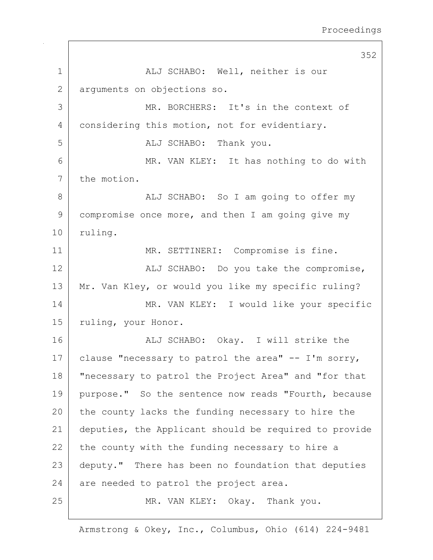352 1 | ALJ SCHABO: Well, neither is our 2 arguments on objections so. 3 MR. BORCHERS: It's in the context of 4 considering this motion, not for evidentiary. 5 ALJ SCHABO: Thank you. 6 MR. VAN KLEY: It has nothing to do with 7 the motion. 8 | ALJ SCHABO: So I am going to offer my 9 compromise once more, and then I am going give my 10 ruling. 11 | MR. SETTINERI: Compromise is fine. 12 | ALJ SCHABO: Do you take the compromise, 13 Mr. Van Kley, or would you like my specific ruling? 14 MR. VAN KLEY: I would like your specific 15 | ruling, your Honor. 16 ALJ SCHABO: Okay. I will strike the 17 clause "necessary to patrol the area"  $-$  I'm sorry, 18 "necessary to patrol the Project Area" and "for that 19 purpose." So the sentence now reads "Fourth, because 20 the county lacks the funding necessary to hire the 21 deputies, the Applicant should be required to provide  $22$  the county with the funding necessary to hire a 23 deputy." There has been no foundation that deputies  $24$  are needed to patrol the project area. 25 MR. VAN KLEY: Okay. Thank you.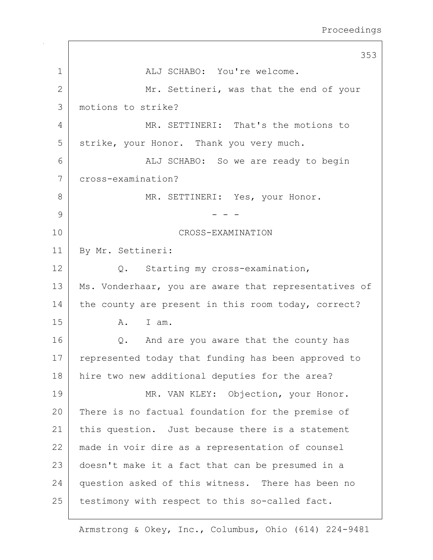|              | 353                                                   |
|--------------|-------------------------------------------------------|
| $\mathbf 1$  | ALJ SCHABO: You're welcome.                           |
| $\mathbf{2}$ | Mr. Settineri, was that the end of your               |
| 3            | motions to strike?                                    |
| 4            | MR. SETTINERI: That's the motions to                  |
| 5            | strike, your Honor. Thank you very much.              |
| 6            | ALJ SCHABO: So we are ready to begin                  |
| 7            | cross-examination?                                    |
| 8            | MR. SETTINERI: Yes, your Honor.                       |
| 9            |                                                       |
| 10           | CROSS-EXAMINATION                                     |
| 11           | By Mr. Settineri:                                     |
| 12           | Q. Starting my cross-examination,                     |
| 13           | Ms. Vonderhaar, you are aware that representatives of |
| 14           | the county are present in this room today, correct?   |
| 15           | I am.<br>A.                                           |
| 16           | And are you aware that the county has<br>Q.           |
| 17           | represented today that funding has been approved to   |
| 18           | hire two new additional deputies for the area?        |
| 19           | MR. VAN KLEY: Objection, your Honor.                  |
| 20           | There is no factual foundation for the premise of     |
| 21           | this question. Just because there is a statement      |
| 22           | made in voir dire as a representation of counsel      |
| 23           | doesn't make it a fact that can be presumed in a      |
| 24           | question asked of this witness. There has been no     |
| 25           | testimony with respect to this so-called fact.        |

 $\Gamma$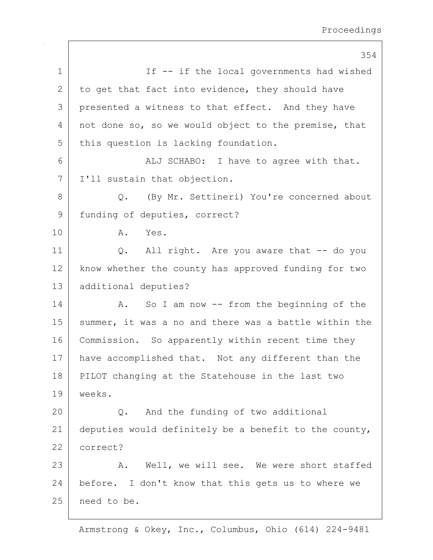|               | 354                                                   |
|---------------|-------------------------------------------------------|
| $\mathbf 1$   | If -- if the local governments had wished             |
| $\mathbf{2}$  | to get that fact into evidence, they should have      |
| 3             | presented a witness to that effect. And they have     |
| 4             | not done so, so we would object to the premise, that  |
| 5             | this question is lacking foundation.                  |
| 6             | ALJ SCHABO: I have to agree with that.                |
| 7             | I'll sustain that objection.                          |
| 8             | (By Mr. Settineri) You're concerned about<br>Q.       |
| $\mathcal{G}$ | funding of deputies, correct?                         |
| 10            | A. Yes.                                               |
| 11            | Q. All right. Are you aware that -- do you            |
| 12            | know whether the county has approved funding for two  |
| 13            | additional deputies?                                  |
| 14            | So I am now $--$ from the beginning of the<br>A.      |
| 15            | summer, it was a no and there was a battle within the |
| 16            | Commission. So apparently within recent time they     |
| 17            | have accomplished that. Not any different than the    |
| 18            | PILOT changing at the Statehouse in the last two      |
| 19            | weeks.                                                |
| 20            | And the funding of two additional<br>$Q$ .            |
| 21            | deputies would definitely be a benefit to the county, |
| 22            | correct?                                              |
| 23            | Well, we will see. We were short staffed<br>Α.        |
| 24            | before. I don't know that this gets us to where we    |
| 25            | need to be.                                           |
|               |                                                       |

 $\mathbf{I}$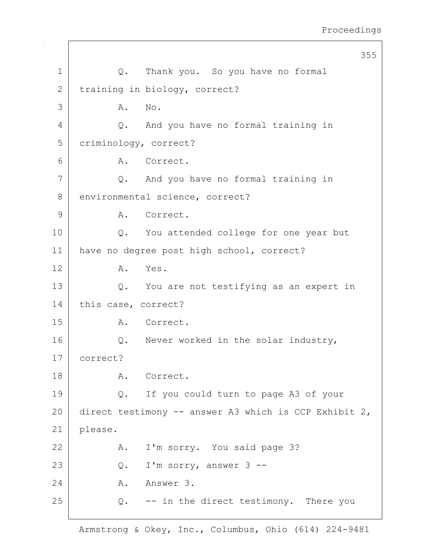|              |                                                        | 355 |
|--------------|--------------------------------------------------------|-----|
| $\mathbf 1$  | Thank you. So you have no formal<br>Q.                 |     |
| $\mathbf{2}$ | training in biology, correct?                          |     |
| 3            | No.<br>Α.                                              |     |
| 4            | And you have no formal training in<br>$\mathsf{Q}$ .   |     |
| 5            | criminology, correct?                                  |     |
| 6            | A. Correct.                                            |     |
| 7            | And you have no formal training in<br>Q.               |     |
| 8            | environmental science, correct?                        |     |
| 9            | Correct.<br>Α.                                         |     |
| 10           | Q. You attended college for one year but               |     |
| 11           | have no degree post high school, correct?              |     |
| 12           | Yes.<br>Α.                                             |     |
| 13           | You are not testifying as an expert in<br>Q.           |     |
| 14           | this case, correct?                                    |     |
| 15           | A. Correct.                                            |     |
| 16           | Q. Never worked in the solar industry,                 |     |
| 17           | correct?                                               |     |
| 18           | A. Correct.                                            |     |
| 19           | If you could turn to page A3 of your<br>$\mathsf{Q}$ . |     |
| 20           | direct testimony -- answer A3 which is CCP Exhibit 2,  |     |
| 21           | please.                                                |     |
| 22           | I'm sorry. You said page 3?<br>A.                      |     |
| 23           | I'm sorry, answer 3 --<br>Q.                           |     |
| 24           | A. Answer 3.                                           |     |
| 25           | $Q.$ -- in the direct testimony. There you             |     |
|              |                                                        |     |

 $\mathsf{I}$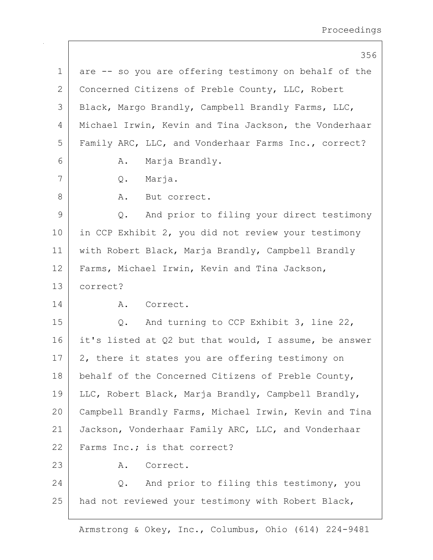|               | 356                                                   |
|---------------|-------------------------------------------------------|
| 1             | are -- so you are offering testimony on behalf of the |
| 2             | Concerned Citizens of Preble County, LLC, Robert      |
| 3             | Black, Margo Brandly, Campbell Brandly Farms, LLC,    |
| 4             | Michael Irwin, Kevin and Tina Jackson, the Vonderhaar |
| 5             | Family ARC, LLC, and Vonderhaar Farms Inc., correct?  |
| 6             | Marja Brandly.<br>A.                                  |
| 7             | Q. Marja.                                             |
| 8             | A. But correct.                                       |
| $\mathcal{G}$ | Q. And prior to filing your direct testimony          |
| 10            | in CCP Exhibit 2, you did not review your testimony   |
| 11            | with Robert Black, Marja Brandly, Campbell Brandly    |
| 12            | Farms, Michael Irwin, Kevin and Tina Jackson,         |
| 13            | correct?                                              |
| 14            | Α.<br>Correct.                                        |
| 15            | And turning to CCP Exhibit 3, line 22,<br>$Q$ .       |
| 16            | it's listed at Q2 but that would, I assume, be answer |
| 17            | 2, there it states you are offering testimony on      |
| 18            | behalf of the Concerned Citizens of Preble County,    |
| 19            | LLC, Robert Black, Marja Brandly, Campbell Brandly,   |
| 20            | Campbell Brandly Farms, Michael Irwin, Kevin and Tina |
| 21            | Jackson, Vonderhaar Family ARC, LLC, and Vonderhaar   |
| 22            | Farms Inc.; is that correct?                          |
| 23            | Α.<br>Correct.                                        |
| 24            | Q. And prior to filing this testimony, you            |
| 25            | had not reviewed your testimony with Robert Black,    |
|               |                                                       |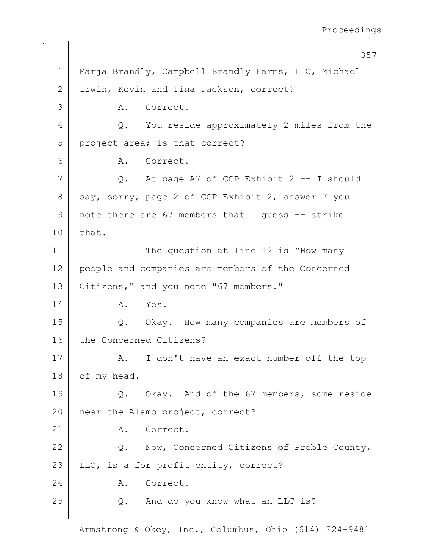|             | 357                                                 |
|-------------|-----------------------------------------------------|
| $\mathbf 1$ | Marja Brandly, Campbell Brandly Farms, LLC, Michael |
| 2           | Irwin, Kevin and Tina Jackson, correct?             |
| 3           | A. Correct.                                         |
| 4           | Q. You reside approximately 2 miles from the        |
| 5           | project area; is that correct?                      |
| 6           | A. Correct.                                         |
| 7           | Q. At page A7 of CCP Exhibit 2 -- I should          |
| 8           | say, sorry, page 2 of CCP Exhibit 2, answer 7 you   |
| 9           | note there are 67 members that I guess -- strike    |
| 10          | that.                                               |
| 11          | The question at line 12 is "How many                |
| 12          | people and companies are members of the Concerned   |
| 13          | Citizens, " and you note "67 members."              |
| 14          | A. Yes.                                             |
| 15          | Q. Okay. How many companies are members of          |
| 16          | the Concerned Citizens?                             |
| 17          | I don't have an exact number off the top<br>A.      |
| 18          | of my head.                                         |
| 19          | Okay. And of the 67 members, some reside<br>Q.      |
| 20          | near the Alamo project, correct?                    |
| 21          | Correct.<br>Α.                                      |
| 22          | Q. Now, Concerned Citizens of Preble County,        |
| 23          | LLC, is a for profit entity, correct?               |
| 24          | Correct.<br>Α.                                      |
| 25          | Q. And do you know what an LLC is?                  |
|             |                                                     |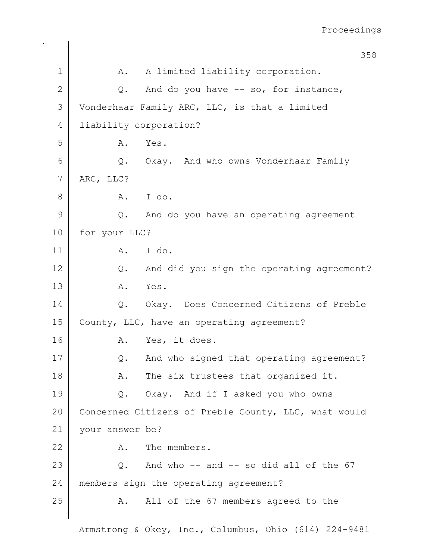|    | 358                                                  |
|----|------------------------------------------------------|
| 1  | A limited liability corporation.<br>Α.               |
| 2  | And do you have -- so, for instance,<br>Q.           |
| 3  | Vonderhaar Family ARC, LLC, is that a limited        |
| 4  | liability corporation?                               |
| 5  | Yes.<br>Α.                                           |
| 6  | Q. Okay. And who owns Vonderhaar Family              |
| 7  | ARC, LLC?                                            |
| 8  | A. I do.                                             |
| 9  | And do you have an operating agreement<br>Q.         |
| 10 | for your LLC?                                        |
| 11 | A. I do.                                             |
| 12 | And did you sign the operating agreement?<br>Q.      |
| 13 | A. Yes.                                              |
| 14 | Q. Okay. Does Concerned Citizens of Preble           |
| 15 | County, LLC, have an operating agreement?            |
| 16 | Yes, it does.<br>Α.                                  |
| 17 | And who signed that operating agreement?<br>Q.       |
| 18 | The six trustees that organized it.<br>A.            |
| 19 | Q. Okay. And if I asked you who owns                 |
| 20 | Concerned Citizens of Preble County, LLC, what would |
| 21 | your answer be?                                      |
| 22 | The members.<br>Α.                                   |
| 23 | Q. And who -- and -- so did all of the 67            |
| 24 | members sign the operating agreement?                |
| 25 | All of the 67 members agreed to the<br>Α.            |
|    |                                                      |

 $\mathbf{I}$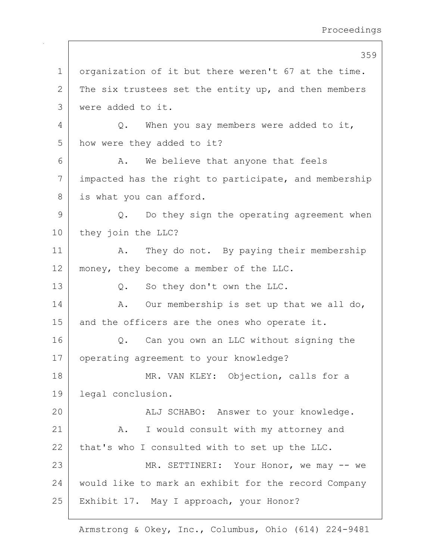359 1 organization of it but there weren't 67 at the time. 2 The six trustees set the entity up, and then members 3 were added to it. 4 Q. When you say members were added to it, 5 | how were they added to it?  $6$  A. We believe that anyone that feels 7 impacted has the right to participate, and membership 8 is what you can afford.  $9$  Q. Do they sign the operating agreement when 10 they join the LLC? 11 | A. They do not. By paying their membership 12 | money, they become a member of the LLC. 13 Q. So they don't own the LLC. 14 A. Our membership is set up that we all do, 15 and the officers are the ones who operate it. 16 | Q. Can you own an LLC without signing the 17 | operating agreement to your knowledge? 18 MR. VAN KLEY: Objection, calls for a 19 legal conclusion. 20 | Kalj SCHABO: Answer to your knowledge. 21 | A. I would consult with my attorney and  $22$  that's who I consulted with to set up the LLC. 23 MR. SETTINERI: Your Honor, we may -- we 24 would like to mark an exhibit for the record Company 25 | Exhibit 17. May I approach, your Honor?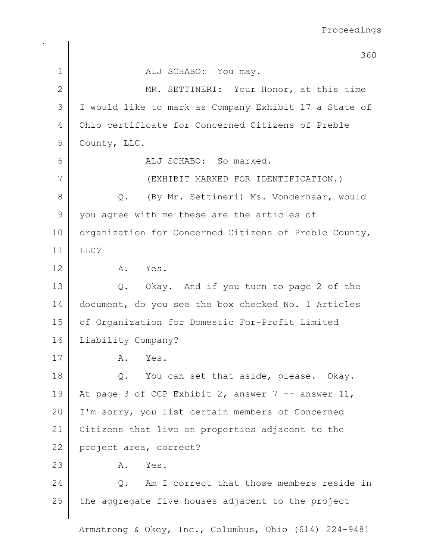360 1 ALJ SCHABO: You may. 2 MR. SETTINERI: Your Honor, at this time 3 I would like to mark as Company Exhibit 17 a State of 4 Ohio certificate for Concerned Citizens of Preble 5 County, LLC. 6 ALJ SCHABO: So marked. 7 (EXHIBIT MARKED FOR IDENTIFICATION.) 8 Q. (By Mr. Settineri) Ms. Vonderhaar, would 9 you agree with me these are the articles of 10 | organization for Concerned Citizens of Preble County, 11 LLC? 12 A. Yes. 13 Q. Okay. And if you turn to page 2 of the 14 document, do you see the box checked No. 1 Articles 15 | of Organization for Domestic For-Profit Limited 16 | Liability Company? 17 A. Yes. 18 Q. You can set that aside, please. Okay. 19 At page 3 of CCP Exhibit 2, answer 7 -- answer 11, 20 I'm sorry, you list certain members of Concerned 21 Citizens that live on properties adjacent to the 22 project area, correct? 23 A. Yes. 24 Q. Am I correct that those members reside in  $25$  the aggregate five houses adjacent to the project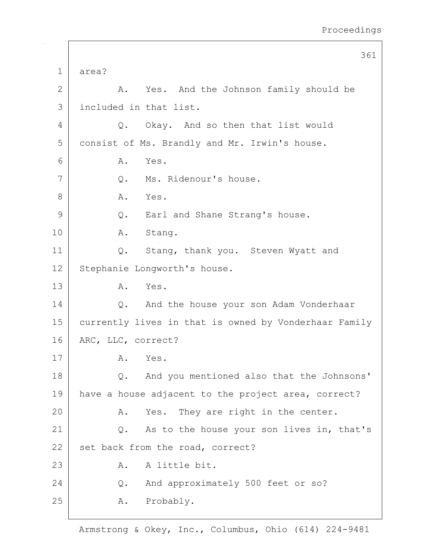|    | 361                                                   |
|----|-------------------------------------------------------|
| 1  | area?                                                 |
| 2  | A. Yes. And the Johnson family should be              |
| 3  | included in that list.                                |
| 4  | Q. Okay. And so then that list would                  |
| 5  | consist of Ms. Brandly and Mr. Irwin's house.         |
| 6  | Yes.<br>Α.                                            |
| 7  | Ms. Ridenour's house.<br>Q.                           |
| 8  | A. Yes.                                               |
| 9  | Q. Earl and Shane Strang's house.                     |
| 10 | Stang.<br>Α.                                          |
| 11 | Stang, thank you. Steven Wyatt and<br>Q.              |
| 12 | Stephanie Longworth's house.                          |
| 13 | A. Yes.                                               |
| 14 | And the house your son Adam Vonderhaar<br>Q.          |
| 15 | currently lives in that is owned by Vonderhaar Family |
| 16 | ARC, LLC, correct?                                    |
| 17 | Yes.<br>Α.                                            |
| 18 | Q. And you mentioned also that the Johnsons'          |
| 19 | have a house adjacent to the project area, correct?   |
| 20 | Yes. They are right in the center.<br>Α.              |
| 21 | As to the house your son lives in, that's<br>Q.       |
| 22 | set back from the road, correct?                      |
| 23 | A little bit.<br>Α.                                   |
| 24 | And approximately 500 feet or so?<br>Q.               |
| 25 | Probably.<br>Α.                                       |
|    |                                                       |

 $\mathbf{I}$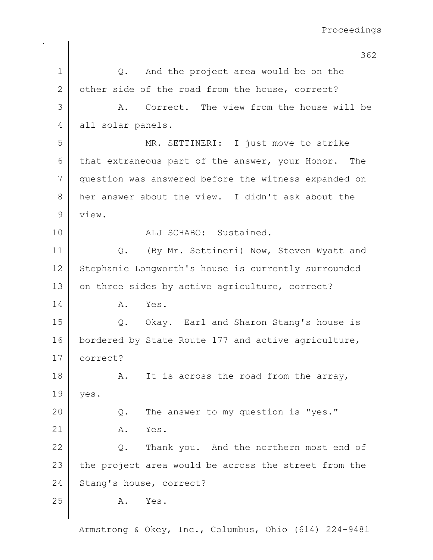|              | 362                                                  |
|--------------|------------------------------------------------------|
| $\mathbf 1$  | And the project area would be on the<br>$Q$ .        |
| $\mathbf{2}$ | other side of the road from the house, correct?      |
| 3            | A. Correct. The view from the house will be          |
| 4            | all solar panels.                                    |
| 5            | MR. SETTINERI: I just move to strike                 |
| 6            | that extraneous part of the answer, your Honor. The  |
| 7            | question was answered before the witness expanded on |
| 8            | her answer about the view. I didn't ask about the    |
| 9            | view.                                                |
| 10           | ALJ SCHABO: Sustained.                               |
| 11           | (By Mr. Settineri) Now, Steven Wyatt and<br>$Q$ .    |
| 12           | Stephanie Longworth's house is currently surrounded  |
| 13           | on three sides by active agriculture, correct?       |
| 14           | Yes.<br>Α.                                           |
| 15           | Q. Okay. Earl and Sharon Stang's house is            |
| 16           | bordered by State Route 177 and active agriculture,  |
| 17           | correct?                                             |
| 18           | It is across the road from the array,<br>Α.          |
| 19           | yes.                                                 |
| 20           | The answer to my question is "yes."<br>Q.            |
| 21           | Yes.<br>Α.                                           |
| 22           | Thank you. And the northern most end of<br>Q.        |
| 23           | the project area would be across the street from the |
| 24           | Stang's house, correct?                              |
| 25           | Yes.<br>Α.                                           |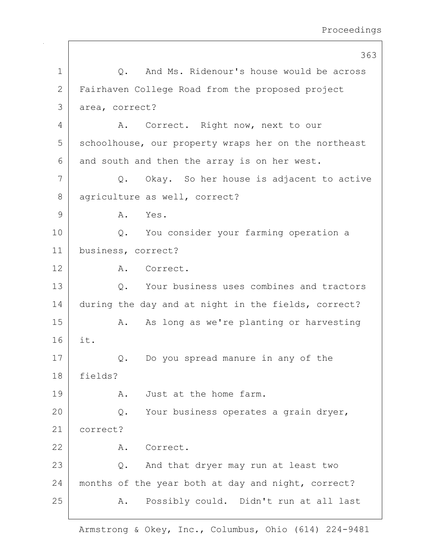|              | 363                                                  |
|--------------|------------------------------------------------------|
| $\mathbf 1$  | And Ms. Ridenour's house would be across<br>$Q$ .    |
| $\mathbf{2}$ | Fairhaven College Road from the proposed project     |
| 3            | area, correct?                                       |
| 4            | A. Correct. Right now, next to our                   |
| 5            | schoolhouse, our property wraps her on the northeast |
| 6            | and south and then the array is on her west.         |
| 7            | Q. Okay. So her house is adjacent to active          |
| 8            | agriculture as well, correct?                        |
| 9            | A. Yes.                                              |
| 10           | You consider your farming operation a<br>$Q$ .       |
| 11           | business, correct?                                   |
| 12           | A. Correct.                                          |
| 13           | Your business uses combines and tractors<br>$Q$ .    |
| 14           | during the day and at night in the fields, correct?  |
| 15           | As long as we're planting or harvesting<br>Α.        |
| 16           | it.                                                  |
| 17           | Do you spread manure in any of the<br>Q.             |
| 18           | fields?                                              |
| 19           | Just at the home farm.<br>Α.                         |
| 20           | Your business operates a grain dryer,<br>$Q$ .       |
| 21           | correct?                                             |
| 22           | Correct.<br>Α.                                       |
| 23           | And that dryer may run at least two<br>$Q$ .         |
| 24           | months of the year both at day and night, correct?   |
| 25           | Possibly could. Didn't run at all last<br>Α.         |
|              |                                                      |

 $\mathsf{I}$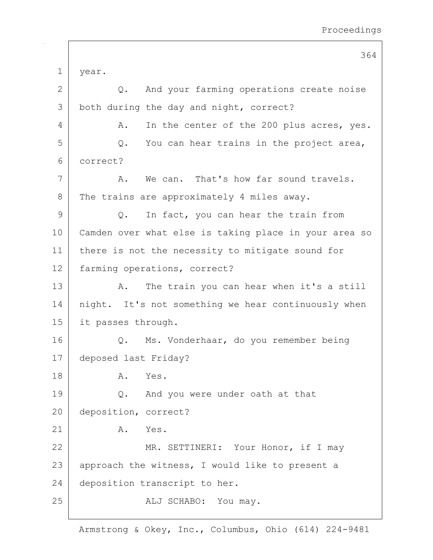364 1 year. 2 Q. And your farming operations create noise 3 both during the day and night, correct? 4 A. In the center of the 200 plus acres, yes.  $5$  Q. You can hear trains in the project area, 6 correct? 7 A. We can. That's how far sound travels. 8 The trains are approximately 4 miles away. 9 Q. In fact, you can hear the train from 10 Camden over what else is taking place in your area so 11 | there is not the necessity to mitigate sound for 12 | farming operations, correct? 13 A. The train you can hear when it's a still 14 | night. It's not something we hear continuously when 15 it passes through. 16 | Q. Ms. Vonderhaar, do you remember being 17 deposed last Friday? 18 A. Yes. 19 Q. And you were under oath at that 20 deposition, correct?  $21$  A. Yes. 22 MR. SETTINERI: Your Honor, if I may  $23$  approach the witness, I would like to present a 24 deposition transcript to her. 25 | REALJ SCHABO: You may.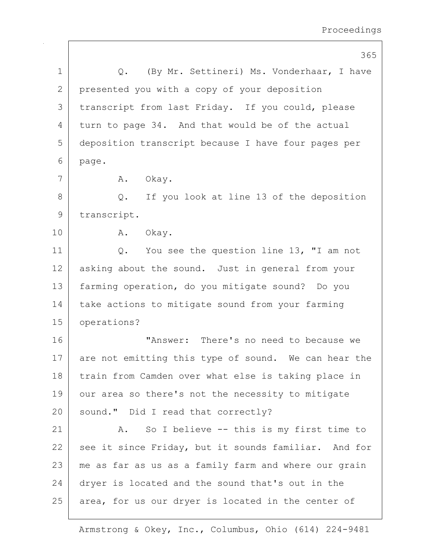|             | 365                                                  |
|-------------|------------------------------------------------------|
| 1           | (By Mr. Settineri) Ms. Vonderhaar, I have<br>Q.      |
| 2           | presented you with a copy of your deposition         |
| 3           | transcript from last Friday. If you could, please    |
| 4           | turn to page 34. And that would be of the actual     |
| 5           | deposition transcript because I have four pages per  |
| 6           | page.                                                |
| 7           | A. Okay.                                             |
| 8           | If you look at line 13 of the deposition<br>$Q$ .    |
| $\mathsf 9$ | transcript.                                          |
| 10          | A. Okay.                                             |
| 11          | You see the question line 13, "I am not<br>Q.        |
| 12          | asking about the sound. Just in general from your    |
| 13          | farming operation, do you mitigate sound? Do you     |
| 14          | take actions to mitigate sound from your farming     |
| 15          | operations?                                          |
| 16          | "Answer: There's no need to because we               |
| 17          | are not emitting this type of sound. We can hear the |
| 18          | train from Camden over what else is taking place in  |
| 19          | our area so there's not the necessity to mitigate    |
| 20          | sound." Did I read that correctly?                   |
| 21          | So I believe -- this is my first time to<br>A.       |
| 22          | see it since Friday, but it sounds familiar. And for |
| 23          | me as far as us as a family farm and where our grain |
| 24          | dryer is located and the sound that's out in the     |
| 25          | area, for us our dryer is located in the center of   |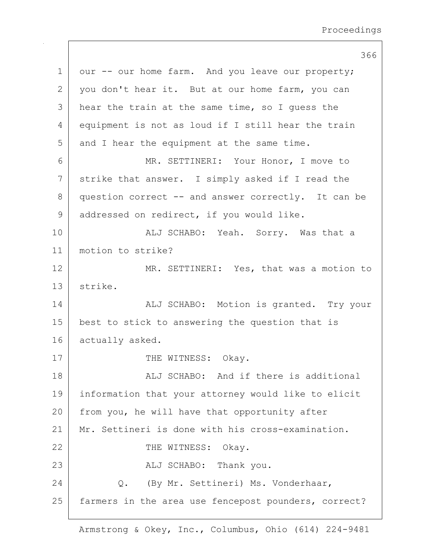366

1 our -- our home farm. And you leave our property;  $2$  you don't hear it. But at our home farm, you can 3 hear the train at the same time, so I quess the 4 equipment is not as loud if I still hear the train 5 and I hear the equipment at the same time. 6 MR. SETTINERI: Your Honor, I move to 7 strike that answer. I simply asked if I read the 8 question correct -- and answer correctly. It can be 9 addressed on redirect, if you would like. 10 | Kalj SCHABO: Yeah. Sorry. Was that a 11 motion to strike? 12 MR. SETTINERI: Yes, that was a motion to 13 strike. 14 | ALJ SCHABO: Motion is granted. Try your 15 best to stick to answering the question that is 16 actually asked. 17 THE WITNESS: Okay. 18 all SCHABO: And if there is additional 19 information that your attorney would like to elicit 20 from you, he will have that opportunity after 21 Mr. Settineri is done with his cross-examination. 22 THE WITNESS: Okay. 23 | REALI SCHABO: Thank you. 24 Q. (By Mr. Settineri) Ms. Vonderhaar, 25 farmers in the area use fencepost pounders, correct?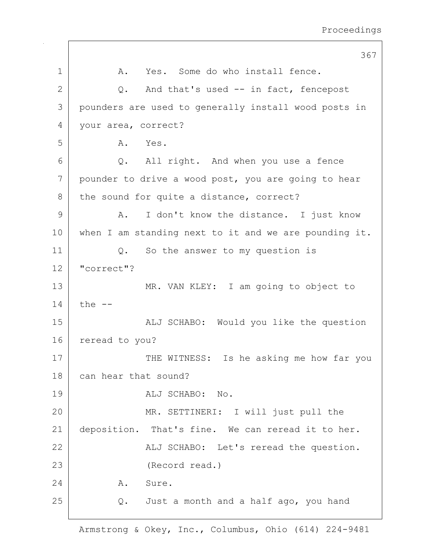367 1 A. Yes. Some do who install fence.  $2$  Q. And that's used  $-$  in fact, fencepost 3 pounders are used to generally install wood posts in 4 your area, correct? 5 A. Yes. 6 Q. All right. And when you use a fence 7 pounder to drive a wood post, you are going to hear 8 the sound for quite a distance, correct? 9 A. I don't know the distance. I just know 10 when I am standing next to it and we are pounding it. 11 | Q. So the answer to my question is 12 "correct"? 13 MR. VAN KLEY: I am going to object to  $14$  the  $-$ 15 | The South Mould you like the question 16 reread to you? 17 THE WITNESS: Is he asking me how far you 18 can hear that sound? 19 | ALJ SCHABO: No. 20 MR. SETTINERI: I will just pull the 21 deposition. That's fine. We can reread it to her. 22 | ALJ SCHABO: Let's reread the question. 23 (Record read.) 24 A. Sure. 25 | Q. Just a month and a half ago, you hand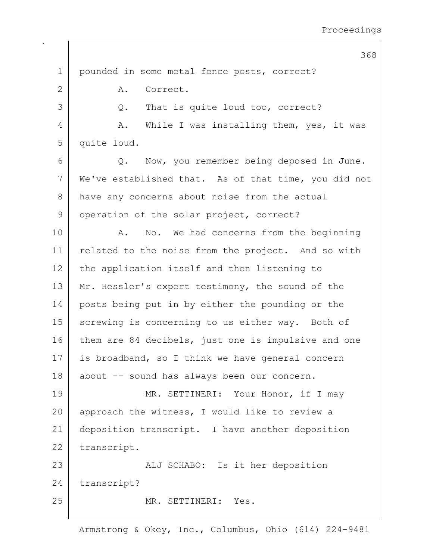368 1 pounded in some metal fence posts, correct? 2 A. Correct. 3 Q. That is quite loud too, correct? 4 A. While I was installing them, yes, it was 5 quite loud. 6 Q. Now, you remember being deposed in June. 7 | We've established that. As of that time, you did not 8 have any concerns about noise from the actual 9 operation of the solar project, correct? 10 | A. No. We had concerns from the beginning 11 | related to the noise from the project. And so with 12 the application itself and then listening to 13 Mr. Hessler's expert testimony, the sound of the 14 posts being put in by either the pounding or the 15 | screwing is concerning to us either way. Both of 16 them are 84 decibels, just one is impulsive and one 17 is broadband, so I think we have general concern 18 about -- sound has always been our concern. 19 MR. SETTINERI: Your Honor, if I may 20 approach the witness, I would like to review a 21 | deposition transcript. I have another deposition 22 transcript. 23 | ALJ SCHABO: Is it her deposition 24 transcript? 25 MR. SETTINERI: Yes.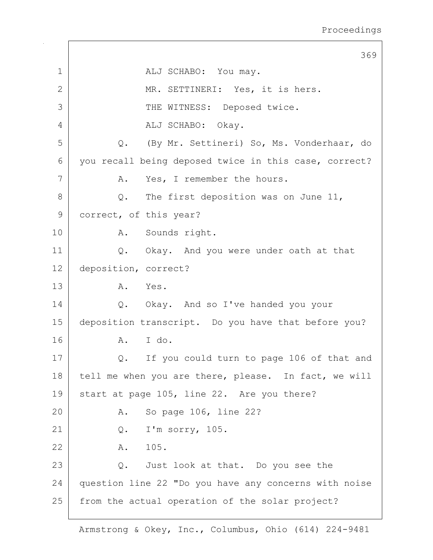369 1 ALJ SCHABO: You may. 2 MR. SETTINERI: Yes, it is hers. 3 THE WITNESS: Deposed twice. 4 ALJ SCHABO: Okay. 5 Q. (By Mr. Settineri) So, Ms. Vonderhaar, do 6 you recall being deposed twice in this case, correct? 7 A. Yes, I remember the hours.  $8$  Q. The first deposition was on June 11, 9 correct, of this year? 10 | A. Sounds right. 11 | Q. Okay. And you were under oath at that 12 deposition, correct? 13 A. Yes. 14 Q. Okay. And so I've handed you your 15 deposition transcript. Do you have that before you? 16 A. I do. 17 Q. If you could turn to page 106 of that and 18 tell me when you are there, please. In fact, we will 19 start at page 105, line 22. Are you there? 20 A. So page 106, line 22? 21 Q. I'm sorry, 105. 22 A. 105. 23 Q. Just look at that. Do you see the 24 question line 22 "Do you have any concerns with noise 25 from the actual operation of the solar project?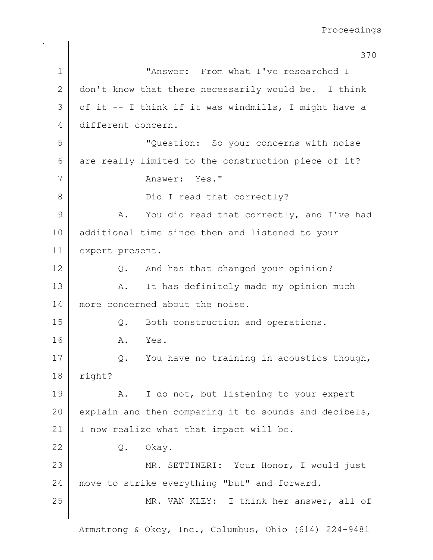370 1 "Answer: From what I've researched I 2 don't know that there necessarily would be. I think  $3$  of it -- I think if it was windmills, I might have a 4 different concern. 5 "Question: So your concerns with noise 6 are really limited to the construction piece of it? 7 | Answer: Yes." 8 | Did I read that correctly? 9 A. You did read that correctly, and I've had 10 additional time since then and listened to your 11 expert present. 12 Q. And has that changed your opinion? 13 | A. It has definitely made my opinion much 14 | more concerned about the noise. 15 | Q. Both construction and operations. 16 A. Yes. 17 | Q. You have no training in acoustics though, 18 right? 19 | A. I do not, but listening to your expert 20 explain and then comparing it to sounds and decibels, 21 | I now realize what that impact will be. 22 Q. Okay. 23 | MR. SETTINERI: Your Honor, I would just 24 move to strike everything "but" and forward. 25 | MR. VAN KLEY: I think her answer, all of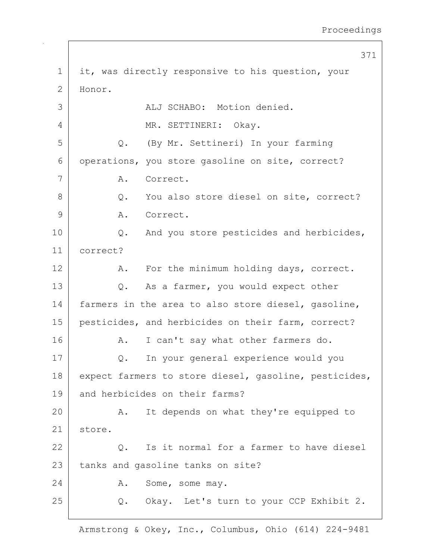|              | 371                                                   |
|--------------|-------------------------------------------------------|
| $\mathbf 1$  | it, was directly responsive to his question, your     |
| $\mathbf{2}$ | Honor.                                                |
| 3            | ALJ SCHABO: Motion denied.                            |
| 4            | MR. SETTINERI: Okay.                                  |
| 5            | (By Mr. Settineri) In your farming<br>Q.              |
| 6            | operations, you store gasoline on site, correct?      |
| 7            | Α.<br>Correct.                                        |
| 8            | You also store diesel on site, correct?<br>$Q$ .      |
| 9            | Α.<br>Correct.                                        |
| 10           | And you store pesticides and herbicides,<br>Q.        |
| 11           | correct?                                              |
| 12           | For the minimum holding days, correct.<br>A.          |
| 13           | As a farmer, you would expect other<br>Q.             |
| 14           | farmers in the area to also store diesel, gasoline,   |
| 15           | pesticides, and herbicides on their farm, correct?    |
| 16           | I can't say what other farmers do.<br>Α.              |
| 17           | In your general experience would you<br>Q.            |
| 18           | expect farmers to store diesel, gasoline, pesticides, |
| 19           | and herbicides on their farms?                        |
| 20           | It depends on what they're equipped to<br>A.          |
| 21           | store.                                                |
| 22           | Is it normal for a farmer to have diesel<br>$Q$ .     |
| 23           | tanks and gasoline tanks on site?                     |
| 24           | Α.<br>Some, some may.                                 |
| 25           | Q. Okay. Let's turn to your CCP Exhibit 2.            |
|              |                                                       |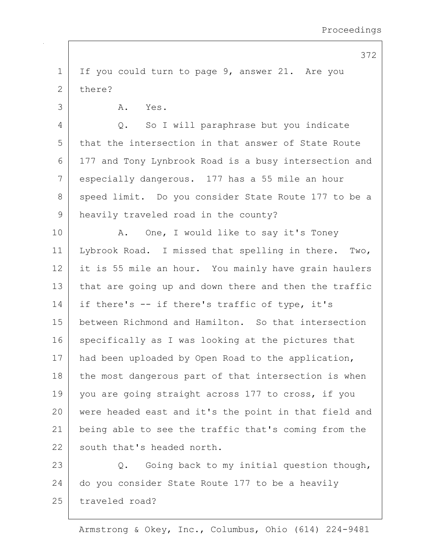1 If you could turn to page 9, answer 21. Are you 2 there? 3 A. Yes. 4 Q. So I will paraphrase but you indicate 5 that the intersection in that answer of State Route 6 177 and Tony Lynbrook Road is a busy intersection and 7 especially dangerous. 177 has a 55 mile an hour 8 | speed limit. Do you consider State Route 177 to be a 9 heavily traveled road in the county? 10 | A. One, I would like to say it's Toney 11 Lybrook Road. I missed that spelling in there. Two, 12 it is 55 mile an hour. You mainly have grain haulers 13 that are going up and down there and then the traffic 14 if there's  $-$  if there's traffic of type, it's 15 between Richmond and Hamilton. So that intersection 16 specifically as I was looking at the pictures that 17 | had been uploaded by Open Road to the application, 18 the most dangerous part of that intersection is when 19 you are going straight across 177 to cross, if you 20 were headed east and it's the point in that field and 21 being able to see the traffic that's coming from the 22 south that's headed north. 23 Q. Going back to my initial question though, 24 do you consider State Route 177 to be a heavily 25 traveled road?

372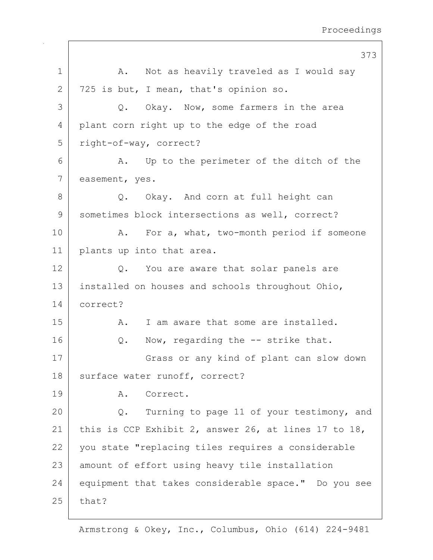|              | 373                                                  |
|--------------|------------------------------------------------------|
| $\mathbf 1$  | A. Not as heavily traveled as I would say            |
| $\mathbf{2}$ | 725 is but, I mean, that's opinion so.               |
| 3            | Q. Okay. Now, some farmers in the area               |
| 4            | plant corn right up to the edge of the road          |
| 5            | right-of-way, correct?                               |
| 6            | Up to the perimeter of the ditch of the<br>A.        |
| 7            | easement, yes.                                       |
| $8\,$        | Okay. And corn at full height can<br>Q.              |
| 9            | sometimes block intersections as well, correct?      |
| 10           | For a, what, two-month period if someone<br>Α.       |
| 11           | plants up into that area.                            |
| 12           | Q. You are aware that solar panels are               |
| 13           | installed on houses and schools throughout Ohio,     |
| 14           | correct?                                             |
| 15           | I am aware that some are installed.<br>Α.            |
| 16           | Now, regarding the -- strike that.<br>Q.             |
| 17           | Grass or any kind of plant can slow down             |
| 18           | surface water runoff, correct?                       |
| 19           | Correct.<br>Α.                                       |
| 20           | Turning to page 11 of your testimony, and<br>Q.      |
| 21           | this is CCP Exhibit 2, answer 26, at lines 17 to 18, |
| 22           | you state "replacing tiles requires a considerable   |
| 23           | amount of effort using heavy tile installation       |
| 24           | equipment that takes considerable space." Do you see |
| 25           | that?                                                |
|              |                                                      |

 $\mathsf{I}$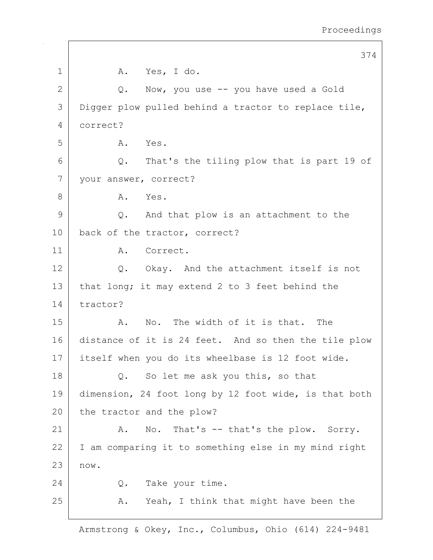374 1 | A. Yes, I do.  $2$  Q. Now, you use  $-$  you have used a Gold 3 Digger plow pulled behind a tractor to replace tile, 4 correct? 5 A. Yes.  $6$  Q. That's the tiling plow that is part 19 of 7 your answer, correct? 8 A. Yes.  $9$  Q. And that plow is an attachment to the 10 | back of the tractor, correct? 11 | A. Correct. 12 Q. Okay. And the attachment itself is not 13 | that long; it may extend 2 to 3 feet behind the 14 tractor? 15 A. No. The width of it is that. The 16 distance of it is 24 feet. And so then the tile plow 17 itself when you do its wheelbase is 12 foot wide. 18 Q. So let me ask you this, so that 19 dimension, 24 foot long by 12 foot wide, is that both 20 the tractor and the plow? 21 | A. No. That's -- that's the plow. Sorry. 22 I am comparing it to something else in my mind right 23 now. 24 O. Take your time. 25 A. Yeah, I think that might have been the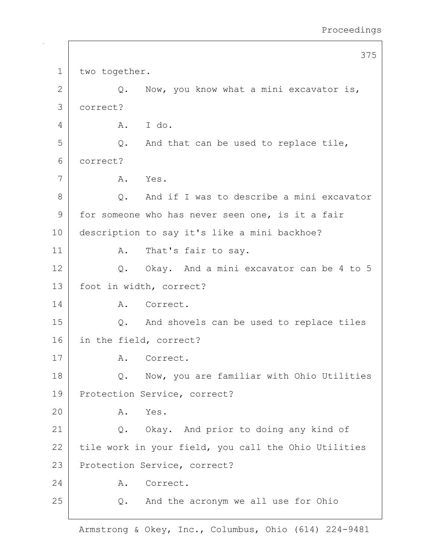375 1 two together.  $2$  Q. Now, you know what a mini excavator is, 3 correct? 4 A. I do.  $5$  Q. And that can be used to replace tile, 6 correct? 7 A. Yes. 8 Q. And if I was to describe a mini excavator 9 for someone who has never seen one, is it a fair 10 description to say it's like a mini backhoe? 11 | A. That's fair to say. 12 Q. Okay. And a mini excavator can be 4 to 5 13 foot in width, correct? 14 A. Correct. 15 Q. And shovels can be used to replace tiles 16 in the field, correct? 17 A. Correct. 18 | Q. Now, you are familiar with Ohio Utilities 19 Protection Service, correct? 20 A. Yes. 21 | Q. Okay. And prior to doing any kind of  $22$  tile work in your field, you call the Ohio Utilities 23 Protection Service, correct? 24 A. Correct.  $25$  Q. And the acronym we all use for Ohio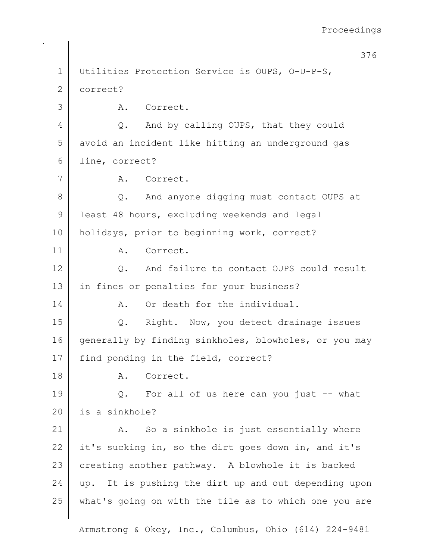376 1 Utilities Protection Service is OUPS, O-U-P-S, 2 correct? 3 A. Correct. 4 Q. And by calling OUPS, that they could 5 avoid an incident like hitting an underground gas 6 line, correct? 7 | A. Correct. 8 Q. And anyone digging must contact OUPS at 9 least 48 hours, excluding weekends and legal 10 holidays, prior to beginning work, correct? 11 A. Correct. 12 | C. And failure to contact OUPS could result 13 | in fines or penalties for your business? 14 A. Or death for the individual. 15 | Q. Right. Now, you detect drainage issues 16 generally by finding sinkholes, blowholes, or you may 17 | find ponding in the field, correct? 18 A. Correct. 19 Q. For all of us here can you just -- what 20 is a sinkhole? 21 | A. So a sinkhole is just essentially where 22 it's sucking in, so the dirt goes down in, and it's 23 creating another pathway. A blowhole it is backed  $24$  up. It is pushing the dirt up and out depending upon 25 what's going on with the tile as to which one you are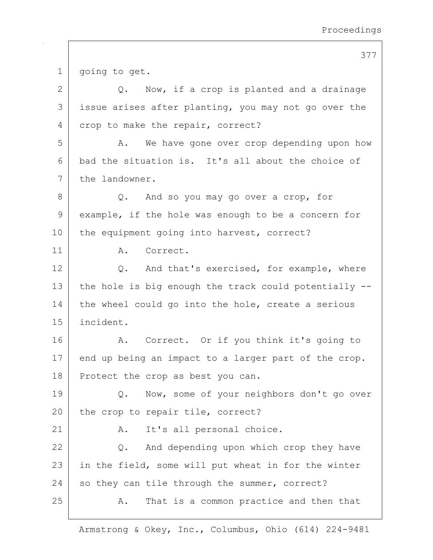377

1 | going to get.  $2$  Q. Now, if a crop is planted and a drainage 3 issue arises after planting, you may not go over the 4 crop to make the repair, correct? 5 A. We have gone over crop depending upon how 6 bad the situation is. It's all about the choice of 7 the landowner. 8 Q. And so you may go over a crop, for 9 example, if the hole was enough to be a concern for 10 | the equipment going into harvest, correct? 11 A. Correct. 12 | Q. And that's exercised, for example, where 13 the hole is big enough the track could potentially  $-$ -14 the wheel could go into the hole, create a serious 15 incident. 16 | A. Correct. Or if you think it's going to 17 end up being an impact to a larger part of the crop. 18 Protect the crop as best you can. 19 | Q. Now, some of your neighbors don't go over 20 the crop to repair tile, correct? 21 | A. It's all personal choice. 22 Q. And depending upon which crop they have 23 | in the field, some will put wheat in for the winter  $24$  so they can tile through the summer, correct? 25 A. That is a common practice and then that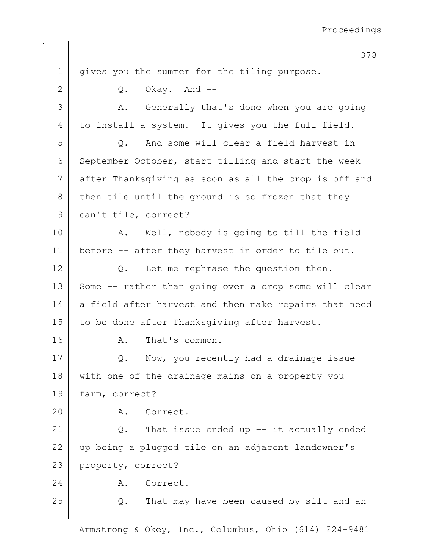378 1 | gives you the summer for the tiling purpose.  $2$  Q. Okay. And  $-$ 3 | A. Generally that's done when you are going 4 to install a system. It gives you the full field. 5 | C. And some will clear a field harvest in 6 September-October, start tilling and start the week 7 after Thanksgiving as soon as all the crop is off and  $8$  then tile until the ground is so frozen that they 9 | can't tile, correct? 10 | A. Well, nobody is going to till the field 11 before -- after they harvest in order to tile but.  $12$  Q. Let me rephrase the question then. 13 Some -- rather than going over a crop some will clear  $14$  a field after harvest and then make repairs that need 15 | to be done after Thanksgiving after harvest. 16 A. That's common. 17 | Q. Now, you recently had a drainage issue 18 with one of the drainage mains on a property you 19 farm, correct? 20 A. Correct. 21  $\vert$  2. That issue ended up  $-$  it actually ended 22 up being a plugged tile on an adjacent landowner's 23 property, correct? 24 A. Correct. 25 Q. That may have been caused by silt and an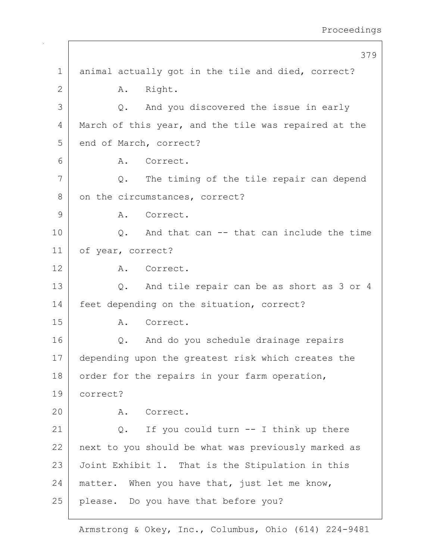|                | 379                                                  |
|----------------|------------------------------------------------------|
| 1              | animal actually got in the tile and died, correct?   |
| $\overline{2}$ | Right.<br>A.                                         |
| 3              | And you discovered the issue in early<br>$Q$ .       |
| 4              | March of this year, and the tile was repaired at the |
| 5              | end of March, correct?                               |
| 6              | A. Correct.                                          |
| 7              | The timing of the tile repair can depend<br>Q.       |
| 8              | on the circumstances, correct?                       |
| 9              | Correct.<br>A.                                       |
| 10             | Q. And that can -- that can include the time         |
| 11             | of year, correct?                                    |
| 12             | Correct.<br>A.                                       |
| 13             | And tile repair can be as short as 3 or 4<br>Q.      |
| 14             | feet depending on the situation, correct?            |
| 15             | A. Correct.                                          |
| 16             | And do you schedule drainage repairs<br>Q.           |
| 17             | depending upon the greatest risk which creates the   |
| 18             | order for the repairs in your farm operation,        |
| 19             | correct?                                             |
| 20             | A. Correct.                                          |
| 21             | If you could turn $--$ I think up there<br>Q.        |
| 22             | next to you should be what was previously marked as  |
| 23             | Joint Exhibit 1. That is the Stipulation in this     |
| 24             | matter. When you have that, just let me know,        |
| 25             | please. Do you have that before you?                 |

 $\mathsf{I}$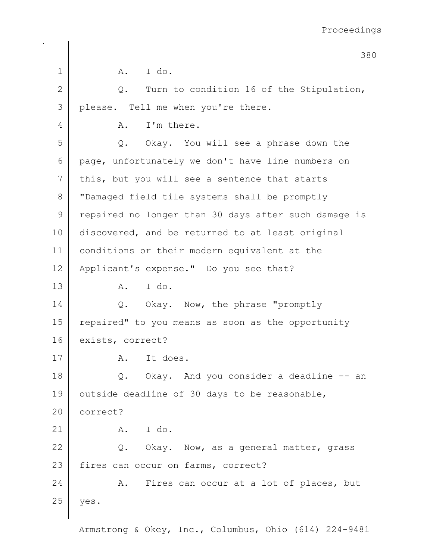|               | 380                                                  |
|---------------|------------------------------------------------------|
| $\mathbf 1$   | A. I do.                                             |
| 2             | Turn to condition 16 of the Stipulation,<br>$Q$ .    |
| 3             | please. Tell me when you're there.                   |
| 4             | I'm there.<br>Α.                                     |
| 5             | Q. Okay. You will see a phrase down the              |
| 6             | page, unfortunately we don't have line numbers on    |
| 7             | this, but you will see a sentence that starts        |
| 8             | "Damaged field tile systems shall be promptly        |
| $\mathcal{G}$ | repaired no longer than 30 days after such damage is |
| 10            | discovered, and be returned to at least original     |
| 11            | conditions or their modern equivalent at the         |
| 12            | Applicant's expense." Do you see that?               |
| 13            | I do.<br>A.                                          |
| 14            | Q. Okay. Now, the phrase "promptly                   |
| 15            | repaired" to you means as soon as the opportunity    |
| 16            | exists, correct?                                     |
| 17            | It does.<br>A.                                       |
| 18            | Okay. And you consider a deadline -- an<br>Q.        |
| 19            | outside deadline of 30 days to be reasonable,        |
| 20            | correct?                                             |
| 21            | I do.<br>A.                                          |
| 22            | Q. Okay. Now, as a general matter, grass             |
| 23            | fires can occur on farms, correct?                   |
| 24            | Fires can occur at a lot of places, but<br>Α.        |
| 25            | yes.                                                 |
|               |                                                      |

 $\mathbf{I}$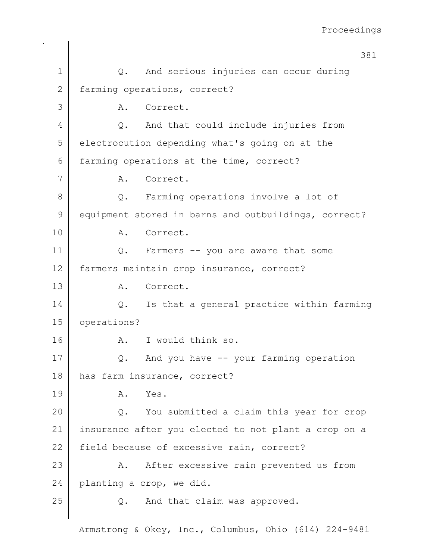|                | 381                                                  |
|----------------|------------------------------------------------------|
| $\mathbf 1$    | Q. And serious injuries can occur during             |
| $\mathbf{2}$   | farming operations, correct?                         |
| 3              | Correct.<br>Α.                                       |
| $\overline{4}$ | And that could include injuries from<br>$Q$ .        |
| 5              | electrocution depending what's going on at the       |
| 6              | farming operations at the time, correct?             |
| 7              | A. Correct.                                          |
| 8              | Farming operations involve a lot of<br>Q.            |
| 9              | equipment stored in barns and outbuildings, correct? |
| 10             | Correct.<br>Α.                                       |
| 11             | Farmers -- you are aware that some<br>$Q$ .          |
| 12             | farmers maintain crop insurance, correct?            |
| 13             | Correct.<br>Α.                                       |
| 14             | Is that a general practice within farming<br>Q.      |
| 15             | operations?                                          |
| 16             | A.<br>I would think so.                              |
| 17             | And you have -- your farming operation<br>Q.         |
| 18             | has farm insurance, correct?                         |
| 19             | Yes.<br>Α.                                           |
| 20             | You submitted a claim this year for crop<br>$Q$ .    |
| 21             | insurance after you elected to not plant a crop on a |
| 22             | field because of excessive rain, correct?            |
| 23             | A. After excessive rain prevented us from            |
| 24             | planting a crop, we did.                             |
| 25             | And that claim was approved.<br>Q.                   |
|                |                                                      |

 $\mathbf{I}$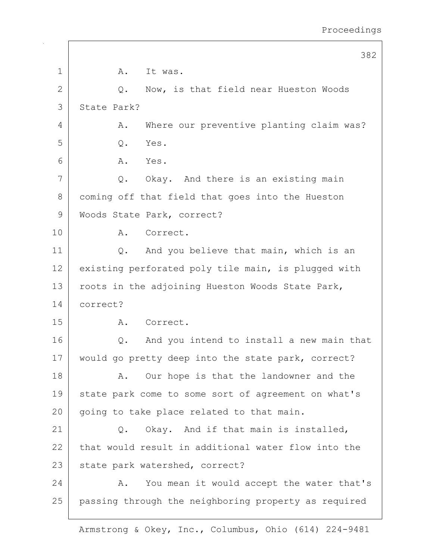|              | 382                                                  |
|--------------|------------------------------------------------------|
| 1            | Α.<br>It was.                                        |
| $\mathbf{2}$ | Now, is that field near Hueston Woods<br>Q.          |
| 3            | State Park?                                          |
| 4            | Where our preventive planting claim was?<br>Α.       |
| 5            | Yes.<br>Q.                                           |
| 6            | A. Yes.                                              |
| 7            | Q. Okay. And there is an existing main               |
| 8            | coming off that field that goes into the Hueston     |
| 9            | Woods State Park, correct?                           |
| 10           | Correct.<br>Α.                                       |
| 11           | And you believe that main, which is an<br>Q.         |
| 12           | existing perforated poly tile main, is plugged with  |
| 13           | roots in the adjoining Hueston Woods State Park,     |
| 14           | correct?                                             |
| 15           | Correct.<br>A.                                       |
| 16           | And you intend to install a new main that<br>Q.      |
| 17           | would go pretty deep into the state park, correct?   |
| 18           | Our hope is that the landowner and the<br>Α.         |
| 19           | state park come to some sort of agreement on what's  |
| 20           | going to take place related to that main.            |
| 21           | Okay. And if that main is installed,<br>Q.           |
| 22           | that would result in additional water flow into the  |
| 23           | state park watershed, correct?                       |
| 24           | You mean it would accept the water that's<br>Α.      |
| 25           | passing through the neighboring property as required |
|              |                                                      |

 $\mathsf{I}$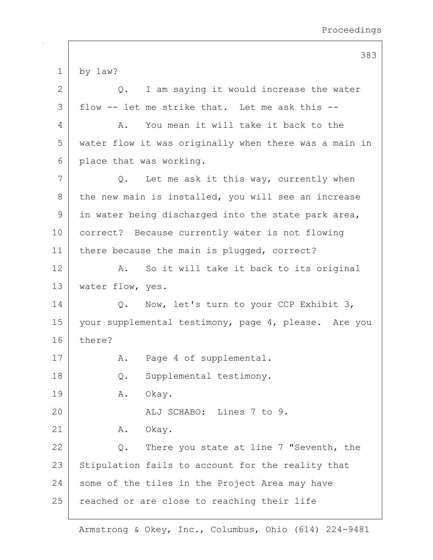383 1 by law? 2 Q. I am saying it would increase the water  $3$  flow -- let me strike that. Let me ask this --4 A. You mean it will take it back to the 5 water flow it was originally when there was a main in 6 place that was working. 7 Q. Let me ask it this way, currently when  $8$  the new main is installed, you will see an increase 9 in water being discharged into the state park area, 10 correct? Because currently water is not flowing 11 | there because the main is plugged, correct? 12 A. So it will take it back to its original 13 | water flow, yes. 14 | C. Now, let's turn to your CCP Exhibit 3, 15 | your supplemental testimony, page 4, please. Are you 16 there? 17 | A. Page 4 of supplemental. 18 Q. Supplemental testimony. 19 | A. Okay. 20 ALJ SCHABO: Lines 7 to 9. 21 | A. Okay. 22  $\vert$  Q. There you state at line 7 "Seventh, the 23 Stipulation fails to account for the reality that 24 some of the tiles in the Project Area may have 25 | reached or are close to reaching their life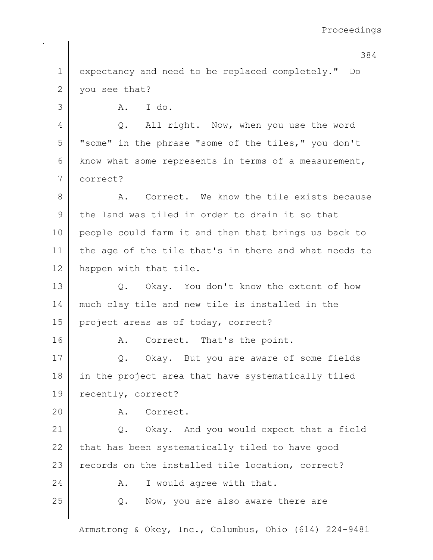384

1 expectancy and need to be replaced completely." Do 2 | you see that? 3 A. I do. 4 Q. All right. Now, when you use the word 5 | "some" in the phrase "some of the tiles," you don't  $6$  know what some represents in terms of a measurement, 7 correct? 8 A. Correct. We know the tile exists because 9 the land was tiled in order to drain it so that 10 people could farm it and then that brings us back to 11 the age of the tile that's in there and what needs to 12 happen with that tile. 13 Q. Okay. You don't know the extent of how 14 much clay tile and new tile is installed in the 15 | project areas as of today, correct? 16 A. Correct. That's the point. 17 | Q. Okay. But you are aware of some fields 18 in the project area that have systematically tiled 19 | recently, correct? 20 A. Correct. 21 | Q. Okay. And you would expect that a field 22 that has been systematically tiled to have good 23 records on the installed tile location, correct? 24 A. I would agree with that. 25 Q. Now, you are also aware there are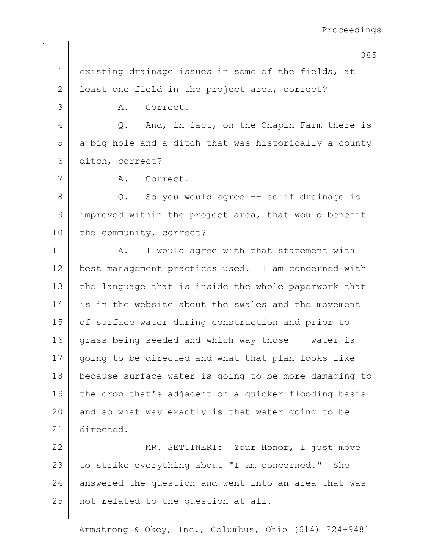385

1 existing drainage issues in some of the fields, at 2 | least one field in the project area, correct? 3 A. Correct. 4 Q. And, in fact, on the Chapin Farm there is 5 a big hole and a ditch that was historically a county 6 ditch, correct? 7 | A. Correct. 8 Q. So you would agree -- so if drainage is 9 | improved within the project area, that would benefit 10 the community, correct? 11 | A. I would agree with that statement with 12 best management practices used. I am concerned with 13 the language that is inside the whole paperwork that 14 is in the website about the swales and the movement 15 of surface water during construction and prior to 16 grass being seeded and which way those -- water is 17 going to be directed and what that plan looks like 18 because surface water is going to be more damaging to 19 the crop that's adjacent on a quicker flooding basis  $20$  and so what way exactly is that water going to be 21 directed. 22 MR. SETTINERI: Your Honor, I just move 23 to strike everything about "I am concerned." She 24 answered the question and went into an area that was 25 | not related to the question at all.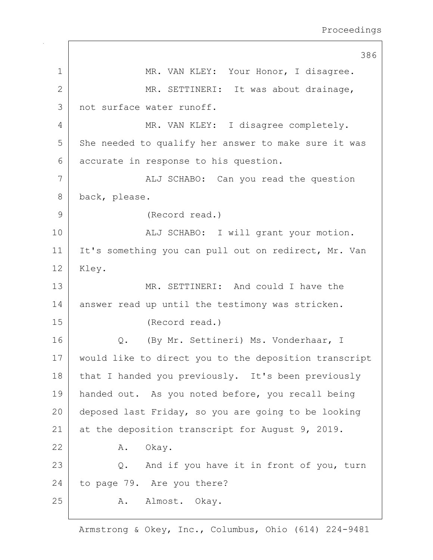386 1 MR. VAN KLEY: Your Honor, I disagree. 2 MR. SETTINERI: It was about drainage, 3 not surface water runoff. 4 MR. VAN KLEY: I disagree completely. 5 She needed to qualify her answer to make sure it was 6 accurate in response to his question. 7 | ALJ SCHABO: Can you read the question 8 back, please. 9 (Record read.) 10 | REGIN ALJ SCHABO: I will grant your motion. 11 | It's something you can pull out on redirect, Mr. Van 12 Kley. 13 MR. SETTINERI: And could I have the 14 answer read up until the testimony was stricken. 15 (Record read.) 16 | Q. (By Mr. Settineri) Ms. Vonderhaar, I 17 would like to direct you to the deposition transcript 18 that I handed you previously. It's been previously 19 handed out. As you noted before, you recall being 20 deposed last Friday, so you are going to be looking 21 at the deposition transcript for August 9, 2019. 22 A. Okay. 23 | Q. And if you have it in front of you, turn 24 to page 79. Are you there? 25 A. Almost. Okay.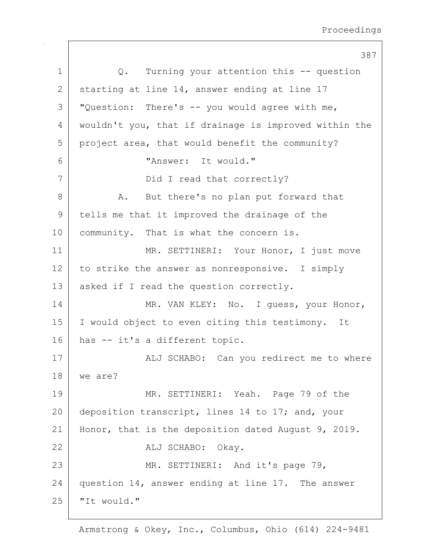387 1 |  $Q$ . Turning your attention this -- question 2 starting at line 14, answer ending at line 17  $3$   $\sqrt{ }$  "Question: There's -- you would agree with me, 4 wouldn't you, that if drainage is improved within the 5 project area, that would benefit the community? 6 "Answer: It would." 7 | Did I read that correctly? 8 A. But there's no plan put forward that 9 tells me that it improved the drainage of the 10 | community. That is what the concern is. 11 | MR. SETTINERI: Your Honor, I just move  $12$  to strike the answer as nonresponsive. I simply 13 | asked if I read the question correctly. 14 MR. VAN KLEY: No. I quess, your Honor, 15 I would object to even citing this testimony. It 16 has -- it's a different topic. 17 | ALJ SCHABO: Can you redirect me to where 18 we are? 19 MR. SETTINERI: Yeah. Page 79 of the 20 deposition transcript, lines 14 to 17; and, your 21 | Honor, that is the deposition dated August 9, 2019. 22 ALJ SCHABO: Okay. 23 MR. SETTINERI: And it's page 79, 24 question 14, answer ending at line 17. The answer  $25$  | "It would."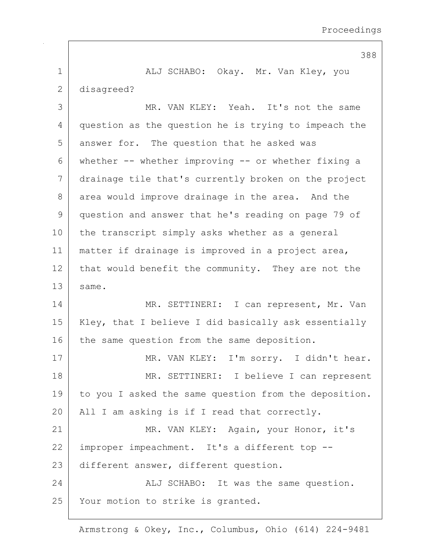388 1 ALJ SCHABO: Okay. Mr. Van Kley, you 2 disagreed? 3 MR. VAN KLEY: Yeah. It's not the same 4 question as the question he is trying to impeach the 5 answer for. The question that he asked was 6 whether -- whether improving -- or whether fixing a 7 drainage tile that's currently broken on the project 8 area would improve drainage in the area. And the 9 question and answer that he's reading on page 79 of 10 the transcript simply asks whether as a general 11 matter if drainage is improved in a project area, 12 that would benefit the community. They are not the 13 same. 14 MR. SETTINERI: I can represent, Mr. Van 15 | Kley, that I believe I did basically ask essentially 16 the same question from the same deposition. 17 | MR. VAN KLEY: I'm sorry. I didn't hear. 18 | MR. SETTINERI: I believe I can represent 19 to you I asked the same question from the deposition. 20 | All I am asking is if I read that correctly. 21 MR. VAN KLEY: Again, your Honor, it's 22 | improper impeachment. It's a different top --23 different answer, different question. 24 ALJ SCHABO: It was the same question. 25 | Your motion to strike is granted.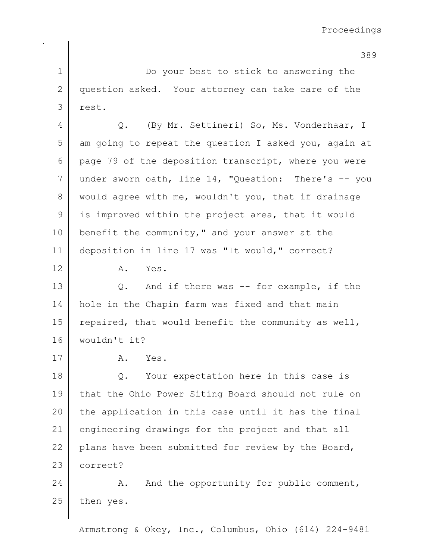389 1 Do your best to stick to answering the 2 question asked. Your attorney can take care of the 3 rest. 4 Q. (By Mr. Settineri) So, Ms. Vonderhaar, I  $5$  am going to repeat the question I asked you, again at 6 page 79 of the deposition transcript, where you were 7 | under sworn oath, line 14, "Question: There's  $-$  you 8 would agree with me, wouldn't you, that if drainage 9 is improved within the project area, that it would 10 benefit the community," and your answer at the 11 deposition in line 17 was "It would," correct? 12 A. Yes. 13 Q. And if there was -- for example, if the 14 hole in the Chapin farm was fixed and that main 15 | repaired, that would benefit the community as well, 16 wouldn't it? 17 A. Yes. 18 Q. Your expectation here in this case is 19 that the Ohio Power Siting Board should not rule on 20 the application in this case until it has the final 21 engineering drawings for the project and that all 22 plans have been submitted for review by the Board, 23 correct? 24 A. And the opportunity for public comment, 25 then yes.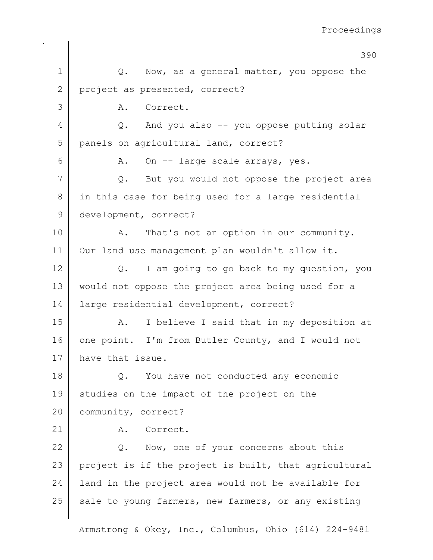|    | 390                                                   |
|----|-------------------------------------------------------|
| 1  | Q. Now, as a general matter, you oppose the           |
| 2  | project as presented, correct?                        |
| 3  | Correct.<br>Α.                                        |
| 4  | And you also -- you oppose putting solar<br>Q.        |
| 5  | panels on agricultural land, correct?                 |
| 6  | On -- large scale arrays, yes.<br>Α.                  |
| 7  | Q. But you would not oppose the project area          |
| 8  | in this case for being used for a large residential   |
| 9  | development, correct?                                 |
| 10 | That's not an option in our community.<br>Α.          |
| 11 | Our land use management plan wouldn't allow it.       |
| 12 | I am going to go back to my question, you<br>Q.       |
| 13 | would not oppose the project area being used for a    |
| 14 | large residential development, correct?               |
| 15 | I believe I said that in my deposition at<br>A.       |
| 16 | one point. I'm from Butler County, and I would not    |
| 17 | have that issue.                                      |
| 18 | Q. You have not conducted any economic                |
| 19 | studies on the impact of the project on the           |
| 20 | community, correct?                                   |
| 21 | Α.<br>Correct.                                        |
| 22 | Q. Now, one of your concerns about this               |
| 23 | project is if the project is built, that agricultural |
| 24 | land in the project area would not be available for   |
| 25 | sale to young farmers, new farmers, or any existing   |
|    |                                                       |

 $\mathbf{I}$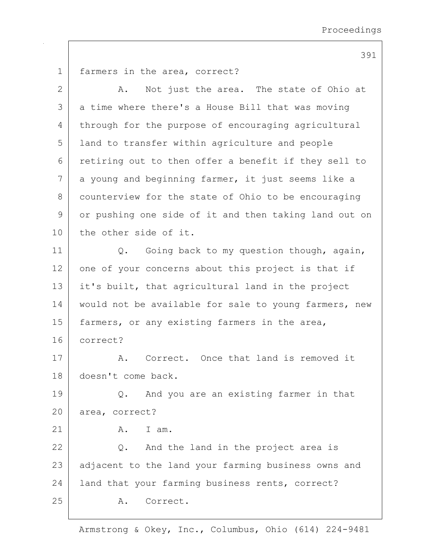391

1 farmers in the area, correct? 2 A. Not just the area. The state of Ohio at 3 a time where there's a House Bill that was moving 4 through for the purpose of encouraging agricultural 5 land to transfer within agriculture and people 6 retiring out to then offer a benefit if they sell to  $7$  a young and beginning farmer, it just seems like a 8 counterview for the state of Ohio to be encouraging 9 or pushing one side of it and then taking land out on 10 the other side of it. 11 | Q. Going back to my question though, again, 12 | one of your concerns about this project is that if 13 it's built, that agricultural land in the project 14 | would not be available for sale to young farmers, new 15 | farmers, or any existing farmers in the area, 16 correct? 17 A. Correct. Once that land is removed it 18 doesn't come back. 19 | Q. And you are an existing farmer in that 20 area, correct?  $21$  A. Tam.  $22$  Q. And the land in the project area is 23 adjacent to the land your farming business owns and 24 | land that your farming business rents, correct? 25 A. Correct.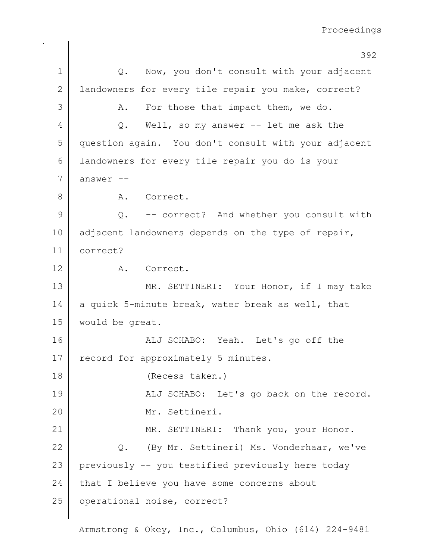392 1 | Q. Now, you don't consult with your adjacent 2 | landowners for every tile repair you make, correct? 3 A. For those that impact them, we do. 4 Q. Well, so my answer -- let me ask the 5 question again. You don't consult with your adjacent 6 landowners for every tile repair you do is your  $7$  answer  $-$ 8 A. Correct. 9 Q. -- correct? And whether you consult with 10 adjacent landowners depends on the type of repair, 11 correct? 12 A. Correct. 13 MR. SETTINERI: Your Honor, if I may take 14 a quick 5-minute break, water break as well, that 15 would be great. 16 ALJ SCHABO: Yeah. Let's go off the 17 record for approximately 5 minutes. 18 (Recess taken.) 19 | ALJ SCHABO: Let's go back on the record. 20 Mr. Settineri. 21 | MR. SETTINERI: Thank you, your Honor. 22 Q. (By Mr. Settineri) Ms. Vonderhaar, we've 23 previously -- you testified previously here today 24 that I believe you have some concerns about 25 | operational noise, correct?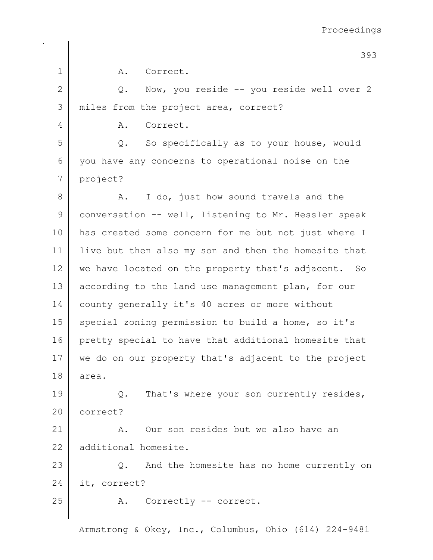|              | 393                                                  |
|--------------|------------------------------------------------------|
| 1            | Α.<br>Correct.                                       |
| $\mathbf{2}$ | Now, you reside -- you reside well over 2<br>Q.      |
| 3            | miles from the project area, correct?                |
| 4            | Correct.<br>Α.                                       |
| 5            | So specifically as to your house, would<br>Q.        |
| 6            | you have any concerns to operational noise on the    |
| 7            | project?                                             |
| 8            | I do, just how sound travels and the<br>Α.           |
| 9            | conversation -- well, listening to Mr. Hessler speak |
| 10           | has created some concern for me but not just where I |
| 11           | live but then also my son and then the homesite that |
| 12           | we have located on the property that's adjacent. So  |
| 13           | according to the land use management plan, for our   |
| 14           | county generally it's 40 acres or more without       |
| 15           | special zoning permission to build a home, so it's   |
| 16           | pretty special to have that additional homesite that |
| 17           | we do on our property that's adjacent to the project |
| 18           | area.                                                |
| 19           | That's where your son currently resides,<br>$Q$ .    |
| 20           | correct?                                             |
| 21           | Our son resides but we also have an<br>Α.            |
| 22           | additional homesite.                                 |
| 23           | Q. And the homesite has no home currently on         |
| 24           | it, correct?                                         |
| 25           | A. Correctly -- correct.                             |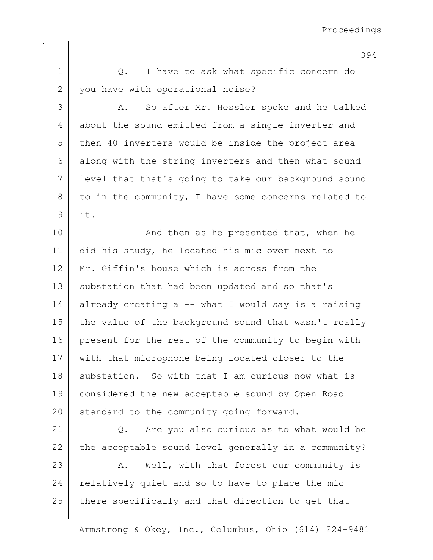1 |  $Q.$  I have to ask what specific concern do 2 you have with operational noise? 3 A. So after Mr. Hessler spoke and he talked 4 about the sound emitted from a single inverter and 5 then 40 inverters would be inside the project area 6 along with the string inverters and then what sound 7 level that that's going to take our background sound  $8$  to in the community, I have some concerns related to 9 it. 10 | And then as he presented that, when he 11 did his study, he located his mic over next to 12 Mr. Giffin's house which is across from the 13 substation that had been updated and so that's 14 already creating a  $-$  what I would say is a raising 15 | the value of the background sound that wasn't really 16 present for the rest of the community to begin with 17 with that microphone being located closer to the 18 substation. So with that I am curious now what is 19 considered the new acceptable sound by Open Road 20 standard to the community going forward. 21 Q. Are you also curious as to what would be  $22$  the acceptable sound level generally in a community? 23 | A. Well, with that forest our community is  $24$  relatively quiet and so to have to place the mic 25 there specifically and that direction to get that

Armstrong & Okey, Inc., Columbus, Ohio (614) 224-9481

394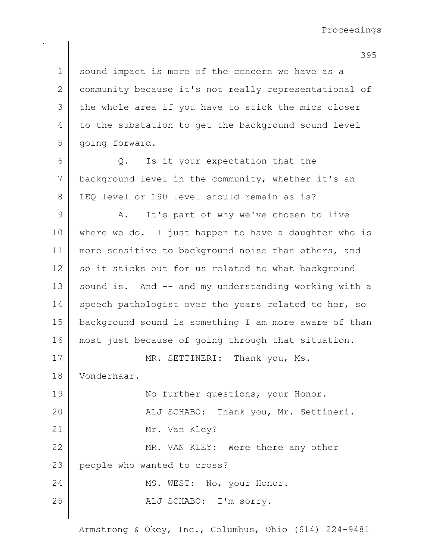395

1 sound impact is more of the concern we have as a 2 community because it's not really representational of 3 | the whole area if you have to stick the mics closer 4 to the substation to get the background sound level 5 | going forward.  $6$  Q. Is it your expectation that the 7 background level in the community, whether it's an 8 LEO level or L90 level should remain as is? 9 A. It's part of why we've chosen to live 10 | where we do. I just happen to have a daughter who is 11 | more sensitive to background noise than others, and 12 so it sticks out for us related to what background 13 | sound is. And -- and my understanding working with a 14 speech pathologist over the years related to her, so 15 background sound is something I am more aware of than 16 most just because of going through that situation. 17 MR. SETTINERI: Thank you, Ms. 18 Vonderhaar. 19 No further questions, your Honor. 20 | REJ SCHABO: Thank you, Mr. Settineri. 21 Mr. Van Kley? 22 MR. VAN KLEY: Were there any other 23 people who wanted to cross? 24 MS. WEST: No, your Honor. 25 | REALU SCHABO: I'm sorry.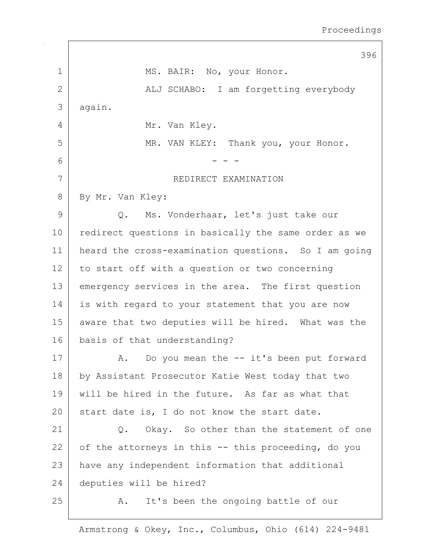|               | 396                                                  |
|---------------|------------------------------------------------------|
| 1             | MS. BAIR: No, your Honor.                            |
| $\mathbf{2}$  | ALJ SCHABO: I am forgetting everybody                |
| 3             | again.                                               |
| 4             | Mr. Van Kley.                                        |
| 5             | MR. VAN KLEY: Thank you, your Honor.                 |
| 6             |                                                      |
| 7             | REDIRECT EXAMINATION                                 |
| 8             | By Mr. Van Kley:                                     |
| $\mathcal{G}$ | Q. Ms. Vonderhaar, let's just take our               |
| 10            | redirect questions in basically the same order as we |
| 11            | heard the cross-examination questions. So I am going |
| 12            | to start off with a question or two concerning       |
| 13            | emergency services in the area. The first question   |
| 14            | is with regard to your statement that you are now    |
| 15            | aware that two deputies will be hired. What was the  |
| 16            | basis of that understanding?                         |
| 17            | A. Do you mean the -- it's been put forward          |
| 18            | by Assistant Prosecutor Katie West today that two    |
| 19            | will be hired in the future. As far as what that     |
| 20            | start date is, I do not know the start date.         |
| 21            | Okay. So other than the statement of one<br>Q.       |
| 22            | of the attorneys in this -- this proceeding, do you  |
| 23            | have any independent information that additional     |
| 24            | deputies will be hired?                              |
| 25            | It's been the ongoing battle of our<br>Α.            |

 $\Gamma$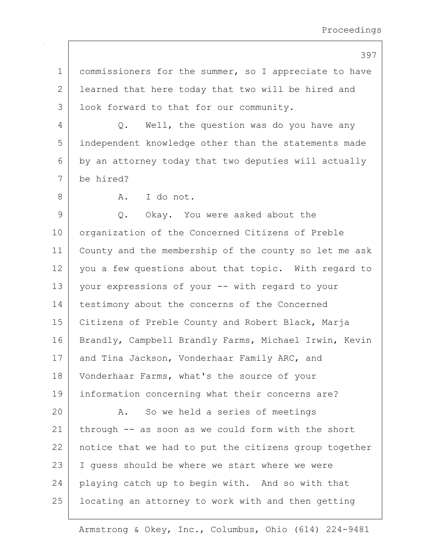| ×<br>×<br>۰. | ۰, |  |
|--------------|----|--|
|--------------|----|--|

1 commissioners for the summer, so I appreciate to have 2 | learned that here today that two will be hired and 3 | look forward to that for our community.

4 Q. Well, the question was do you have any 5 independent knowledge other than the statements made  $6$  by an attorney today that two deputies will actually 7 be hired?

8 A. I do not.

9 Q. Okay. You were asked about the 10 | organization of the Concerned Citizens of Preble 11 County and the membership of the county so let me ask 12 you a few questions about that topic. With regard to 13 your expressions of your -- with regard to your 14 testimony about the concerns of the Concerned 15 | Citizens of Preble County and Robert Black, Marja 16 | Brandly, Campbell Brandly Farms, Michael Irwin, Kevin 17 and Tina Jackson, Vonderhaar Family ARC, and 18 Vonderhaar Farms, what's the source of your 19 information concerning what their concerns are? 20 A. So we held a series of meetings 21 through -- as soon as we could form with the short 22 | notice that we had to put the citizens group together 23 I guess should be where we start where we were 24 playing catch up to begin with. And so with that 25 | locating an attorney to work with and then getting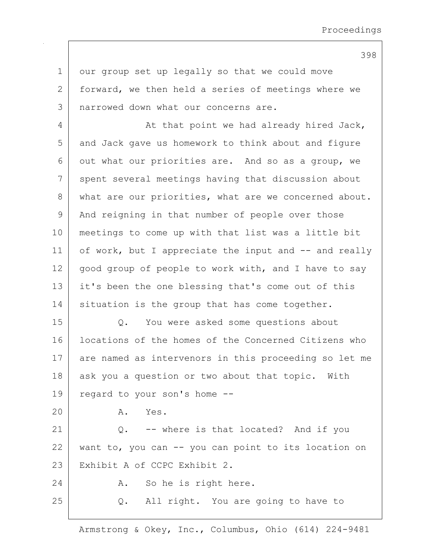1 our group set up legally so that we could move 2 forward, we then held a series of meetings where we 3 | narrowed down what our concerns are.

4 At that point we had already hired Jack, 5 and Jack gave us homework to think about and figure  $6$  out what our priorities are. And so as a group, we 7 spent several meetings having that discussion about 8 what are our priorities, what are we concerned about. 9 | And reigning in that number of people over those 10 meetings to come up with that list was a little bit 11 of work, but I appreciate the input and -- and really 12 good group of people to work with, and I have to say 13 it's been the one blessing that's come out of this 14 situation is the group that has come together.

15 Q. You were asked some questions about 16 | locations of the homes of the Concerned Citizens who 17 are named as intervenors in this proceeding so let me 18 ask you a question or two about that topic. With 19 regard to your son's home --

20 A. Yes.

21 Q. -- where is that located? And if you 22 want to, you can -- you can point to its location on 23 Exhibit A of CCPC Exhibit 2.

24 A. So he is right here.

25 | Q. All right. You are going to have to

Armstrong & Okey, Inc., Columbus, Ohio (614) 224-9481

398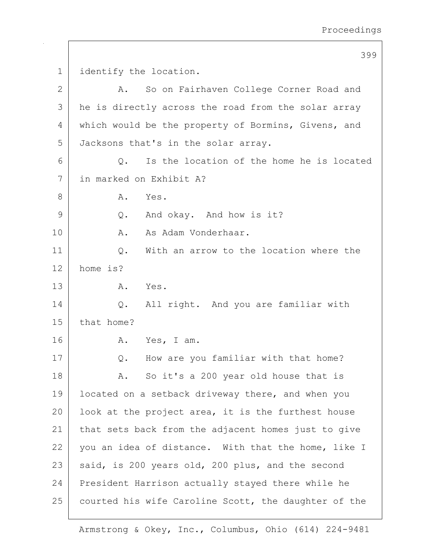399 1 | identify the location. 2 A. So on Fairhaven College Corner Road and 3 | he is directly across the road from the solar array 4 which would be the property of Bormins, Givens, and 5 Jacksons that's in the solar array.  $6$  Q. Is the location of the home he is located 7 in marked on Exhibit A? 8 A. Yes. 9 Q. And okay. And how is it? 10 A. As Adam Vonderhaar. 11 | C. With an arrow to the location where the 12 home is? 13 A. Yes. 14 | Q. All right. And you are familiar with 15 | that home? 16 A. Yes, I am. 17 Q. How are you familiar with that home? 18 | A. So it's a 200 year old house that is 19 | located on a setback driveway there, and when you 20 | look at the project area, it is the furthest house 21 that sets back from the adjacent homes just to give  $22$  you an idea of distance. With that the home, like I 23 said, is 200 years old, 200 plus, and the second 24 President Harrison actually stayed there while he 25 courted his wife Caroline Scott, the daughter of the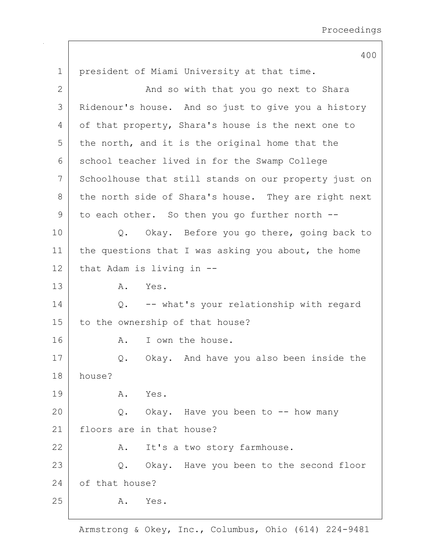400 1 president of Miami University at that time. 2 | And so with that you go next to Shara 3 Ridenour's house. And so just to give you a history 4 of that property, Shara's house is the next one to  $5$  the north, and it is the original home that the 6 school teacher lived in for the Swamp College 7 Schoolhouse that still stands on our property just on 8 the north side of Shara's house. They are right next  $9$  to each other. So then you go further north  $-$ 10 | Q. Okay. Before you go there, going back to 11 | the questions that I was asking you about, the home 12 that Adam is living in --13 A. Yes. 14 |  $Q$ . -- what's your relationship with regard 15 to the ownership of that house? 16 A. I own the house. 17 | Q. Okay. And have you also been inside the 18 house? 19 A. Yes.  $20$  Q. Okay. Have you been to  $-$  how many 21 floors are in that house? 22 A. It's a two story farmhouse. 23 | Q. Okay. Have you been to the second floor 24 of that house? 25 A. Yes.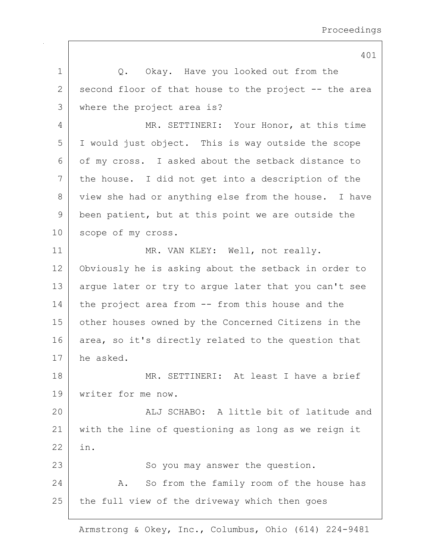1 | Q. Okay. Have you looked out from the  $2$  second floor of that house to the project  $-$ - the area 3 where the project area is? 4 MR. SETTINERI: Your Honor, at this time 5 I would just object. This is way outside the scope 6 of my cross. I asked about the setback distance to 7 the house. I did not get into a description of the 8 view she had or anything else from the house. I have 9 been patient, but at this point we are outside the 10 scope of my cross. 11 MR. VAN KLEY: Well, not really. 12 Obviously he is asking about the setback in order to 13 argue later or try to argue later that you can't see 14 the project area from -- from this house and the 15 other houses owned by the Concerned Citizens in the 16 area, so it's directly related to the question that 17 he asked. 18 MR. SETTINERI: At least I have a brief 19 writer for me now. 20 ALJ SCHABO: A little bit of latitude and 21 with the line of questioning as long as we reign it 22 in. 23 | So you may answer the question. 24 A. So from the family room of the house has  $25$  the full view of the driveway which then goes

Armstrong & Okey, Inc., Columbus, Ohio (614) 224-9481

401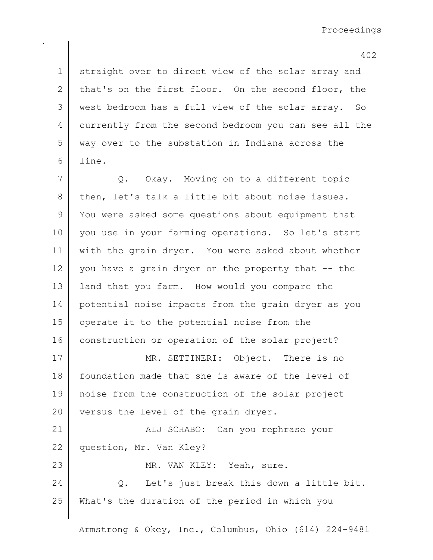1 straight over to direct view of the solar array and 2 that's on the first floor. On the second floor, the 3 west bedroom has a full view of the solar array. So 4 currently from the second bedroom you can see all the 5 way over to the substation in Indiana across the 6 line.

7 Q. Okay. Moving on to a different topic 8 then, let's talk a little bit about noise issues. 9 You were asked some questions about equipment that 10 you use in your farming operations. So let's start 11 with the grain dryer. You were asked about whether  $12$  you have a grain dryer on the property that  $-$  the 13 | land that you farm. How would you compare the 14 potential noise impacts from the grain dryer as you 15 | operate it to the potential noise from the 16 construction or operation of the solar project? 17 MR. SETTINERI: Object. There is no 18 foundation made that she is aware of the level of 19 noise from the construction of the solar project 20 versus the level of the grain dryer. 21 | ALJ SCHABO: Can you rephrase your 22 question, Mr. Van Kley? 23 MR. VAN KLEY: Yeah, sure. 24 | C. Let's just break this down a little bit.

25 What's the duration of the period in which you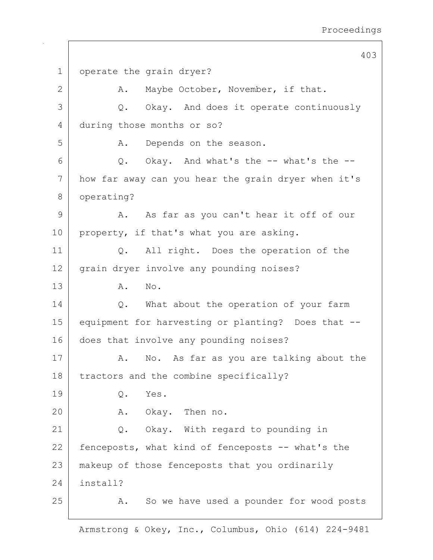403 1 operate the grain dryer? 2 A. Maybe October, November, if that. 3 Q. Okay. And does it operate continuously 4 during those months or so? 5 A. Depends on the season.  $6$  Q. Okay. And what's the  $-$  what's the  $-$ 7 how far away can you hear the grain dryer when it's 8 operating? 9 A. As far as you can't hear it off of our 10 property, if that's what you are asking. 11 | Q. All right. Does the operation of the 12 grain dryer involve any pounding noises? 13 | A. No. 14 | Q. What about the operation of your farm 15 equipment for harvesting or planting? Does that -- 16 does that involve any pounding noises? 17 | A. No. As far as you are talking about the 18 | tractors and the combine specifically? 19 | O. Yes. 20 A. Okay. Then no. 21 Q. Okay. With regard to pounding in 22 fenceposts, what kind of fenceposts -- what's the 23 makeup of those fenceposts that you ordinarily 24 install? 25 A. So we have used a pounder for wood posts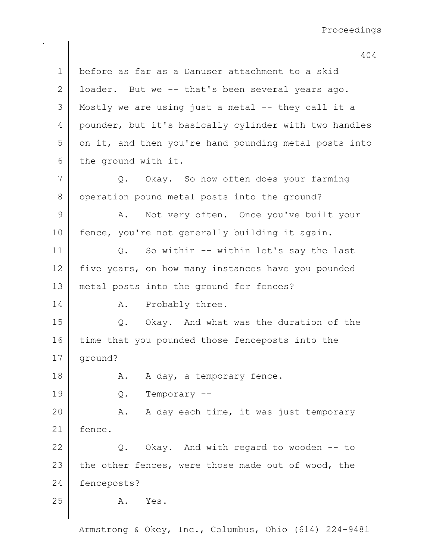404 1 before as far as a Danuser attachment to a skid 2 | loader. But we -- that's been several years ago. 3 Mostly we are using just a metal -- they call it a 4 pounder, but it's basically cylinder with two handles 5 on it, and then you're hand pounding metal posts into 6 the ground with it. 7 Q. Okay. So how often does your farming 8 operation pound metal posts into the ground? 9 A. Not very often. Once you've built your 10 | fence, you're not generally building it again. 11 | Q. So within -- within let's say the last 12 five years, on how many instances have you pounded 13 metal posts into the ground for fences? 14 A. Probably three. 15 Q. Okay. And what was the duration of the 16 time that you pounded those fenceposts into the 17 ground? 18 | R. A day, a temporary fence. 19 Q. Temporary -- 20 A. A day each time, it was just temporary 21 fence. 22 Q. Okay. And with regard to wooden -- to 23 the other fences, were those made out of wood, the 24 fenceposts? 25 A. Yes.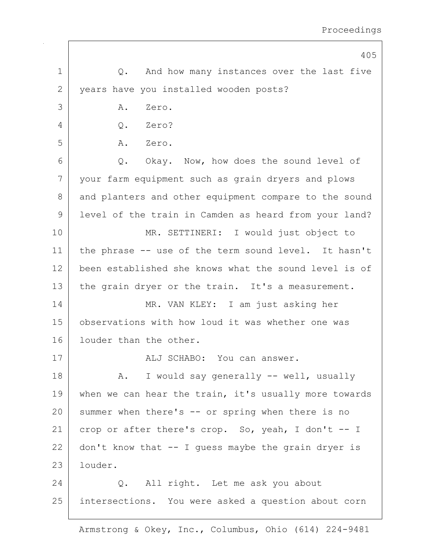|             | 405                                                   |
|-------------|-------------------------------------------------------|
| $\mathbf 1$ | Q. And how many instances over the last five          |
| 2           | years have you installed wooden posts?                |
| 3           | Zero.<br>Α.                                           |
| 4           | Q. Zero?                                              |
| 5           | A. Zero.                                              |
| 6           | Q. Okay. Now, how does the sound level of             |
| 7           | your farm equipment such as grain dryers and plows    |
| 8           | and planters and other equipment compare to the sound |
| 9           | level of the train in Camden as heard from your land? |
| 10          | MR. SETTINERI: I would just object to                 |
| 11          | the phrase -- use of the term sound level. It hasn't  |
| 12          | been established she knows what the sound level is of |
| 13          | the grain dryer or the train. It's a measurement.     |
| 14          | MR. VAN KLEY: I am just asking her                    |
| 15          | observations with how loud it was whether one was     |
| 16          | louder than the other.                                |
| 17          | ALJ SCHABO: You can answer.                           |
| 18          | A. I would say generally -- well, usually             |
| 19          | when we can hear the train, it's usually more towards |
| 20          | summer when there's -- or spring when there is no     |
| 21          | crop or after there's crop. So, yeah, I don't -- I    |
| 22          | don't know that $-$ I guess maybe the grain dryer is  |
| 23          | louder.                                               |
| 24          | Q. All right. Let me ask you about                    |
| 25          | intersections. You were asked a question about corn   |

 $\mathbf{I}$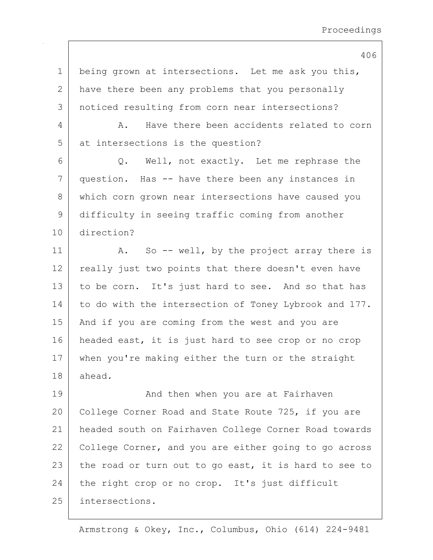1 being grown at intersections. Let me ask you this, 2 have there been any problems that you personally 3 noticed resulting from corn near intersections?

4 A. Have there been accidents related to corn 5 at intersections is the question?

6 | Q. Well, not exactly. Let me rephrase the 7 question. Has -- have there been any instances in 8 which corn grown near intersections have caused you 9 difficulty in seeing traffic coming from another 10 direction?

11 | A. So -- well, by the project array there is 12 really just two points that there doesn't even have 13 to be corn. It's just hard to see. And so that has 14 to do with the intersection of Toney Lybrook and 177. 15 | And if you are coming from the west and you are 16 headed east, it is just hard to see crop or no crop 17 | when you're making either the turn or the straight 18 ahead.

19 | The Modu then when you are at Fairhaven 20 College Corner Road and State Route 725, if you are 21 headed south on Fairhaven College Corner Road towards 22 College Corner, and you are either going to go across 23 the road or turn out to go east, it is hard to see to 24 the right crop or no crop. It's just difficult 25 intersections.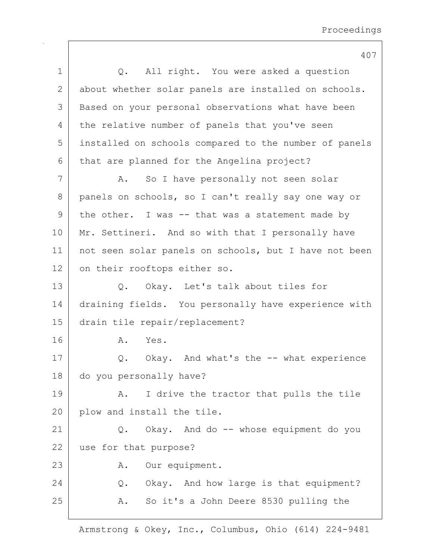|             | 407                                                   |
|-------------|-------------------------------------------------------|
| $\mathbf 1$ | Q. All right. You were asked a question               |
| 2           | about whether solar panels are installed on schools.  |
| 3           | Based on your personal observations what have been    |
| 4           | the relative number of panels that you've seen        |
| 5           | installed on schools compared to the number of panels |
| 6           | that are planned for the Angelina project?            |
| 7           | So I have personally not seen solar<br>A.             |
| 8           | panels on schools, so I can't really say one way or   |
| 9           | the other. I was -- that was a statement made by      |
| 10          | Mr. Settineri. And so with that I personally have     |
| 11          | not seen solar panels on schools, but I have not been |
| 12          | on their rooftops either so.                          |
| 13          | Q. Okay. Let's talk about tiles for                   |
| 14          | draining fields. You personally have experience with  |
| 15          | drain tile repair/replacement?                        |
| 16          | Yes.<br>Α.                                            |
| 17          | Q. Okay. And what's the -- what experience            |
| 18          | do you personally have?                               |
| 19          | I drive the tractor that pulls the tile<br>Α.         |
| 20          | plow and install the tile.                            |
| 21          | Okay. And do -- whose equipment do you<br>$Q$ .       |
| 22          | use for that purpose?                                 |
| 23          | Our equipment.<br>Α.                                  |
| 24          | Q. Okay. And how large is that equipment?             |
| 25          | So it's a John Deere 8530 pulling the<br>A.           |
|             |                                                       |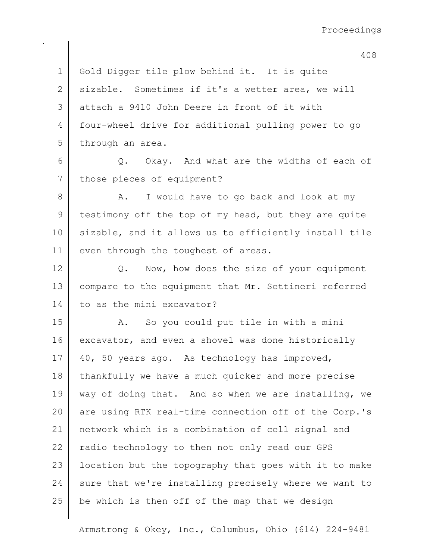1 Gold Digger tile plow behind it. It is quite 2 | sizable. Sometimes if it's a wetter area, we will 3 attach a 9410 John Deere in front of it with 4 four-wheel drive for additional pulling power to go 5 through an area.  $6$  Q. Okay. And what are the widths of each of 7 those pieces of equipment? 8 A. I would have to go back and look at my 9 | testimony off the top of my head, but they are quite 10 sizable, and it allows us to efficiently install tile 11 even through the toughest of areas. 12 Q. Now, how does the size of your equipment 13 | compare to the equipment that Mr. Settineri referred 14 to as the mini excavator? 15 | A. So you could put tile in with a mini 16 excavator, and even a shovel was done historically 17 | 40, 50 years ago. As technology has improved, 18 | thankfully we have a much quicker and more precise 19 | way of doing that. And so when we are installing, we 20 are using RTK real-time connection off of the Corp.'s 21 network which is a combination of cell signal and 22 | radio technology to then not only read our GPS 23 | location but the topography that goes with it to make  $24$  sure that we're installing precisely where we want to  $25$  be which is then off of the map that we design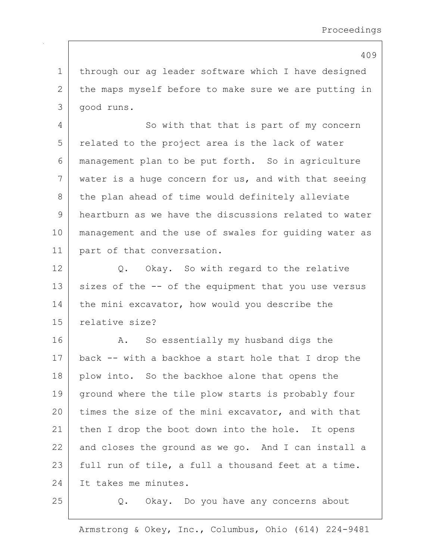1 | through our ag leader software which I have designed 2 the maps myself before to make sure we are putting in 3 good runs.

4 So with that that is part of my concern 5 related to the project area is the lack of water 6 management plan to be put forth. So in agriculture 7 water is a huge concern for us, and with that seeing 8 the plan ahead of time would definitely alleviate 9 heartburn as we have the discussions related to water 10 management and the use of swales for guiding water as 11 part of that conversation.

12 Q. Okay. So with regard to the relative  $13$  sizes of the  $-$  of the equipment that you use versus 14 the mini excavator, how would you describe the 15 relative size?

16 A. So essentially my husband digs the 17 back -- with a backhoe a start hole that I drop the 18 | plow into. So the backhoe alone that opens the 19 ground where the tile plow starts is probably four 20 times the size of the mini excavator, and with that 21 | then I drop the boot down into the hole. It opens  $22$  and closes the ground as we go. And I can install a  $23$  full run of tile, a full a thousand feet at a time. 24 It takes me minutes.

25 Q. Okay. Do you have any concerns about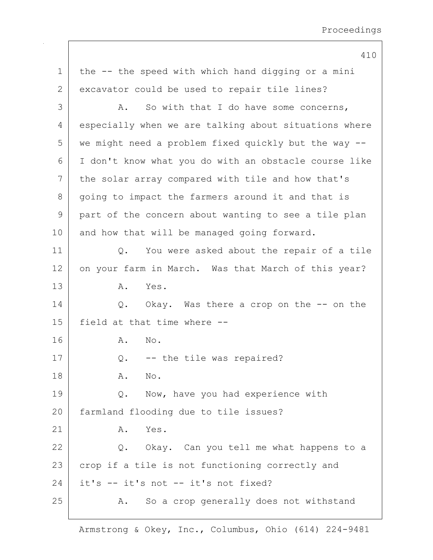410 1 | the -- the speed with which hand digging or a mini 2 excavator could be used to repair tile lines?  $3$  A. So with that I do have some concerns, 4 especially when we are talking about situations where 5 we might need a problem fixed quickly but the way -- 6 I don't know what you do with an obstacle course like 7 the solar array compared with tile and how that's 8 going to impact the farmers around it and that is 9 part of the concern about wanting to see a tile plan 10 and how that will be managed going forward. 11 | Q. You were asked about the repair of a tile 12 on your farm in March. Was that March of this year? 13 A. Yes. 14 Q. Okay. Was there a crop on the -- on the 15 field at that time where -- 16 A. No. 17  $\vert$  Q. -- the tile was repaired? 18 **A.** No. 19 Q. Now, have you had experience with 20 farmland flooding due to tile issues?  $21$  A. Yes. 22 Q. Okay. Can you tell me what happens to a 23 crop if a tile is not functioning correctly and 24 it's -- it's not -- it's not fixed? 25 A. So a crop generally does not withstand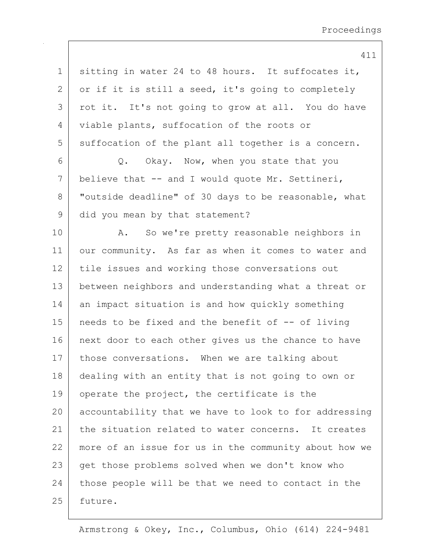| $\mathbf 1$  | sitting in water 24 to 48 hours. It suffocates it,    |
|--------------|-------------------------------------------------------|
| $\mathbf{2}$ | or if it is still a seed, it's going to completely    |
| 3            | rot it. It's not going to grow at all. You do have    |
| 4            | viable plants, suffocation of the roots or            |
| 5            | suffocation of the plant all together is a concern.   |
| 6            | Q. Okay. Now, when you state that you                 |
| 7            | believe that -- and I would quote Mr. Settineri,      |
| $8\,$        | "outside deadline" of 30 days to be reasonable, what  |
| $\mathsf 9$  | did you mean by that statement?                       |
| 10           | A. So we're pretty reasonable neighbors in            |
| 11           | our community. As far as when it comes to water and   |
| 12           | tile issues and working those conversations out       |
| 13           | between neighbors and understanding what a threat or  |
| 14           | an impact situation is and how quickly something      |
| 15           | needs to be fixed and the benefit of -- of living     |
| 16           | next door to each other gives us the chance to have   |
| 17           | those conversations. When we are talking about        |
| 18           | dealing with an entity that is not going to own or    |
| 19           | operate the project, the certificate is the           |
| 20           | accountability that we have to look to for addressing |
| 21           | the situation related to water concerns. It creates   |
| 22           | more of an issue for us in the community about how we |
| 23           | get those problems solved when we don't know who      |
| 24           | those people will be that we need to contact in the   |
| 25           | future.                                               |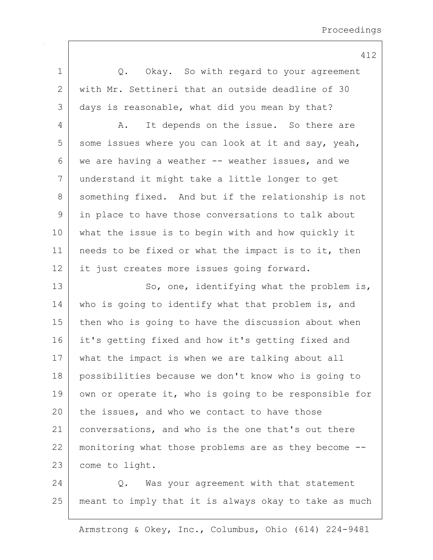1 |  $Q.$  Okay. So with regard to your agreement 2 with Mr. Settineri that an outside deadline of 30 3 days is reasonable, what did you mean by that? 4 A. It depends on the issue. So there are  $5$  some issues where you can look at it and say, yeah, 6 we are having a weather  $--$  weather issues, and we 7 understand it might take a little longer to get 8 something fixed. And but if the relationship is not 9 in place to have those conversations to talk about 10 what the issue is to begin with and how quickly it 11 | needs to be fixed or what the impact is to it, then 12 it just creates more issues going forward. 13 So, one, identifying what the problem is, 14 who is going to identify what that problem is, and 15 | then who is going to have the discussion about when 16 it's getting fixed and how it's getting fixed and 17 what the impact is when we are talking about all 18 possibilities because we don't know who is going to 19 own or operate it, who is going to be responsible for  $20$  the issues, and who we contact to have those 21 conversations, and who is the one that's out there 22 monitoring what those problems are as they become --23 come to light. 24 | C. Was your agreement with that statement 25 meant to imply that it is always okay to take as much

Armstrong & Okey, Inc., Columbus, Ohio (614) 224-9481

412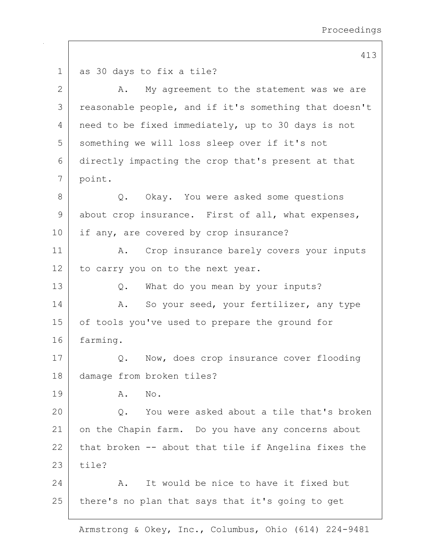413 1 as 30 days to fix a tile? 2 A. My agreement to the statement was we are 3 | reasonable people, and if it's something that doesn't 4 | need to be fixed immediately, up to 30 days is not 5 something we will loss sleep over if it's not 6 directly impacting the crop that's present at that 7 point. 8 Q. Okay. You were asked some questions  $9$  about crop insurance. First of all, what expenses, 10 if any, are covered by crop insurance? 11 | A. Crop insurance barely covers your inputs 12 to carry you on to the next year. 13 Q. What do you mean by your inputs? 14 | A. So your seed, your fertilizer, any type 15 | of tools you've used to prepare the ground for 16 farming. 17 | Q. Now, does crop insurance cover flooding 18 damage from broken tiles? 19 A. No. 20 | C. You were asked about a tile that's broken 21 on the Chapin farm. Do you have any concerns about 22 that broken  $-$  about that tile if Angelina fixes the  $23$  tile? 24 A. It would be nice to have it fixed but 25 there's no plan that says that it's going to get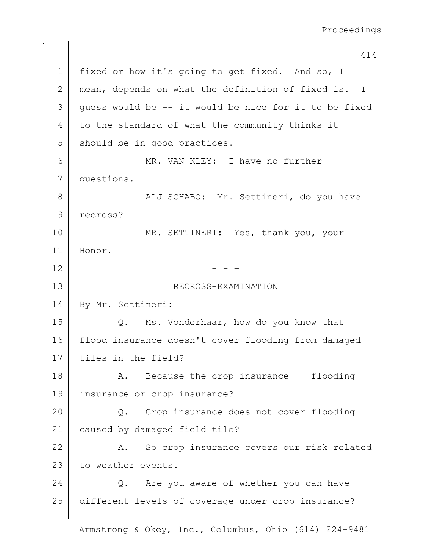414 1 | fixed or how it's going to get fixed. And so, I 2 mean, depends on what the definition of fixed is. I  $3$  quess would be  $-$  it would be nice for it to be fixed 4 to the standard of what the community thinks it 5 should be in good practices. 6 MR. VAN KLEY: I have no further 7 questions. 8 | ALJ SCHABO: Mr. Settineri, do you have 9 recross? 10 MR. SETTINERI: Yes, thank you, your 11 Honor.  $12$  - -13 RECROSS-EXAMINATION 14 By Mr. Settineri: 15 Q. Ms. Vonderhaar, how do you know that 16 flood insurance doesn't cover flooding from damaged 17 tiles in the field? 18 | A. Because the crop insurance -- flooding 19 insurance or crop insurance? 20 Q. Crop insurance does not cover flooding 21 caused by damaged field tile? 22 A. So crop insurance covers our risk related 23 to weather events. 24 Q. Are you aware of whether you can have 25 different levels of coverage under crop insurance?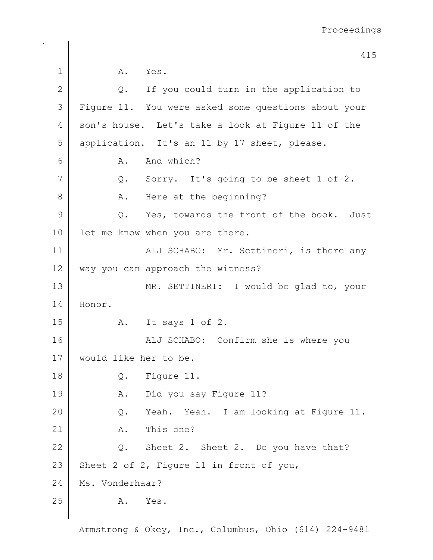|              | 415                                                 |
|--------------|-----------------------------------------------------|
| $\mathbf 1$  | A. Yes.                                             |
| $\mathbf{2}$ | If you could turn in the application to<br>Q.       |
| 3            | Figure 11. You were asked some questions about your |
| 4            | son's house. Let's take a look at Figure 11 of the  |
| 5            | application. It's an 11 by 17 sheet, please.        |
| 6            | And which?<br>A.                                    |
| 7            | Q. Sorry. It's going to be sheet 1 of 2.            |
| 8            | Here at the beginning?<br>A.                        |
| 9            | Q. Yes, towards the front of the book. Just         |
| 10           | let me know when you are there.                     |
| 11           | ALJ SCHABO: Mr. Settineri, is there any             |
| 12           | way you can approach the witness?                   |
| 13           | MR. SETTINERI: I would be glad to, your             |
| 14           | Honor.                                              |
| 15           | It says 1 of 2.<br>A.                               |
| 16           | ALJ SCHABO: Confirm she is where you                |
| 17           | would like her to be.                               |
| 18           | Figure 11.<br>Q.                                    |
| 19           | Did you say Figure 11?<br>Α.                        |
| 20           | Yeah. Yeah. I am looking at Figure 11.<br>Q.        |
| 21           | This one?<br>Α.                                     |
| 22           | Sheet 2. Sheet 2. Do you have that?<br>Q.           |
| 23           | Sheet 2 of 2, Figure 11 in front of you,            |
| 24           | Ms. Vonderhaar?                                     |
| 25           | Yes.<br>Α.                                          |
|              |                                                     |

 $\mathbf{I}$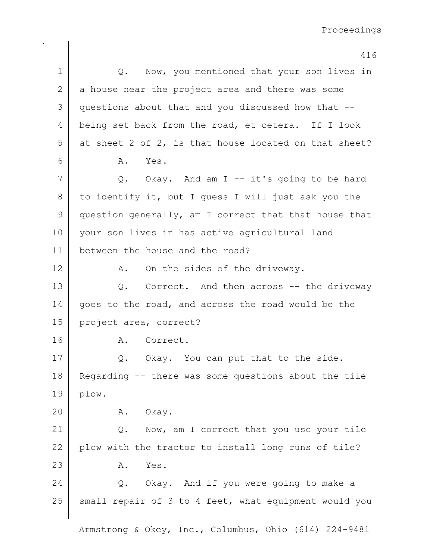|              | 416                                                   |
|--------------|-------------------------------------------------------|
| 1            | Q. Now, you mentioned that your son lives in          |
| $\mathbf{2}$ | a house near the project area and there was some      |
| 3            | questions about that and you discussed how that --    |
| 4            | being set back from the road, et cetera. If I look    |
| 5            | at sheet 2 of 2, is that house located on that sheet? |
| 6            | Α.<br>Yes.                                            |
| 7            | Q. Okay. And am I -- it's going to be hard            |
| 8            | to identify it, but I quess I will just ask you the   |
| 9            | question generally, am I correct that that house that |
| 10           | your son lives in has active agricultural land        |
| 11           | between the house and the road?                       |
| 12           | On the sides of the driveway.<br>Α.                   |
| 13           | Q. Correct. And then across -- the driveway           |
| 14           | goes to the road, and across the road would be the    |
| 15           | project area, correct?                                |
| 16           | A. Correct.                                           |
| 17           | Okay. You can put that to the side.<br>Q.             |
| 18           | Regarding -- there was some questions about the tile  |
| 19           | plow.                                                 |
| 20           | A. Okay.                                              |
| 21           | Now, am I correct that you use your tile<br>Q.        |
| 22           | plow with the tractor to install long runs of tile?   |
| 23           | Yes.<br>Α.                                            |
| 24           | Q. Okay. And if you were going to make a              |
| 25           | small repair of 3 to 4 feet, what equipment would you |
|              |                                                       |

 $\mathbf{I}$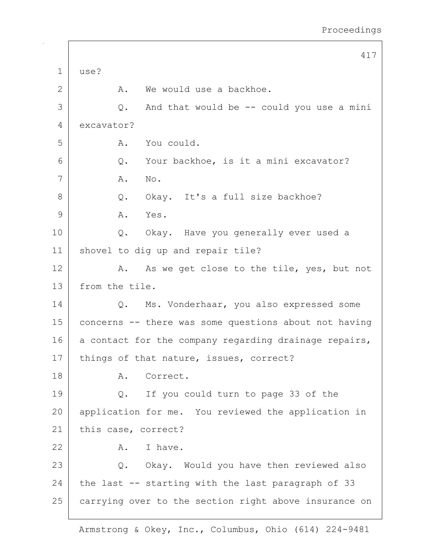417 1 use? 2 A. We would use a backhoe.  $3$  Q. And that would be  $-$  could you use a mini 4 excavator? 5 A. You could.  $6$  Q. Your backhoe, is it a mini excavator? 7 | A. No. 8 Q. Okay. It's a full size backhoe? 9 A. Yes. 10 Q. Okay. Have you generally ever used a 11 shovel to dig up and repair tile? 12 A. As we get close to the tile, yes, but not 13 from the tile. 14 | Q. Ms. Vonderhaar, you also expressed some 15 concerns -- there was some questions about not having 16  $\vert$  a contact for the company regarding drainage repairs, 17 | things of that nature, issues, correct? 18 | A. Correct. 19 Q. If you could turn to page 33 of the 20 | application for me. You reviewed the application in 21 | this case, correct?  $22$  A. I have. 23 | Q. Okay. Would you have then reviewed also 24 the last  $-$  starting with the last paragraph of 33 25 carrying over to the section right above insurance on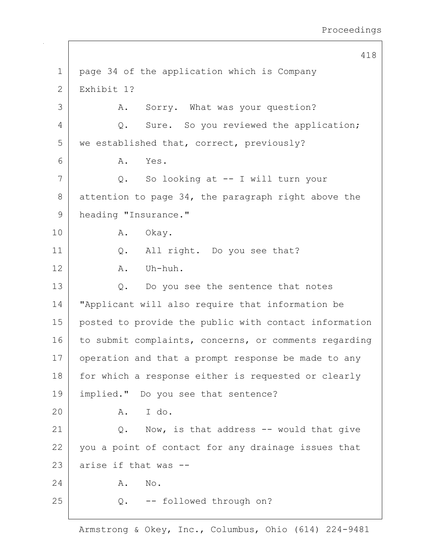418 1 | page 34 of the application which is Company 2 Exhibit 1? 3 A. Sorry. What was your question? 4 Q. Sure. So you reviewed the application; 5 | we established that, correct, previously? 6 A. Yes. 7 Q. So looking at -- I will turn your 8 attention to page 34, the paragraph right above the 9 heading "Insurance." 10 A. Okay. 11 | Q. All right. Do you see that?  $12$  A. Uh-huh. 13 Q. Do you see the sentence that notes 14 "Applicant will also require that information be 15 posted to provide the public with contact information 16 to submit complaints, concerns, or comments regarding 17 operation and that a prompt response be made to any 18 | for which a response either is requested or clearly 19 implied." Do you see that sentence? 20 A. I do. 21  $\vert$  Q. Now, is that address -- would that give 22 you a point of contact for any drainage issues that  $23$  arise if that was  $-$ 24 A. No. 25 Q. -- followed through on?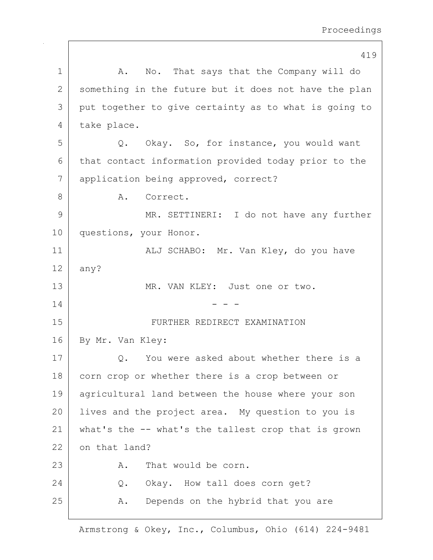419 1 | A. No. That says that the Company will do 2 something in the future but it does not have the plan 3 put together to give certainty as to what is going to 4 take place. 5 Q. Okay. So, for instance, you would want 6 that contact information provided today prior to the 7 application being approved, correct? 8 A. Correct. 9 MR. SETTINERI: I do not have any further 10 questions, your Honor. 11 | ALJ SCHABO: Mr. Van Kley, do you have  $12$  any? 13 MR. VAN KLEY: Just one or two.  $14$  - - -15 FURTHER REDIRECT EXAMINATION 16 By Mr. Van Kley: 17 Q. You were asked about whether there is a 18 corn crop or whether there is a crop between or 19 agricultural land between the house where your son 20 Iives and the project area. My question to you is 21 what's the -- what's the tallest crop that is grown 22 on that land? 23 A. That would be corn. 24 Q. Okay. How tall does corn get? 25 A. Depends on the hybrid that you are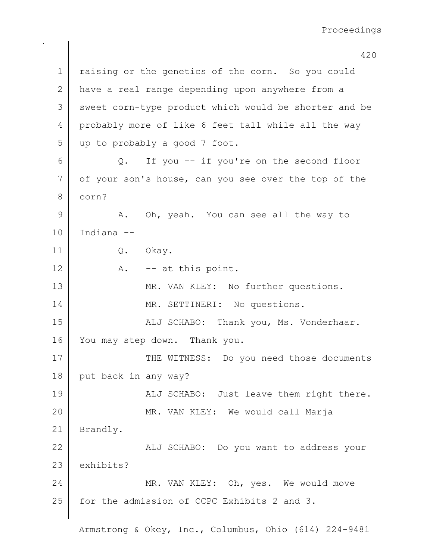420 1 | raising or the genetics of the corn. So you could 2 have a real range depending upon anywhere from a 3 sweet corn-type product which would be shorter and be 4 probably more of like 6 feet tall while all the way 5 up to probably a good 7 foot. 6 Q. If you -- if you're on the second floor 7 of your son's house, can you see over the top of the 8 corn? 9 A. Oh, yeah. You can see all the way to 10 Indiana -- 11 Q. Okay.  $12$  A.  $-$  at this point. 13 MR. VAN KLEY: No further questions. 14 MR. SETTINERI: No questions. 15 | Kalj SCHABO: Thank you, Ms. Vonderhaar. 16 You may step down. Thank you. 17 THE WITNESS: Do you need those documents 18 put back in any way? 19 | ALJ SCHABO: Just leave them right there. 20 MR. VAN KLEY: We would call Marja 21 | Brandly. 22 | Kalj SCHABO: Do you want to address your 23 exhibits? 24 MR. VAN KLEY: Oh, yes. We would move 25 | for the admission of CCPC Exhibits 2 and 3.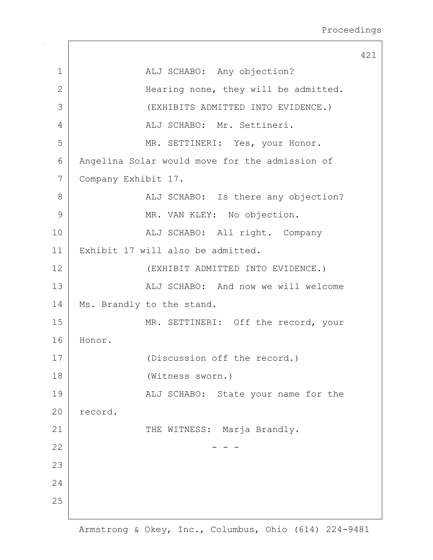|                |                                                | 421 |
|----------------|------------------------------------------------|-----|
| $\mathbf{1}$   | ALJ SCHABO: Any objection?                     |     |
| $\mathbf{2}$   | Hearing none, they will be admitted.           |     |
| 3              | (EXHIBITS ADMITTED INTO EVIDENCE.)             |     |
| $\overline{4}$ | ALJ SCHABO: Mr. Settineri.                     |     |
| 5              | MR. SETTINERI: Yes, your Honor.                |     |
| 6              | Angelina Solar would move for the admission of |     |
| 7              | Company Exhibit 17.                            |     |
| 8              | ALJ SCHABO: Is there any objection?            |     |
| 9              | MR. VAN KLEY: No objection.                    |     |
| 10             | ALJ SCHABO: All right. Company                 |     |
| 11             | Exhibit 17 will also be admitted.              |     |
| 12             | (EXHIBIT ADMITTED INTO EVIDENCE.)              |     |
| 13             | ALJ SCHABO: And now we will welcome            |     |
| 14             | Ms. Brandly to the stand.                      |     |
| 15             | MR. SETTINERI: Off the record, your            |     |
| 16             | Honor.                                         |     |
| 17             | (Discussion off the record.)                   |     |
| 18             | (Witness sworn.)                               |     |
| 19             | ALJ SCHABO: State your name for the            |     |
| 20             | record.                                        |     |
| 21             | THE WITNESS: Marja Brandly.                    |     |
| 22             |                                                |     |
| 23             |                                                |     |
| 24             |                                                |     |
| 25             |                                                |     |
|                |                                                |     |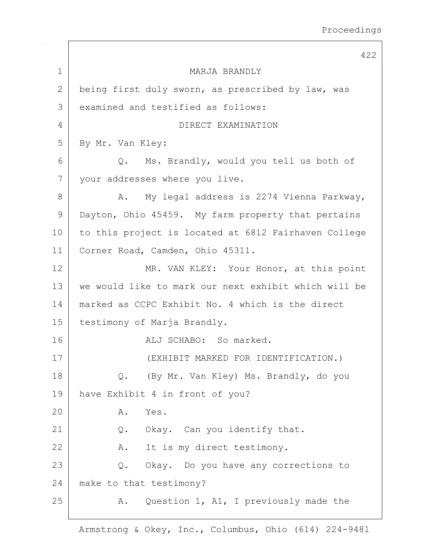422 1 MARJA BRANDLY 2 being first duly sworn, as prescribed by law, was 3 examined and testified as follows: 4 DIRECT EXAMINATION 5 | By Mr. Van Kley: 6 Q. Ms. Brandly, would you tell us both of 7 your addresses where you live. 8 A. My legal address is 2274 Vienna Parkway, 9 Dayton, Ohio 45459. My farm property that pertains 10 to this project is located at 6812 Fairhaven College 11 | Corner Road, Camden, Ohio 45311. 12 MR. VAN KLEY: Your Honor, at this point 13 we would like to mark our next exhibit which will be 14 marked as CCPC Exhibit No. 4 which is the direct 15 | testimony of Marja Brandly. 16 ALJ SCHABO: So marked. 17 (EXHIBIT MARKED FOR IDENTIFICATION.) 18 Q. (By Mr. Van Kley) Ms. Brandly, do you 19 have Exhibit 4 in front of you? 20 A. Yes. 21 Q. Okay. Can you identify that. 22 A. It is my direct testimony. 23 Q. Okay. Do you have any corrections to 24 make to that testimony? 25 A. Question 1, A1, I previously made the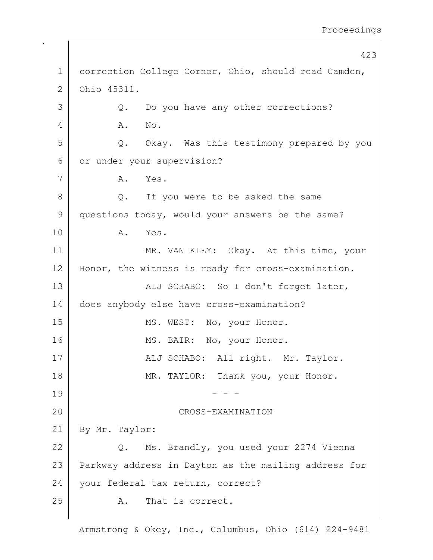423 1 correction College Corner, Ohio, should read Camden, 2 Ohio 45311. 3 Q. Do you have any other corrections? 4 A. No. 5 Q. Okay. Was this testimony prepared by you 6 or under your supervision? 7 A. Yes. 8 Q. If you were to be asked the same 9 questions today, would your answers be the same? 10 A. Yes. 11 | MR. VAN KLEY: Okay. At this time, your 12 | Honor, the witness is ready for cross-examination. 13 | ALJ SCHABO: So I don't forget later, 14 does anybody else have cross-examination? 15 | MS. WEST: No, your Honor. 16 MS. BAIR: No, your Honor. 17 | ALJ SCHABO: All right. Mr. Taylor. 18 | MR. TAYLOR: Thank you, your Honor.  $19$  - - -20 CROSS-EXAMINATION 21 By Mr. Taylor: 22 Q. Ms. Brandly, you used your 2274 Vienna 23 | Parkway address in Dayton as the mailing address for 24 vour federal tax return, correct? 25 A. That is correct.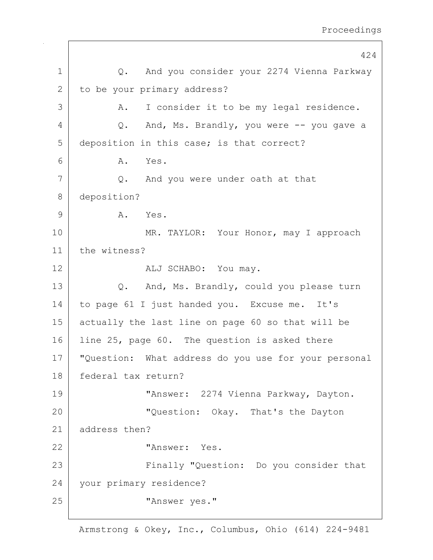424 1 Q. And you consider your 2274 Vienna Parkway 2 to be your primary address? 3 | A. I consider it to be my legal residence.  $4$  Q. And, Ms. Brandly, you were  $-$  you gave a 5 deposition in this case; is that correct? 6 A. Yes. 7 Q. And you were under oath at that 8 deposition? 9 A. Yes. 10 MR. TAYLOR: Your Honor, may I approach 11 the witness? 12 ALJ SCHABO: You may. 13 Q. And, Ms. Brandly, could you please turn 14 to page 61 I just handed you. Excuse me. It's 15 actually the last line on page 60 so that will be 16 line 25, page 60. The question is asked there 17 "Question: What address do you use for your personal 18 federal tax return? 19 "Answer: 2274 Vienna Parkway, Dayton. 20 **WALLER II** Cuestion: Okay. That's the Dayton 21 address then? 22 "Answer: Yes. 23 Finally "Question: Do you consider that 24 your primary residence? 25 | This wess wes."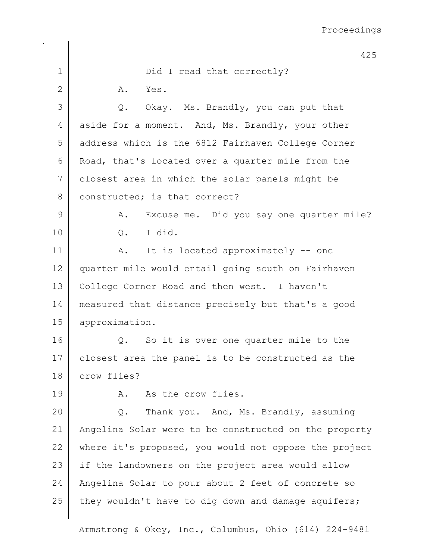|             | 425                                                   |
|-------------|-------------------------------------------------------|
| $\mathbf 1$ | Did I read that correctly?                            |
| 2           | A.<br>Yes.                                            |
| 3           | Okay. Ms. Brandly, you can put that<br>Q.             |
| 4           | aside for a moment. And, Ms. Brandly, your other      |
| 5           | address which is the 6812 Fairhaven College Corner    |
| 6           | Road, that's located over a quarter mile from the     |
| 7           | closest area in which the solar panels might be       |
| 8           | constructed; is that correct?                         |
| 9           | Excuse me. Did you say one quarter mile?<br>Α.        |
| 10          | I did.<br>Q.                                          |
| 11          | It is located approximately -- one<br>A.              |
| 12          | quarter mile would entail going south on Fairhaven    |
| 13          | College Corner Road and then west. I haven't          |
| 14          | measured that distance precisely but that's a good    |
| 15          | approximation.                                        |
| 16          | So it is over one quarter mile to the<br>$Q$ .        |
| 17          | closest area the panel is to be constructed as the    |
| 18          | crow flies?                                           |
| 19          | As the crow flies.<br>Α.                              |
| 20          | Thank you. And, Ms. Brandly, assuming<br>$Q$ .        |
| 21          | Angelina Solar were to be constructed on the property |
| 22          | where it's proposed, you would not oppose the project |
| 23          | if the landowners on the project area would allow     |
| 24          | Angelina Solar to pour about 2 feet of concrete so    |
| 25          | they wouldn't have to dig down and damage aquifers;   |
|             |                                                       |

 $\mathbf{I}$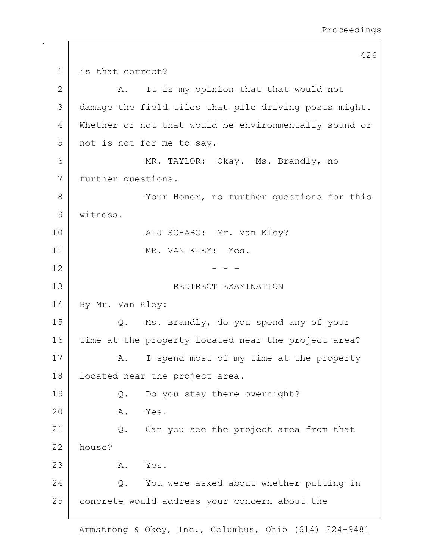426 1 is that correct? 2 A. It is my opinion that that would not 3 damage the field tiles that pile driving posts might. 4 Whether or not that would be environmentally sound or 5 not is not for me to say. 6 MR. TAYLOR: Okay. Ms. Brandly, no 7 further questions. 8 | Your Honor, no further questions for this 9 witness. 10 | REGISTALLY SCHABO: Mr. Van Kley? 11 | MR. VAN KLEY: Yes.  $12$  - -13 Separate SEDIRECT EXAMINATION 14 By Mr. Van Kley: 15 Q. Ms. Brandly, do you spend any of your 16 time at the property located near the project area? 17 | A. I spend most of my time at the property 18 located near the project area. 19 Q. Do you stay there overnight? 20 A. Yes. 21 Q. Can you see the project area from that 22 house? 23 A. Yes. 24 Q. You were asked about whether putting in 25 concrete would address your concern about the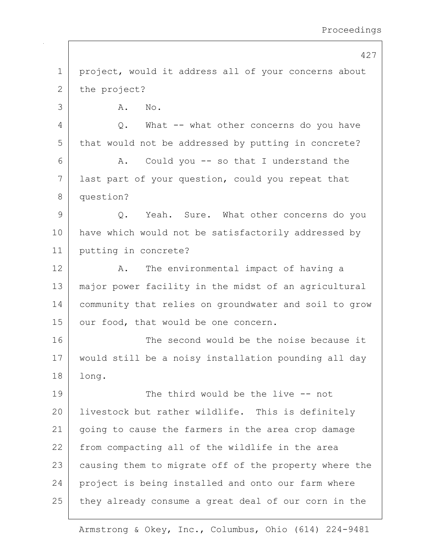427 1 | project, would it address all of your concerns about 2 the project? 3 A. No.  $4$  |  $Q.$  What  $-$  what other concerns do you have 5 that would not be addressed by putting in concrete? 6 A. Could you -- so that I understand the 7 | last part of your question, could you repeat that 8 question? 9 Q. Yeah. Sure. What other concerns do you 10 | have which would not be satisfactorily addressed by 11 putting in concrete? 12 A. The environmental impact of having a 13 major power facility in the midst of an agricultural 14 community that relies on groundwater and soil to grow 15 | our food, that would be one concern. 16 The second would be the noise because it 17 would still be a noisy installation pounding all day 18 long. 19 The third would be the live -- not 20 | livestock but rather wildlife. This is definitely 21 going to cause the farmers in the area crop damage 22 from compacting all of the wildlife in the area 23 causing them to migrate off of the property where the 24 project is being installed and onto our farm where 25 they already consume a great deal of our corn in the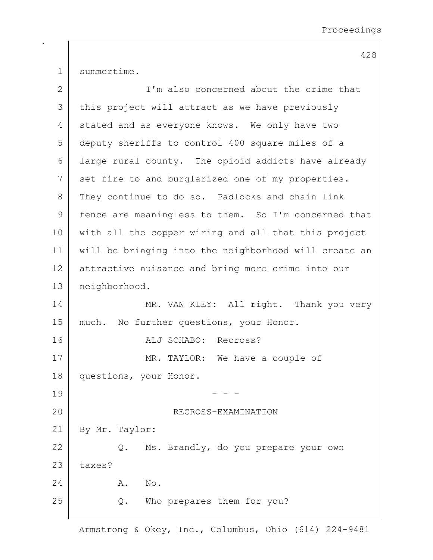1 summertime.

| $\mathbf{2}$ | I'm also concerned about the crime that               |  |
|--------------|-------------------------------------------------------|--|
| 3            | this project will attract as we have previously       |  |
| 4            | stated and as everyone knows. We only have two        |  |
| 5            | deputy sheriffs to control 400 square miles of a      |  |
| 6            | large rural county. The opioid addicts have already   |  |
| 7            | set fire to and burglarized one of my properties.     |  |
| $8\,$        | They continue to do so. Padlocks and chain link       |  |
| $\mathsf 9$  | fence are meaningless to them. So I'm concerned that  |  |
| 10           | with all the copper wiring and all that this project  |  |
| 11           | will be bringing into the neighborhood will create an |  |
| 12           | attractive nuisance and bring more crime into our     |  |
| 13           | neighborhood.                                         |  |
| 14           | MR. VAN KLEY: All right. Thank you very               |  |
| 15           | much. No further questions, your Honor.               |  |
| 16           | ALJ SCHABO: Recross?                                  |  |
| 17           | MR. TAYLOR: We have a couple of                       |  |
| 18           | questions, your Honor.                                |  |
| 19           |                                                       |  |
| 20           | RECROSS-EXAMINATION                                   |  |
| 21           | By Mr. Taylor:                                        |  |
| 22           | Q. Ms. Brandly, do you prepare your own               |  |
| 23           | taxes?                                                |  |
| 24           | No.<br>Α.                                             |  |
| 25           | Who prepares them for you?<br>$Q$ .                   |  |
|              |                                                       |  |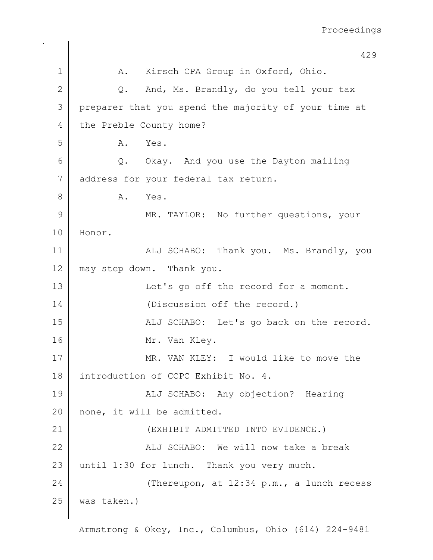429 1 | A. Kirsch CPA Group in Oxford, Ohio. 2 Q. And, Ms. Brandly, do you tell your tax 3 preparer that you spend the majority of your time at 4 the Preble County home? 5 A. Yes. 6 Q. Okay. And you use the Dayton mailing 7 address for your federal tax return. 8 A. Yes. 9 MR. TAYLOR: No further questions, your 10 Honor. 11 | ALJ SCHABO: Thank you. Ms. Brandly, you 12 may step down. Thank you. 13 | Let's go off the record for a moment. 14 (Discussion off the record.) 15 | ALJ SCHABO: Let's go back on the record. 16 Mr. Van Kley. 17 MR. VAN KLEY: I would like to move the 18 introduction of CCPC Exhibit No. 4. 19 | ALJ SCHABO: Any objection? Hearing 20 none, it will be admitted. 21 (EXHIBIT ADMITTED INTO EVIDENCE.) 22 | Kalj SCHABO: We will now take a break 23 | until 1:30 for lunch. Thank you very much. 24 (Thereupon, at 12:34 p.m., a lunch recess 25 was taken.)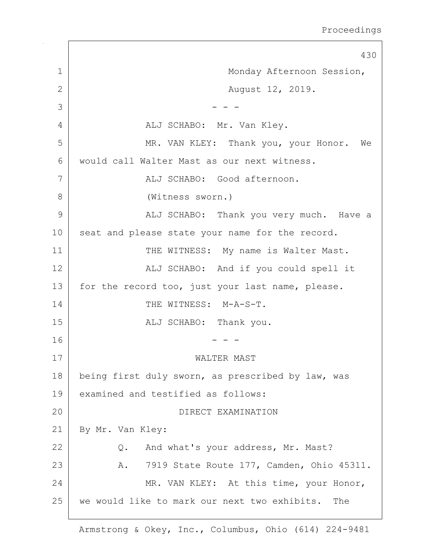430 1 | Monday Afternoon Session, 2 | Rugust 12, 2019.  $3$   $-$  - -4 ALJ SCHABO: Mr. Van Kley. 5 MR. VAN KLEY: Thank you, your Honor. We 6 would call Walter Mast as our next witness. 7 | ALJ SCHABO: Good afternoon. 8 (Witness sworn.) 9 | ALJ SCHABO: Thank you very much. Have a 10 seat and please state your name for the record. 11 THE WITNESS: My name is Walter Mast. 12 | The SCHABO: And if you could spell it 13 | for the record too, just your last name, please. 14 THE WITNESS: M-A-S-T. 15 | REALU SCHABO: Thank you.  $16$  - - -17 WALTER MAST 18 | being first duly sworn, as prescribed by law, was 19 examined and testified as follows: 20 DIRECT EXAMINATION 21 | By Mr. Van Kley: 22 Q. And what's your address, Mr. Mast? 23 | R. 7919 State Route 177, Camden, Ohio 45311. 24 MR. VAN KLEY: At this time, your Honor, 25 we would like to mark our next two exhibits. The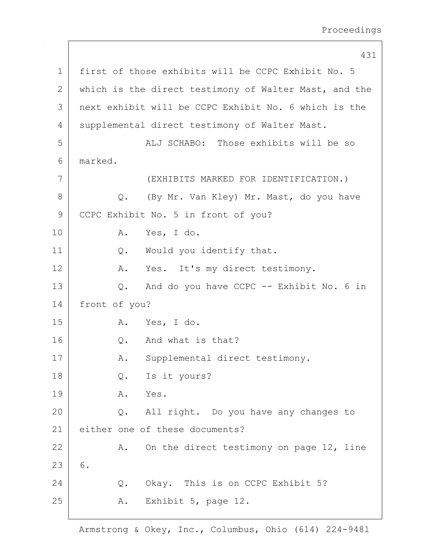431 1 first of those exhibits will be CCPC Exhibit No. 5 2 which is the direct testimony of Walter Mast, and the 3 next exhibit will be CCPC Exhibit No. 6 which is the 4 | supplemental direct testimony of Walter Mast. 5 | ALJ SCHABO: Those exhibits will be so 6 marked. 7 (EXHIBITS MARKED FOR IDENTIFICATION.) 8 Q. (By Mr. Van Kley) Mr. Mast, do you have 9 CCPC Exhibit No. 5 in front of you? 10 A. Yes, I do. 11 | Q. Would you identify that. 12 A. Yes. It's my direct testimony. 13 Q. And do you have CCPC -- Exhibit No. 6 in 14 front of you? 15 A. Yes, I do. 16 O. And what is that? 17 | A. Supplemental direct testimony. 18 | Q. Is it yours? 19 A. Yes. 20 Q. All right. Do you have any changes to 21 either one of these documents? 22 A. On the direct testimony on page 12, line  $23 | 6.$ 24 O. Okay. This is on CCPC Exhibit 5? 25 | R. Exhibit 5, page 12.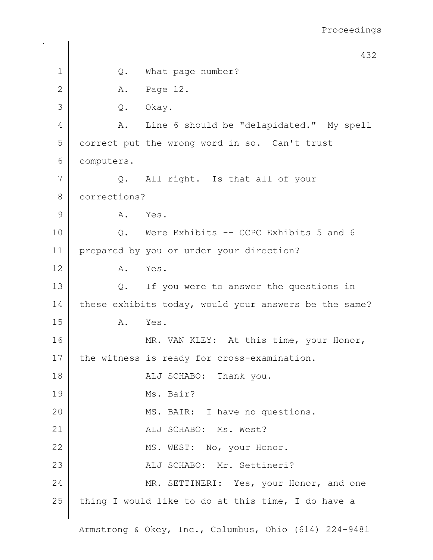|       |              | 432                                                   |
|-------|--------------|-------------------------------------------------------|
| 1     | Q.           | What page number?                                     |
| 2     | Α.           | Page 12.                                              |
| 3     | $Q$ .        | Okay.                                                 |
| 4     | A.           | Line 6 should be "delapidated." My spell              |
| 5     |              | correct put the wrong word in so. Can't trust         |
| 6     | computers.   |                                                       |
| 7     |              | Q. All right. Is that all of your                     |
| $8\,$ | corrections? |                                                       |
| 9     | A. Yes.      |                                                       |
| 10    | $Q$ .        | Were Exhibits -- CCPC Exhibits 5 and 6                |
| 11    |              | prepared by you or under your direction?              |
| 12    | A.           | Yes.                                                  |
| 13    | Q.           | If you were to answer the questions in                |
| 14    |              | these exhibits today, would your answers be the same? |
| 15    | Α.           | Yes.                                                  |
| 16    |              | MR. VAN KLEY: At this time, your Honor,               |
| 17    |              | the witness is ready for cross-examination.           |
| 18    |              | ALJ SCHABO: Thank you.                                |
| 19    |              | Ms. Bair?                                             |
| 20    |              | MS. BAIR: I have no questions.                        |
| 21    |              | ALJ SCHABO: Ms. West?                                 |
| 22    |              | MS. WEST: No, your Honor.                             |
| 23    |              | ALJ SCHABO: Mr. Settineri?                            |
| 24    |              | MR. SETTINERI: Yes, your Honor, and one               |
| 25    |              | thing I would like to do at this time, I do have a    |
|       |              |                                                       |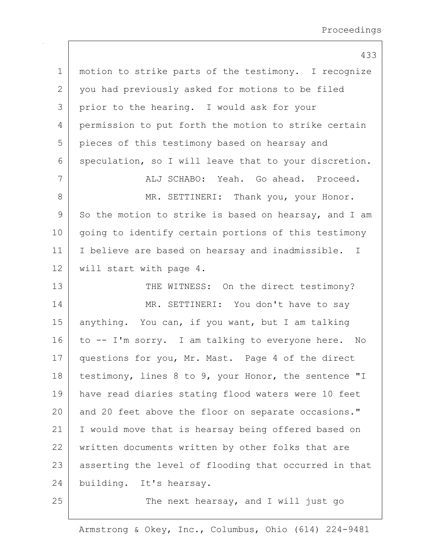| $\mathbf 1$  | motion to strike parts of the testimony. I recognize  |
|--------------|-------------------------------------------------------|
| $\mathbf{2}$ | you had previously asked for motions to be filed      |
| 3            | prior to the hearing. I would ask for your            |
| 4            | permission to put forth the motion to strike certain  |
| 5            | pieces of this testimony based on hearsay and         |
| 6            | speculation, so I will leave that to your discretion. |
| 7            | ALJ SCHABO: Yeah. Go ahead. Proceed.                  |
| $\,8\,$      | MR. SETTINERI: Thank you, your Honor.                 |
| $\mathsf 9$  | So the motion to strike is based on hearsay, and I am |
| 10           | going to identify certain portions of this testimony  |
| 11           | I believe are based on hearsay and inadmissible. I    |
| 12           | will start with page 4.                               |
| 13           | THE WITNESS: On the direct testimony?                 |
| 14           | MR. SETTINERI: You don't have to say                  |
| 15           | anything. You can, if you want, but I am talking      |
| 16           | to -- I'm sorry. I am talking to everyone here. No    |
| 17           | questions for you, Mr. Mast. Page 4 of the direct     |
| 18           | testimony, lines 8 to 9, your Honor, the sentence "I  |
| 19           | have read diaries stating flood waters were 10 feet   |
| 20           | and 20 feet above the floor on separate occasions."   |
| 21           | I would move that is hearsay being offered based on   |
| 22           | written documents written by other folks that are     |
| 23           | asserting the level of flooding that occurred in that |
| 24           | building. It's hearsay.                               |
|              |                                                       |

 $25$  The next hearsay, and I will just go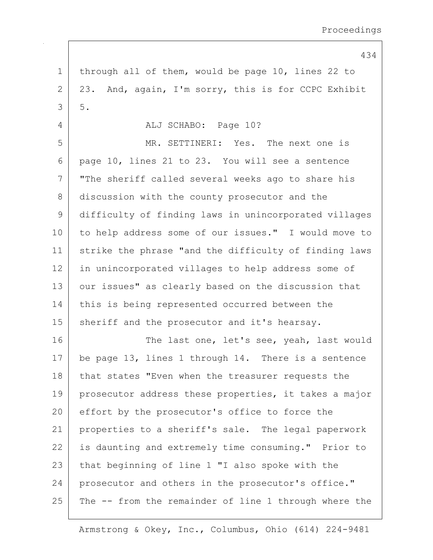1 | through all of them, would be page 10, lines 22 to  $2 \mid 23$ . And, again, I'm sorry, this is for CCPC Exhibit  $3 \mid 5$ . 4 ALJ SCHABO: Page 10? 5 MR. SETTINERI: Yes. The next one is 6 page 10, lines 21 to 23. You will see a sentence 7 "The sheriff called several weeks ago to share his 8 discussion with the county prosecutor and the 9 difficulty of finding laws in unincorporated villages 10 to help address some of our issues." I would move to 11 strike the phrase "and the difficulty of finding laws 12 in unincorporated villages to help address some of 13 | our issues" as clearly based on the discussion that 14 this is being represented occurred between the 15 | sheriff and the prosecutor and it's hearsay. 16 The last one, let's see, yeah, last would 17 be page 13, lines 1 through 14. There is a sentence 18 that states "Even when the treasurer requests the 19 | prosecutor address these properties, it takes a major 20 effort by the prosecutor's office to force the 21 properties to a sheriff's sale. The legal paperwork 22 is daunting and extremely time consuming." Prior to 23 that beginning of line 1 "I also spoke with the 24 prosecutor and others in the prosecutor's office."  $25$  The  $-$  from the remainder of line 1 through where the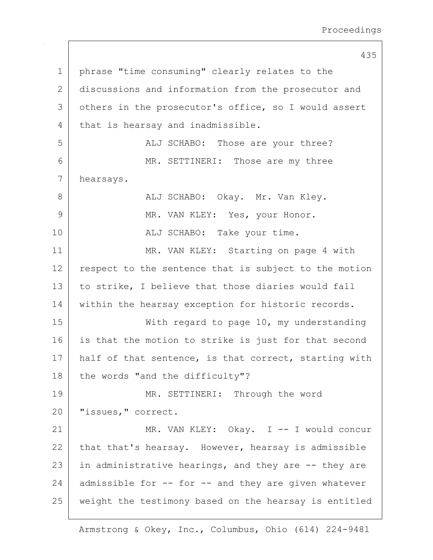435 1 | phrase "time consuming" clearly relates to the 2 discussions and information from the prosecutor and 3 others in the prosecutor's office, so I would assert 4 that is hearsay and inadmissible. 5 | ALJ SCHABO: Those are your three? 6 MR. SETTINERI: Those are my three 7 hearsays. 8 ALJ SCHABO: Okay. Mr. Van Kley. 9 MR. VAN KLEY: Yes, your Honor. 10 | RESTALL SCHABO: Take your time. 11 MR. VAN KLEY: Starting on page 4 with 12 respect to the sentence that is subject to the motion 13 to strike, I believe that those diaries would fall 14 within the hearsay exception for historic records. 15 | With regard to page 10, my understanding 16 is that the motion to strike is just for that second 17 | half of that sentence, is that correct, starting with 18 | the words "and the difficulty"? 19 MR. SETTINERI: Through the word 20 | "issues," correct. 21 MR. VAN KLEY: Okay. I -- I would concur 22 that that's hearsay. However, hearsay is admissible 23 in administrative hearings, and they are  $-$  they are 24 admissible for  $-$  for  $-$  and they are given whatever 25 weight the testimony based on the hearsay is entitled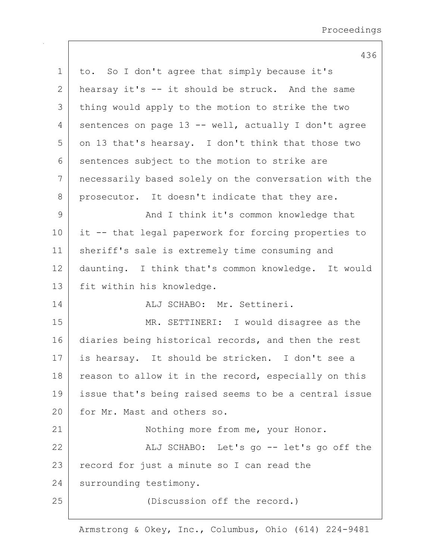| $\mathbf 1$   | to. So I don't agree that simply because it's         |
|---------------|-------------------------------------------------------|
| $\mathbf{2}$  | hearsay it's -- it should be struck. And the same     |
| 3             | thing would apply to the motion to strike the two     |
| 4             | sentences on page 13 -- well, actually I don't agree  |
| 5             | on 13 that's hearsay. I don't think that those two    |
| 6             | sentences subject to the motion to strike are         |
| 7             | necessarily based solely on the conversation with the |
| 8             | prosecutor. It doesn't indicate that they are.        |
| $\mathcal{G}$ | And I think it's common knowledge that                |
| 10            | it -- that legal paperwork for forcing properties to  |
| 11            | sheriff's sale is extremely time consuming and        |
| 12            | daunting. I think that's common knowledge. It would   |
| 13            | fit within his knowledge.                             |
| 14            | ALJ SCHABO: Mr. Settineri.                            |
| 15            | MR. SETTINERI: I would disagree as the                |
| 16            | diaries being historical records, and then the rest   |
| 17            | is hearsay. It should be stricken. I don't see a      |
| 18            | reason to allow it in the record, especially on this  |
| 19            | issue that's being raised seems to be a central issue |
| 20            | for Mr. Mast and others so.                           |
| 21            | Nothing more from me, your Honor.                     |
| 22            | ALJ SCHABO: Let's go -- let's go off the              |
| 23            | record for just a minute so I can read the            |
| 24            | surrounding testimony.                                |
| 25            | (Discussion off the record.)                          |
|               |                                                       |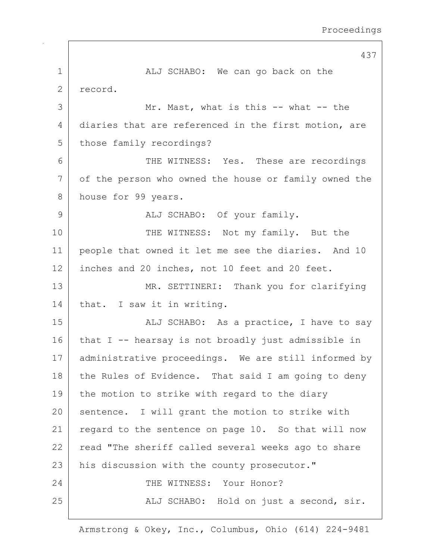437 1 ALJ SCHABO: We can go back on the 2 record. 3 Mr. Mast, what is this -- what -- the 4 diaries that are referenced in the first motion, are 5 those family recordings? 6 THE WITNESS: Yes. These are recordings 7 of the person who owned the house or family owned the 8 house for 99 years. 9 | ALJ SCHABO: Of your family. 10 THE WITNESS: Not my family. But the 11 people that owned it let me see the diaries. And 10 12 inches and 20 inches, not 10 feet and 20 feet. 13 MR. SETTINERI: Thank you for clarifying 14 that. I saw it in writing. 15 | ALJ SCHABO: As a practice, I have to say 16 | that I -- hearsay is not broadly just admissible in 17 | administrative proceedings. We are still informed by 18 the Rules of Evidence. That said I am going to deny 19 the motion to strike with regard to the diary 20 sentence. I will grant the motion to strike with 21 | regard to the sentence on page 10. So that will now 22 read "The sheriff called several weeks ago to share 23 | his discussion with the county prosecutor." 24 THE WITNESS: Your Honor? 25 | ALJ SCHABO: Hold on just a second, sir.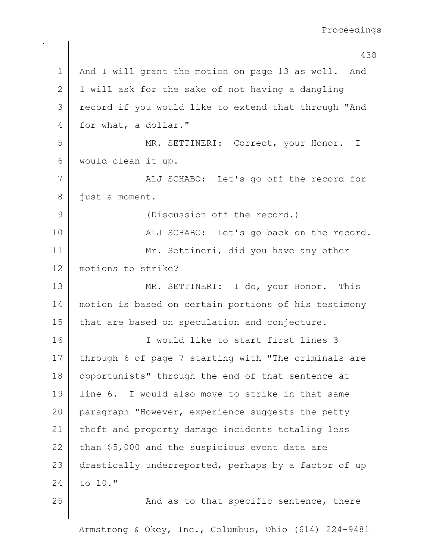438 1 | And I will grant the motion on page 13 as well. And 2 I I will ask for the sake of not having a dangling 3 record if you would like to extend that through "And 4 for what, a dollar." 5 | MR. SETTINERI: Correct, your Honor. I 6 would clean it up. 7 ALJ SCHABO: Let's go off the record for 8 just a moment. 9 (Discussion off the record.) 10 | ALJ SCHABO: Let's go back on the record. 11 | Mr. Settineri, did you have any other 12 motions to strike? 13 MR. SETTINERI: I do, your Honor. This 14 motion is based on certain portions of his testimony 15 | that are based on speculation and conjecture. 16 I would like to start first lines 3 17 | through 6 of page 7 starting with "The criminals are 18 | opportunists" through the end of that sentence at 19 line 6. I would also move to strike in that same 20 paragraph "However, experience suggests the petty 21 | theft and property damage incidents totaling less  $22$  than \$5,000 and the suspicious event data are 23 drastically underreported, perhaps by a factor of up  $24$  to 10." 25 | The Sand as to that specific sentence, there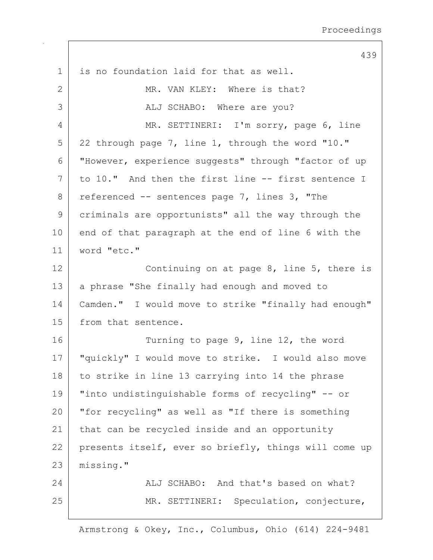|    | 439                                                   |
|----|-------------------------------------------------------|
| 1  | is no foundation laid for that as well.               |
| 2  | MR. VAN KLEY: Where is that?                          |
| 3  | ALJ SCHABO: Where are you?                            |
| 4  | MR. SETTINERI: I'm sorry, page 6, line                |
| 5  | 22 through page 7, line 1, through the word "10."     |
| 6  | "However, experience suggests" through "factor of up  |
| 7  | to 10." And then the first line -- first sentence I   |
| 8  | referenced -- sentences page 7, lines 3, "The         |
| 9  | criminals are opportunists" all the way through the   |
| 10 | end of that paragraph at the end of line 6 with the   |
| 11 | word "etc."                                           |
| 12 | Continuing on at page 8, line 5, there is             |
| 13 | a phrase "She finally had enough and moved to         |
| 14 | Camden." I would move to strike "finally had enough"  |
| 15 | from that sentence.                                   |
| 16 | Turning to page 9, line 12, the word                  |
| 17 | "quickly" I would move to strike. I would also move   |
| 18 | to strike in line 13 carrying into 14 the phrase      |
| 19 | "into undistinguishable forms of recycling" -- or     |
| 20 | "for recycling" as well as "If there is something     |
| 21 | that can be recycled inside and an opportunity        |
| 22 | presents itself, ever so briefly, things will come up |
| 23 | missing."                                             |
| 24 | ALJ SCHABO: And that's based on what?                 |
| 25 | MR. SETTINERI: Speculation, conjecture,               |
|    |                                                       |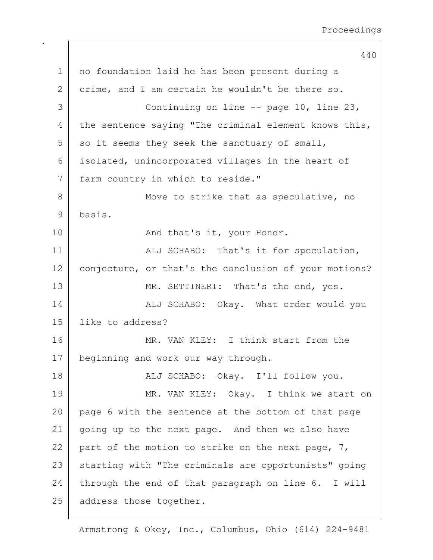440 1 no foundation laid he has been present during a 2 crime, and I am certain he wouldn't be there so. 3 Continuing on line -- page 10, line 23, 4 | the sentence saying "The criminal element knows this,  $5$  so it seems they seek the sanctuary of small, 6 isolated, unincorporated villages in the heart of 7 farm country in which to reside." 8 Move to strike that as speculative, no 9 basis. 10 | Rnd that's it, your Honor. 11 | ALJ SCHABO: That's it for speculation, 12 | conjecture, or that's the conclusion of your motions? 13 MR. SETTINERI: That's the end, yes. 14 | ALJ SCHABO: Okay. What order would you 15 like to address? 16 MR. VAN KLEY: I think start from the 17 beginning and work our way through. 18 | REALJ SCHABO: Okay. I'll follow you. 19 MR. VAN KLEY: Okay. I think we start on 20 page 6 with the sentence at the bottom of that page 21 | going up to the next page. And then we also have 22 part of the motion to strike on the next page, 7, 23 | starting with "The criminals are opportunists" going 24 through the end of that paragraph on line  $6.$  I will 25 | address those together.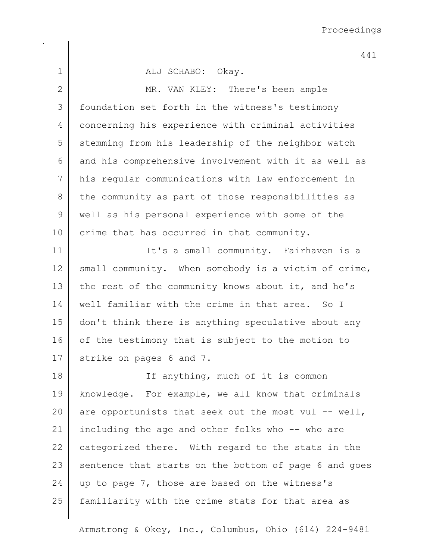|              | 441                                                   |
|--------------|-------------------------------------------------------|
| 1            | ALJ SCHABO: Okay.                                     |
| $\mathbf{2}$ | MR. VAN KLEY: There's been ample                      |
| 3            | foundation set forth in the witness's testimony       |
| 4            | concerning his experience with criminal activities    |
| 5            | stemming from his leadership of the neighbor watch    |
| 6            | and his comprehensive involvement with it as well as  |
| 7            | his regular communications with law enforcement in    |
| 8            | the community as part of those responsibilities as    |
| $\mathsf 9$  | well as his personal experience with some of the      |
| 10           | crime that has occurred in that community.            |
| 11           | It's a small community. Fairhaven is a                |
| 12           | small community. When somebody is a victim of crime,  |
| 13           | the rest of the community knows about it, and he's    |
| 14           | well familiar with the crime in that area. So I       |
| 15           | don't think there is anything speculative about any   |
| 16           | of the testimony that is subject to the motion to     |
| 17           | strike on pages 6 and 7.                              |
| 18           | If anything, much of it is common                     |
| 19           | knowledge. For example, we all know that criminals    |
| 20           | are opportunists that seek out the most vul -- well,  |
| 21           | including the age and other folks who -- who are      |
| 22           | categorized there. With regard to the stats in the    |
| 23           | sentence that starts on the bottom of page 6 and goes |
| 24           | up to page 7, those are based on the witness's        |
| 25           | familiarity with the crime stats for that area as     |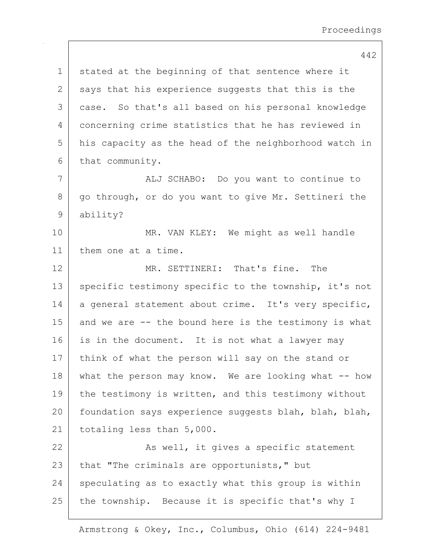1 stated at the beginning of that sentence where it  $2$  says that his experience suggests that this is the 3 case. So that's all based on his personal knowledge 4 concerning crime statistics that he has reviewed in 5 his capacity as the head of the neighborhood watch in 6 that community. 7 | ALJ SCHABO: Do you want to continue to 8 go through, or do you want to give Mr. Settineri the 9 ability? 10 MR. VAN KLEY: We might as well handle 11 them one at a time. 12 MR. SETTINERI: That's fine. The 13 specific testimony specific to the township, it's not 14 a general statement about crime. It's very specific, 15 and we are -- the bound here is the testimony is what 16 is in the document. It is not what a lawyer may 17 think of what the person will say on the stand or 18 what the person may know. We are looking what -- how 19 | the testimony is written, and this testimony without 20 | foundation says experience suggests blah, blah, blah, 21 totaling less than 5,000. 22 | Ressell, it gives a specific statement 23 that "The criminals are opportunists," but  $24$  speculating as to exactly what this group is within 25 | the township. Because it is specific that's why I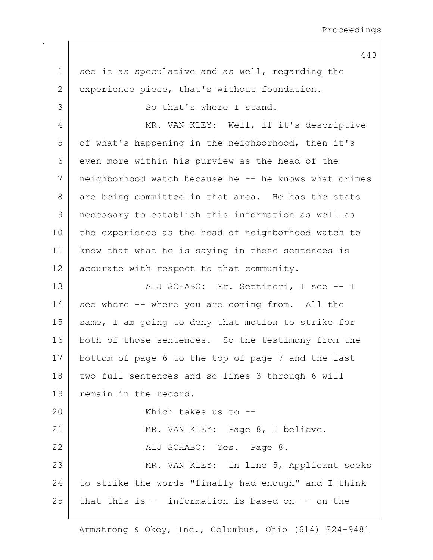$1$  see it as speculative and as well, regarding the 2 | experience piece, that's without foundation. 3 So that's where I stand. 4 MR. VAN KLEY: Well, if it's descriptive 5 of what's happening in the neighborhood, then it's 6 even more within his purview as the head of the 7 neighborhood watch because he -- he knows what crimes 8 are being committed in that area. He has the stats 9 necessary to establish this information as well as 10 the experience as the head of neighborhood watch to 11 know that what he is saying in these sentences is 12 accurate with respect to that community. 13 | Kalj Schabo: Mr. Settineri, I see -- I 14 see where -- where you are coming from. All the 15 | same, I am going to deny that motion to strike for 16 both of those sentences. So the testimony from the 17 bottom of page 6 to the top of page 7 and the last 18 two full sentences and so lines 3 through 6 will 19 remain in the record. 20 Which takes us to -- 21 MR. VAN KLEY: Page 8, I believe. 22 ALJ SCHABO: Yes. Page 8. 23 | MR. VAN KLEY: In line 5, Applicant seeks 24 to strike the words "finally had enough" and I think 25 that this is -- information is based on -- on the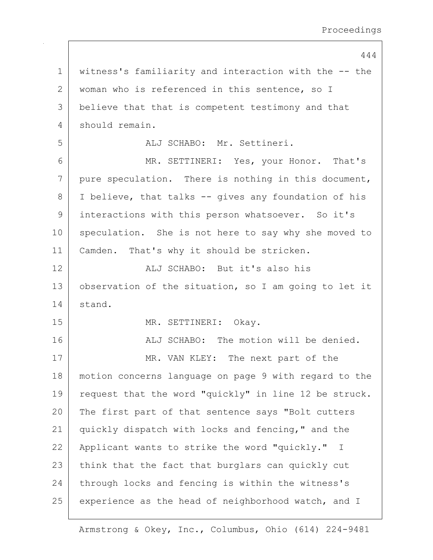1 witness's familiarity and interaction with the -- the 2 | woman who is referenced in this sentence, so I 3 believe that that is competent testimony and that 4 should remain. 5 ALJ SCHABO: Mr. Settineri. 6 MR. SETTINERI: Yes, your Honor. That's 7 pure speculation. There is nothing in this document, 8 I believe, that talks -- gives any foundation of his 9 interactions with this person whatsoever. So it's 10 speculation. She is not here to say why she moved to 11 | Camden. That's why it should be stricken. 12 ALJ SCHABO: But it's also his 13 | observation of the situation, so I am going to let it 14 stand. 15 MR. SETTINERI: Okay. 16 | ALJ SCHABO: The motion will be denied. 17 MR. VAN KLEY: The next part of the 18 motion concerns language on page 9 with regard to the 19 request that the word "quickly" in line 12 be struck. 20 The first part of that sentence says "Bolt cutters 21 quickly dispatch with locks and fencing," and the 22 | Applicant wants to strike the word "quickly." I 23 think that the fact that burglars can quickly cut 24 through locks and fencing is within the witness's 25 experience as the head of neighborhood watch, and I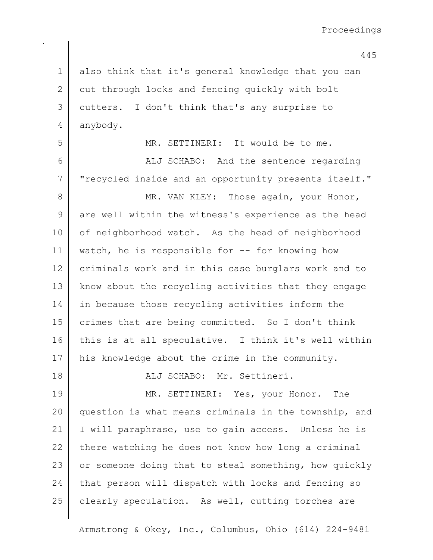1 also think that it's general knowledge that you can 2 cut through locks and fencing quickly with bolt 3 cutters. I don't think that's any surprise to 4 anybody.

5 MR. SETTINERI: It would be to me. 6 | ALJ SCHABO: And the sentence regarding 7 | "recycled inside and an opportunity presents itself."

8 | MR. VAN KLEY: Those again, your Honor, 9 are well within the witness's experience as the head 10 of neighborhood watch. As the head of neighborhood 11 | watch, he is responsible for -- for knowing how 12 criminals work and in this case burglars work and to 13 | know about the recycling activities that they engage 14 in because those recycling activities inform the 15 crimes that are being committed. So I don't think 16 this is at all speculative. I think it's well within 17 | his knowledge about the crime in the community.

18 ALJ SCHABO: Mr. Settineri.

19 MR. SETTINERI: Yes, your Honor. The 20 question is what means criminals in the township, and 21 I will paraphrase, use to gain access. Unless he is  $22$  there watching he does not know how long a criminal 23 or someone doing that to steal something, how quickly 24 that person will dispatch with locks and fencing so 25 | clearly speculation. As well, cutting torches are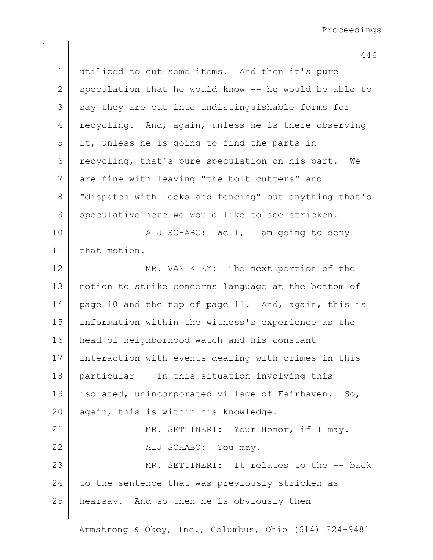1 utilized to cut some items. And then it's pure 2 speculation that he would know  $-$  he would be able to 3 say they are cut into undistinguishable forms for 4 recycling. And, again, unless he is there observing  $5$  it, unless he is going to find the parts in 6 recycling, that's pure speculation on his part. We 7 | are fine with leaving "the bolt cutters" and 8 | "dispatch with locks and fencing" but anything that's 9 speculative here we would like to see stricken. 10 | ALJ SCHABO: Well, I am going to deny 11 that motion. 12 MR. VAN KLEY: The next portion of the 13 motion to strike concerns language at the bottom of 14 | page 10 and the top of page 11. And, again, this is 15 information within the witness's experience as the 16 head of neighborhood watch and his constant 17 interaction with events dealing with crimes in this 18 particular -- in this situation involving this 19 isolated, unincorporated village of Fairhaven. So, 20 again, this is within his knowledge. 21 | MR. SETTINERI: Your Honor, if I may. 22 ALJ SCHABO: You may. 23 MR. SETTINERI: It relates to the -- back  $24$  to the sentence that was previously stricken as 25 | hearsay. And so then he is obviously then

## 446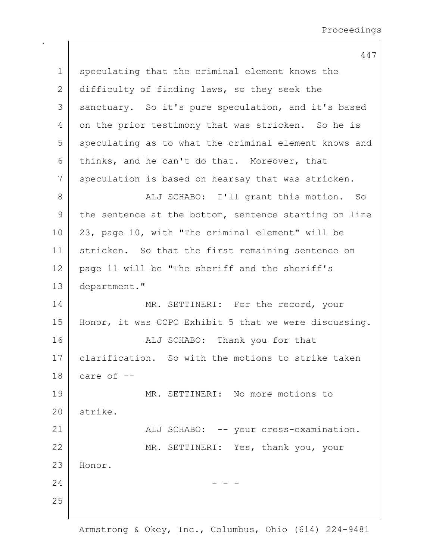1 speculating that the criminal element knows the 2 difficulty of finding laws, so they seek the 3 | sanctuary. So it's pure speculation, and it's based 4 on the prior testimony that was stricken. So he is 5 speculating as to what the criminal element knows and 6 thinks, and he can't do that. Moreover, that 7 speculation is based on hearsay that was stricken. 8 | ALJ SCHABO: I'll grant this motion. So 9 the sentence at the bottom, sentence starting on line 10 23, page 10, with "The criminal element" will be 11 stricken. So that the first remaining sentence on 12 page 11 will be "The sheriff and the sheriff's 13 department." 14 MR. SETTINERI: For the record, your 15 | Honor, it was CCPC Exhibit 5 that we were discussing. 16 | Thank you for that 17 | clarification. So with the motions to strike taken  $18$  care of  $-$ 19 MR. SETTINERI: No more motions to 20 strike. 21 | ALJ SCHABO: -- your cross-examination. 22 MR. SETTINERI: Yes, thank you, your 23 Honor.  $24$  - - -25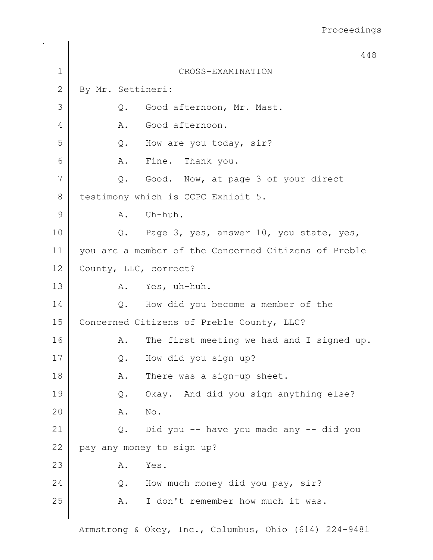|              | 448                                                  |  |
|--------------|------------------------------------------------------|--|
| $\mathbf 1$  | CROSS-EXAMINATION                                    |  |
| $\mathbf{2}$ | By Mr. Settineri:                                    |  |
| 3            | Good afternoon, Mr. Mast.<br>Q.                      |  |
| 4            | Good afternoon.<br>Α.                                |  |
| 5            | How are you today, sir?<br>Q.                        |  |
| 6            | A. Fine. Thank you.                                  |  |
| 7            | Good. Now, at page 3 of your direct<br>Q.            |  |
| 8            | testimony which is CCPC Exhibit 5.                   |  |
| 9            | Uh-huh.<br>A.                                        |  |
| 10           | Q. Page 3, yes, answer 10, you state, yes,           |  |
| 11           | you are a member of the Concerned Citizens of Preble |  |
| 12           | County, LLC, correct?                                |  |
| 13           | A. Yes, uh-huh.                                      |  |
| 14           | How did you become a member of the<br>Q.             |  |
| 15           | Concerned Citizens of Preble County, LLC?            |  |
| 16           | The first meeting we had and I signed up.<br>Α.      |  |
| 17           | How did you sign up?<br>Q.                           |  |
| 18           | There was a sign-up sheet.<br>Α.                     |  |
| 19           | Okay. And did you sign anything else?<br>Q.          |  |
| 20           | Α.<br>No.                                            |  |
| 21           | Did you -- have you made any -- did you<br>Q.        |  |
| 22           | pay any money to sign up?                            |  |
| 23           | Yes.<br>Α.                                           |  |
| 24           | How much money did you pay, sir?<br>Q.               |  |
| 25           | I don't remember how much it was.<br>Α.              |  |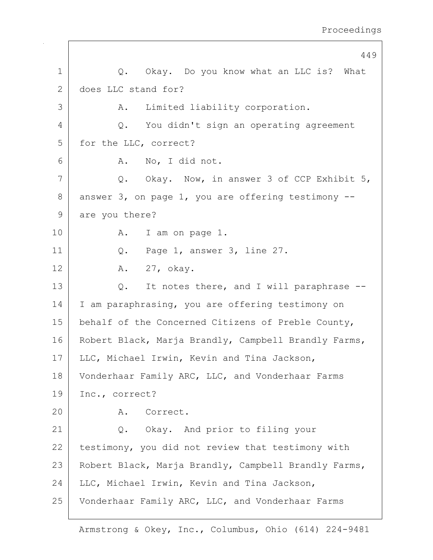|              | 449                                                       |
|--------------|-----------------------------------------------------------|
| 1            | Q. Okay. Do you know what an LLC is? What                 |
| $\mathbf{2}$ | does LLC stand for?                                       |
| 3            | Limited liability corporation.<br>Α.                      |
| 4            | You didn't sign an operating agreement<br>$Q$ .           |
| 5            | for the LLC, correct?                                     |
| 6            | A. No, I did not.                                         |
| 7            | Q. Okay. Now, in answer 3 of CCP Exhibit 5,               |
| 8            | answer $3$ , on page $1$ , you are offering testimony $-$ |
| 9            | are you there?                                            |
| 10           | I am on page 1.<br>Α.                                     |
| 11           | Q. Page 1, answer 3, line 27.                             |
| 12           | A. 27, okay.                                              |
| 13           | It notes there, and I will paraphrase --<br>Q.            |
| 14           | I am paraphrasing, you are offering testimony on          |
| 15           | behalf of the Concerned Citizens of Preble County,        |
| 16           | Robert Black, Marja Brandly, Campbell Brandly Farms,      |
| 17           | LLC, Michael Irwin, Kevin and Tina Jackson,               |
| 18           | Vonderhaar Family ARC, LLC, and Vonderhaar Farms          |
| 19           | Inc., correct?                                            |
| 20           | A. Correct.                                               |
| 21           | Q. Okay. And prior to filing your                         |
| 22           | testimony, you did not review that testimony with         |
| 23           | Robert Black, Marja Brandly, Campbell Brandly Farms,      |
| 24           | LLC, Michael Irwin, Kevin and Tina Jackson,               |
| 25           | Vonderhaar Family ARC, LLC, and Vonderhaar Farms          |

 $\mathbf{I}$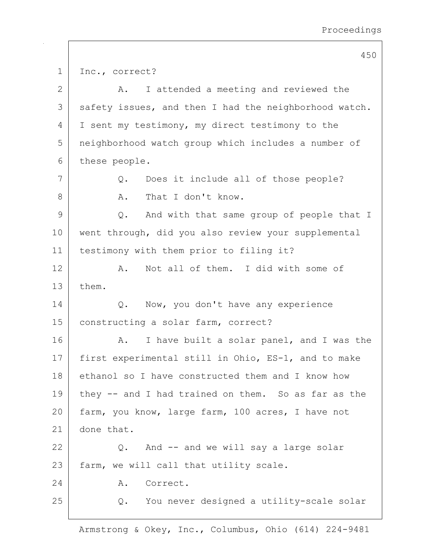1 Inc., correct? 2 A. I attended a meeting and reviewed the 3 safety issues, and then I had the neighborhood watch. 4 I sent my testimony, my direct testimony to the 5 neighborhood watch group which includes a number of 6 these people. 7 Q. Does it include all of those people? 8 A. That I don't know. 9 | Q. And with that same group of people that I 10 | went through, did you also review your supplemental 11 testimony with them prior to filing it? 12 A. Not all of them. I did with some of 13 them. 14 | Q. Now, you don't have any experience 15 | constructing a solar farm, correct? 16 A. I have built a solar panel, and I was the 17 first experimental still in Ohio, ES-1, and to make 18 ethanol so I have constructed them and I know how 19 they  $-$  and I had trained on them. So as far as the 20 farm, you know, large farm, 100 acres, I have not 21 done that. 22 Q. And -- and we will say a large solar 23 | farm, we will call that utility scale. 24 A. Correct. 25 Q. You never designed a utility-scale solar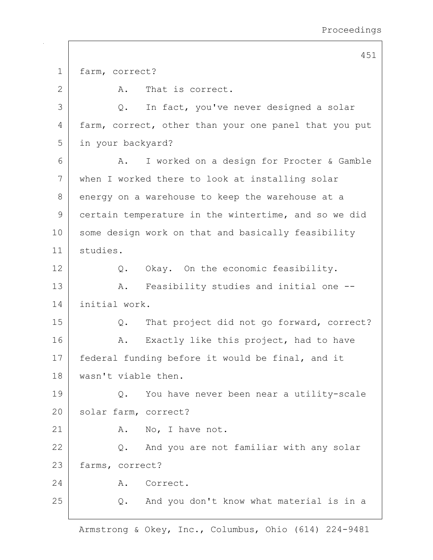1 farm, correct? 2 A. That is correct. 3 Q. In fact, you've never designed a solar 4 farm, correct, other than your one panel that you put 5 in your backyard? 6 | A. I worked on a design for Procter & Gamble 7 when I worked there to look at installing solar 8 energy on a warehouse to keep the warehouse at a 9 certain temperature in the wintertime, and so we did 10 some design work on that and basically feasibility 11 studies. 12 Q. Okay. On the economic feasibility. 13 | A. Feasibility studies and initial one --14 initial work. 15 Q. That project did not go forward, correct? 16 | A. Exactly like this project, had to have 17 | federal funding before it would be final, and it 18 wasn't viable then. 19 Q. You have never been near a utility-scale 20 solar farm, correct? 21 A. No, I have not. 22 Q. And you are not familiar with any solar 23 farms, correct? 24 A. Correct. 25 | Q. And you don't know what material is in a

451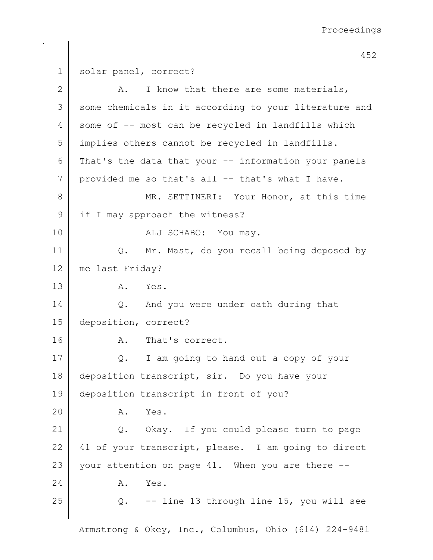452 1 solar panel, correct? 2 A. I know that there are some materials, 3 some chemicals in it according to your literature and 4 some of -- most can be recycled in landfills which 5 implies others cannot be recycled in landfills.  $6$  That's the data that your  $-$  information your panels 7 provided me so that's all -- that's what I have. 8 MR. SETTINERI: Your Honor, at this time 9 if I may approach the witness? 10 ALJ SCHABO: You may. 11 | Q. Mr. Mast, do you recall being deposed by 12 me last Friday? 13 A. Yes. 14 Q. And you were under oath during that 15 deposition, correct? 16 A. That's correct. 17 | Q. I am going to hand out a copy of your 18 deposition transcript, sir. Do you have your 19 deposition transcript in front of you? 20 A. Yes. 21 | Q. Okay. If you could please turn to page 22 41 of your transcript, please. I am going to direct 23 your attention on page 41. When you are there  $-$ -24 A. Yes.  $25$  Q.  $-$  line 13 through line 15, you will see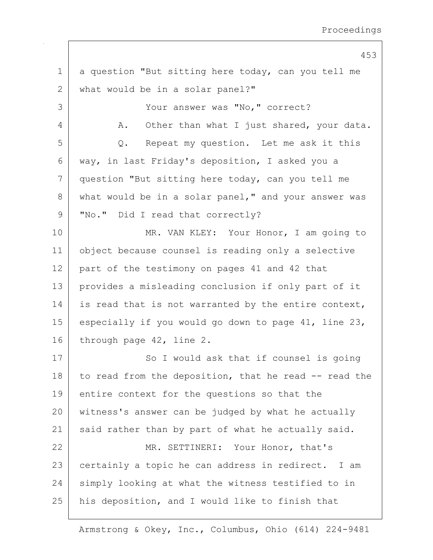453 1 a question "But sitting here today, can you tell me 2 | what would be in a solar panel?" 3 | Your answer was "No," correct? 4 A. Other than what I just shared, your data. 5 Q. Repeat my question. Let me ask it this 6 way, in last Friday's deposition, I asked you a 7 question "But sitting here today, can you tell me 8 what would be in a solar panel," and your answer was 9 | "No." Did I read that correctly? 10 MR. VAN KLEY: Your Honor, I am going to 11 object because counsel is reading only a selective 12 part of the testimony on pages 41 and 42 that 13 provides a misleading conclusion if only part of it 14 is read that is not warranted by the entire context, 15 especially if you would go down to page 41, line 23, 16 through page 42, line 2. 17 | So I would ask that if counsel is going 18 to read from the deposition, that he read  $-$  read the 19 entire context for the questions so that the 20 witness's answer can be judged by what he actually 21 | said rather than by part of what he actually said. 22 MR. SETTINERI: Your Honor, that's 23 certainly a topic he can address in redirect. I am 24 simply looking at what the witness testified to in 25 | his deposition, and I would like to finish that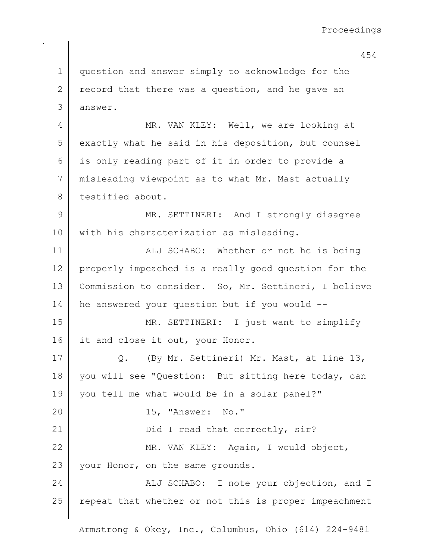454 1 question and answer simply to acknowledge for the  $2$  record that there was a question, and he gave an 3 answer. 4 MR. VAN KLEY: Well, we are looking at 5 exactly what he said in his deposition, but counsel 6 is only reading part of it in order to provide a 7 misleading viewpoint as to what Mr. Mast actually 8 testified about. 9 MR. SETTINERI: And I strongly disagree 10 | with his characterization as misleading. 11 | ALJ SCHABO: Whether or not he is being 12 properly impeached is a really good question for the 13 | Commission to consider. So, Mr. Settineri, I believe 14 | he answered your question but if you would --15 MR. SETTINERI: I just want to simplify 16 it and close it out, your Honor. 17 | Q. (By Mr. Settineri) Mr. Mast, at line 13, 18 | you will see "Question: But sitting here today, can 19 you tell me what would be in a solar panel?" 20 15, "Answer: No." 21 | Did I read that correctly, sir? 22 | MR. VAN KLEY: Again, I would object, 23 | your Honor, on the same grounds. 24 ALJ SCHABO: I note your objection, and I 25 | repeat that whether or not this is proper impeachment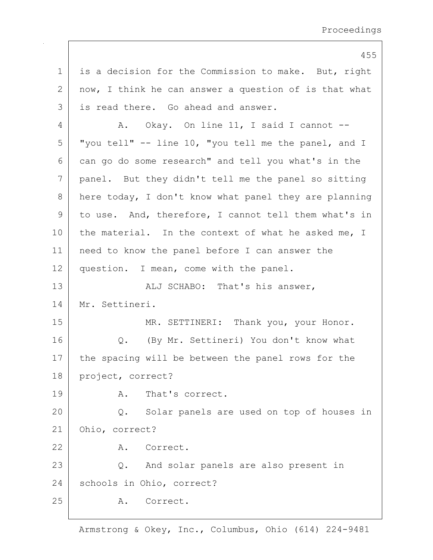455 1 is a decision for the Commission to make. But, right  $2$  now, I think he can answer a question of is that what 3 is read there. Go ahead and answer. 4 | A. Okay. On line 11, I said I cannot -- $5$  "you tell" -- line 10, "you tell me the panel, and I 6 can go do some research" and tell you what's in the 7 panel. But they didn't tell me the panel so sitting 8 here today, I don't know what panel they are planning 9 to use. And, therefore, I cannot tell them what's in 10 the material. In the context of what he asked me, I 11 need to know the panel before I can answer the 12 question. I mean, come with the panel. 13 | ALJ SCHABO: That's his answer, 14 Mr. Settineri. 15 | MR. SETTINERI: Thank you, your Honor. 16 | Q. (By Mr. Settineri) You don't know what 17 | the spacing will be between the panel rows for the 18 | project, correct? 19 A. That's correct. 20 Q. Solar panels are used on top of houses in 21 Ohio, correct? 22 A. Correct. 23 Q. And solar panels are also present in 24 schools in Ohio, correct? 25 A. Correct.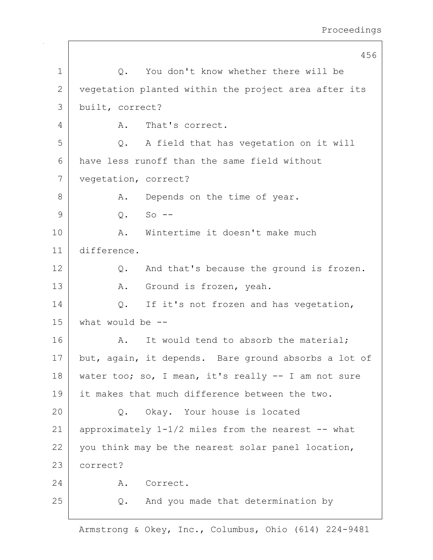|              | 456                                                  |
|--------------|------------------------------------------------------|
| $\mathbf 1$  | You don't know whether there will be<br>Q.           |
| $\mathbf{2}$ | vegetation planted within the project area after its |
| 3            | built, correct?                                      |
| 4            | That's correct.<br>Α.                                |
| 5            | A field that has vegetation on it will<br>$Q$ .      |
| 6            | have less runoff than the same field without         |
| 7            | vegetation, correct?                                 |
| 8            | Depends on the time of year.<br>Α.                   |
| 9            | $Q_{\bullet}$<br>$So$ $--$                           |
| 10           | Wintertime it doesn't make much<br>A.                |
| 11           | difference.                                          |
| 12           | And that's because the ground is frozen.<br>Q.       |
| 13           | Ground is frozen, yeah.<br>A.                        |
| 14           | If it's not frozen and has vegetation,<br>$Q$ .      |
| 15           | what would be $-$ -                                  |
| 16           | It would tend to absorb the material;<br>A.          |
| 17           | but, again, it depends. Bare ground absorbs a lot of |
| 18           | water too; so, I mean, it's really -- I am not sure  |
| 19           | it makes that much difference between the two.       |
| 20           | Okay. Your house is located<br>Q.                    |
| 21           | approximately 1-1/2 miles from the nearest -- what   |
| 22           | you think may be the nearest solar panel location,   |
| 23           | correct?                                             |
| 24           | Correct.<br>Α.                                       |
| 25           | And you made that determination by<br>Q.             |
|              |                                                      |

 $\mathbf{I}$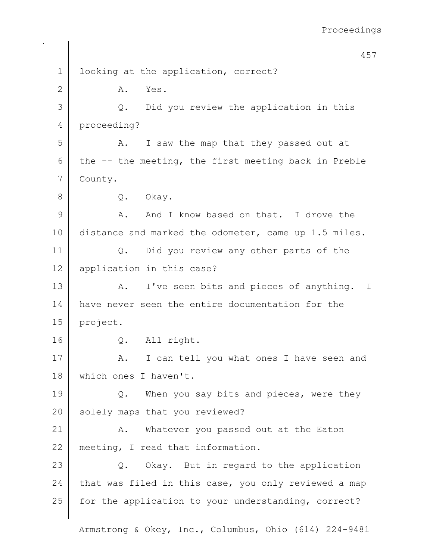457 1 looking at the application, correct? 2 A. Yes. 3 Q. Did you review the application in this 4 proceeding? 5 A. I saw the map that they passed out at 6 the  $-$ - the meeting, the first meeting back in Preble 7 County. 8 Q. Okay. 9 A. And I know based on that. I drove the 10 distance and marked the odometer, came up 1.5 miles. 11 | Q. Did you review any other parts of the 12 application in this case? 13 A. I've seen bits and pieces of anything. I 14 have never seen the entire documentation for the 15 project. 16 O. All right. 17 A. I can tell you what ones I have seen and 18 which ones I haven't. 19 Q. When you say bits and pieces, were they 20 solely maps that you reviewed? 21 | A. Whatever you passed out at the Eaton 22 meeting, I read that information. 23 Q. Okay. But in regard to the application 24 that was filed in this case, you only reviewed a map 25 for the application to your understanding, correct?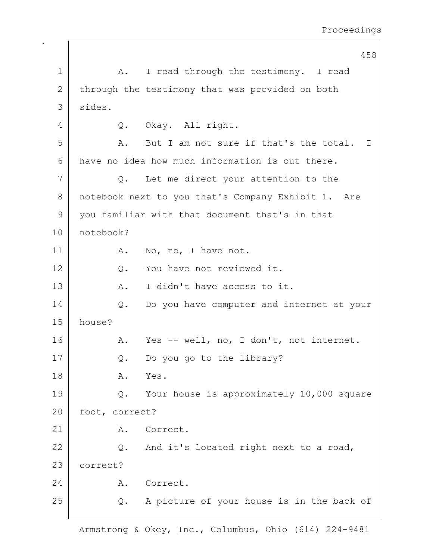|             | 458                                                |
|-------------|----------------------------------------------------|
| $\mathbf 1$ | I read through the testimony. I read<br>A.         |
| 2           | through the testimony that was provided on both    |
| 3           | sides.                                             |
| 4           | Q. Okay. All right.                                |
| 5           | But I am not sure if that's the total. I<br>Α.     |
| 6           | have no idea how much information is out there.    |
| 7           | Let me direct your attention to the<br>Q.          |
| 8           | notebook next to you that's Company Exhibit 1. Are |
| 9           | you familiar with that document that's in that     |
| 10          | notebook?                                          |
| 11          | No, no, I have not.<br>Α.                          |
| 12          | You have not reviewed it.<br>Q.                    |
| 13          | Α.<br>I didn't have access to it.                  |
| 14          | Do you have computer and internet at your<br>$Q$ . |
| 15          | house?                                             |
| 16          | Yes -- well, no, I don't, not internet.<br>Α.      |
| 17          | Do you go to the library?<br>Q.                    |
| 18          | Α.<br>Yes.                                         |
| 19          | Your house is approximately 10,000 square<br>Q.    |
| 20          | foot, correct?                                     |
| 21          | Correct.<br>Α.                                     |
| 22          | Q. And it's located right next to a road,          |
| 23          | correct?                                           |
| 24          | A. Correct.                                        |
| 25          | A picture of your house is in the back of<br>Q.    |
|             |                                                    |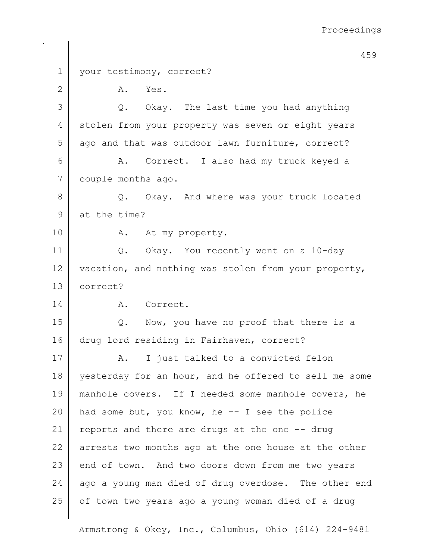459 1 | your testimony, correct? 2 A. Yes. 3 Q. Okay. The last time you had anything 4 stolen from your property was seven or eight years 5 ago and that was outdoor lawn furniture, correct? 6 | R. Correct. I also had my truck keyed a 7 couple months ago. 8 Q. Okay. And where was your truck located 9 at the time? 10 | A. At my property. 11 Q. Okay. You recently went on a 10-day 12 vacation, and nothing was stolen from your property, 13 correct? 14 A. Correct. 15 Q. Now, you have no proof that there is a 16 drug lord residing in Fairhaven, correct? 17 | A. I just talked to a convicted felon 18 vesterday for an hour, and he offered to sell me some 19 manhole covers. If I needed some manhole covers, he 20 | had some but, you know, he  $-$  I see the police 21 reports and there are drugs at the one  $-$ - drug 22 arrests two months ago at the one house at the other 23 end of town. And two doors down from me two years  $24$  ago a young man died of drug overdose. The other end 25 of town two years ago a young woman died of a drug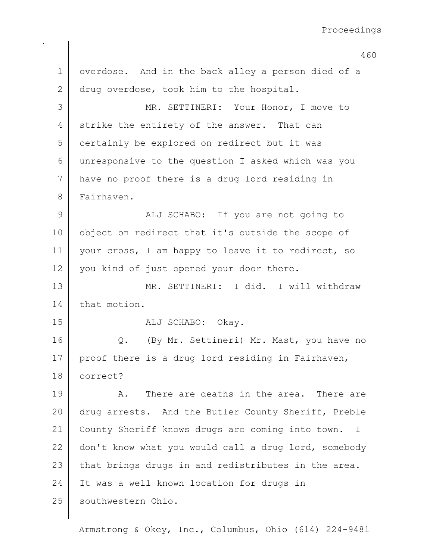|    | 460                                                              |
|----|------------------------------------------------------------------|
| 1  | overdose. And in the back alley a person died of a               |
| 2  | drug overdose, took him to the hospital.                         |
| 3  | MR. SETTINERI: Your Honor, I move to                             |
| 4  | strike the entirety of the answer. That can                      |
| 5  | certainly be explored on redirect but it was                     |
| 6  | unresponsive to the question I asked which was you               |
| 7  | have no proof there is a drug lord residing in                   |
| 8  | Fairhaven.                                                       |
| 9  | ALJ SCHABO: If you are not going to                              |
| 10 | object on redirect that it's outside the scope of                |
| 11 | your cross, I am happy to leave it to redirect, so               |
| 12 | you kind of just opened your door there.                         |
| 13 | MR. SETTINERI: I did. I will withdraw                            |
| 14 | that motion.                                                     |
| 15 | ALJ SCHABO: Okay.                                                |
| 16 | (By Mr. Settineri) Mr. Mast, you have no<br>$Q$ .                |
| 17 | proof there is a drug lord residing in Fairhaven,                |
| 18 | correct?                                                         |
| 19 | There are deaths in the area. There are<br>Α.                    |
| 20 | drug arrests. And the Butler County Sheriff, Preble              |
| 21 | County Sheriff knows drugs are coming into town.<br>$\mathbb{I}$ |
| 22 | don't know what you would call a drug lord, somebody             |
| 23 | that brings drugs in and redistributes in the area.              |
| 24 | It was a well known location for drugs in                        |
| 25 | southwestern Ohio.                                               |
|    |                                                                  |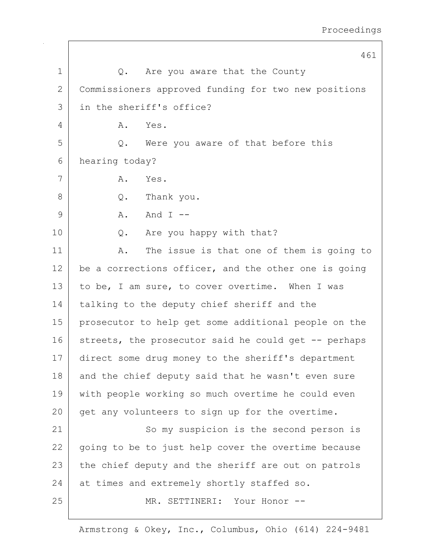|              | 461                                                  |
|--------------|------------------------------------------------------|
| $\mathbf 1$  | Are you aware that the County<br>$Q$ .               |
| $\mathbf{2}$ | Commissioners approved funding for two new positions |
| 3            | in the sheriff's office?                             |
| 4            | Yes.<br>Α.                                           |
| 5            | Were you aware of that before this<br>$Q$ .          |
| 6            | hearing today?                                       |
| 7            | Yes.<br>Α.                                           |
| 8            | Q. Thank you.                                        |
| 9            | And $I$ --<br>Α.                                     |
| 10           | Are you happy with that?<br>Q.                       |
| 11           | The issue is that one of them is going to<br>Α.      |
| 12           | be a corrections officer, and the other one is going |
| 13           | to be, I am sure, to cover overtime. When I was      |
| 14           | talking to the deputy chief sheriff and the          |
| 15           | prosecutor to help get some additional people on the |
| 16           | streets, the prosecutor said he could get -- perhaps |
| 17           | direct some drug money to the sheriff's department   |
| 18           | and the chief deputy said that he wasn't even sure   |
| 19           | with people working so much overtime he could even   |
| 20           | get any volunteers to sign up for the overtime.      |
| 21           | So my suspicion is the second person is              |
| 22           | going to be to just help cover the overtime because  |
| 23           | the chief deputy and the sheriff are out on patrols  |
| 24           | at times and extremely shortly staffed so.           |
| 25           | MR. SETTINERI: Your Honor --                         |
|              |                                                      |

 $\mathbf{I}$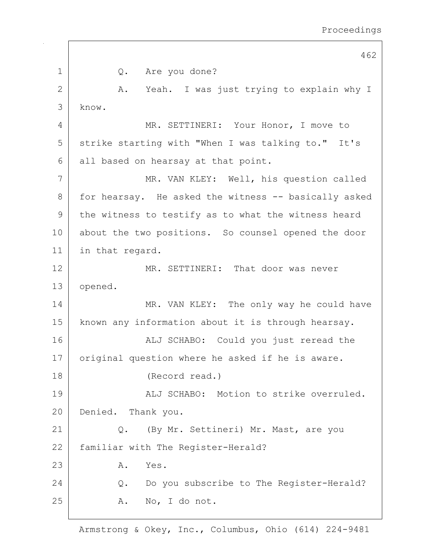|              | 462                                                  |
|--------------|------------------------------------------------------|
| $\mathbf{1}$ | Q. Are you done?                                     |
| $\mathbf{2}$ | A. Yeah. I was just trying to explain why I          |
| 3            | know.                                                |
| 4            | MR. SETTINERI: Your Honor, I move to                 |
| 5            | strike starting with "When I was talking to." It's   |
| 6            | all based on hearsay at that point.                  |
| 7            | MR. VAN KLEY: Well, his question called              |
| 8            | for hearsay. He asked the witness -- basically asked |
| $\mathsf 9$  | the witness to testify as to what the witness heard  |
| 10           | about the two positions. So counsel opened the door  |
| 11           | in that regard.                                      |
| 12           | MR. SETTINERI: That door was never                   |
| 13           | opened.                                              |
| 14           | MR. VAN KLEY: The only way he could have             |
| 15           | known any information about it is through hearsay.   |
| 16           | ALJ SCHABO: Could you just reread the                |
| 17           | original question where he asked if he is aware.     |
| 18           | (Record read.)                                       |
| 19           | ALJ SCHABO: Motion to strike overruled.              |
| 20           | Denied.<br>Thank you.                                |
| 21           | $Q$ .<br>(By Mr. Settineri) Mr. Mast, are you        |
| 22           | familiar with The Register-Herald?                   |
| 23           | Yes.<br>Α.                                           |
| 24           | Do you subscribe to The Register-Herald?<br>$Q$ .    |
| 25           | A. No, I do not.                                     |
|              |                                                      |

 $\mathbf{I}$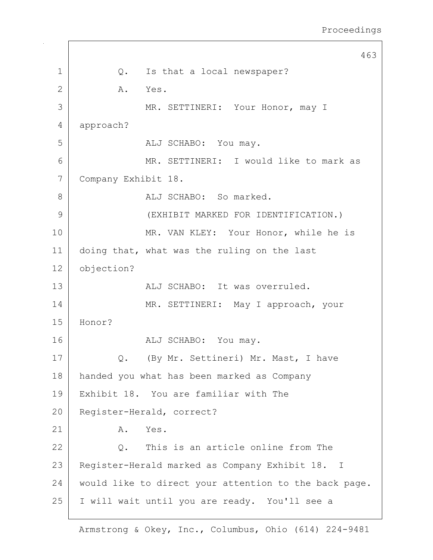463 1 | Q. Is that a local newspaper? 2 A. Yes. 3 MR. SETTINERI: Your Honor, may I 4 approach? 5 ALJ SCHABO: You may. 6 MR. SETTINERI: I would like to mark as 7 Company Exhibit 18. 8 aLJ SCHABO: So marked. 9 (EXHIBIT MARKED FOR IDENTIFICATION.) 10 MR. VAN KLEY: Your Honor, while he is 11 doing that, what was the ruling on the last 12 objection? 13 ALJ SCHABO: It was overruled. 14 MR. SETTINERI: May I approach, your 15 Honor? 16 ALJ SCHABO: You may. 17 | Q. (By Mr. Settineri) Mr. Mast, I have 18 handed you what has been marked as Company 19 Exhibit 18. You are familiar with The 20 Register-Herald, correct? 21 A. Yes. 22 Q. This is an article online from The 23 | Register-Herald marked as Company Exhibit 18. I 24 would like to direct your attention to the back page. 25 I will wait until you are ready. You'll see a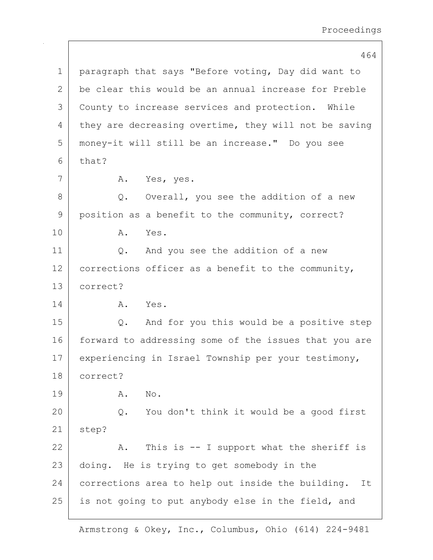464 1 | paragraph that says "Before voting, Day did want to 2 be clear this would be an annual increase for Preble 3 County to increase services and protection. While 4 they are decreasing overtime, they will not be saving 5 money-it will still be an increase." Do you see  $6$  that? 7 | A. Yes, yes. 8 Q. Overall, you see the addition of a new 9 position as a benefit to the community, correct? 10 A. Yes. 11 | Q. And you see the addition of a new  $12$  corrections officer as a benefit to the community, 13 correct? 14 A. Yes. 15 Q. And for you this would be a positive step 16 forward to addressing some of the issues that you are 17 experiencing in Israel Township per your testimony, 18 correct? 19 A. No. 20 Q. You don't think it would be a good first 21 step? 22  $\vert$  A. This is -- I support what the sheriff is 23 doing. He is trying to get somebody in the 24 corrections area to help out inside the building. It  $25$  is not going to put anybody else in the field, and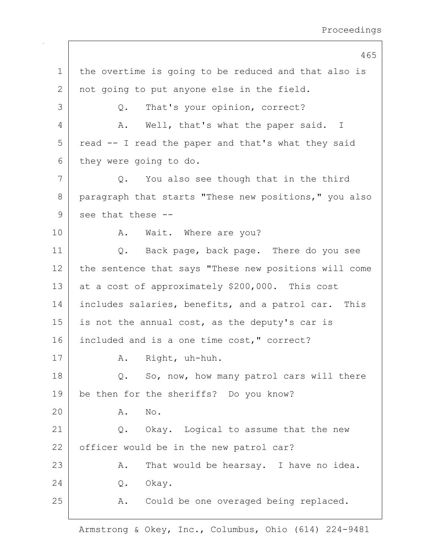465 1 | the overtime is going to be reduced and that also is 2 not going to put anyone else in the field. 3 Q. That's your opinion, correct? 4 A. Well, that's what the paper said. I  $5$  read  $-$  I read the paper and that's what they said 6 they were going to do.  $7$  Q. You also see though that in the third 8 paragraph that starts "These new positions," you also  $9$  see that these  $-$ 10 | R. Wait. Where are you? 11 | Q. Back page, back page. There do you see 12 the sentence that says "These new positions will come 13 at a cost of approximately  $$200,000$ . This cost 14 | includes salaries, benefits, and a patrol car. This  $15$  is not the annual cost, as the deputy's car is 16 included and is a one time cost," correct? 17 | A. Right, uh-huh. 18 Q. So, now, how many patrol cars will there 19 be then for the sheriffs? Do you know? 20 A. No. 21 Q. Okay. Logical to assume that the new 22 officer would be in the new patrol car? 23 | A. That would be hearsay. I have no idea. 24 0. Okay. 25 A. Could be one overaged being replaced.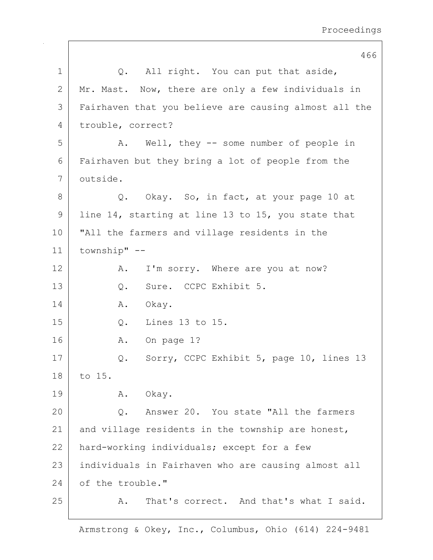|             | 466                                                   |
|-------------|-------------------------------------------------------|
| 1           | Q. All right. You can put that aside,                 |
| 2           | Mr. Mast. Now, there are only a few individuals in    |
| 3           | Fairhaven that you believe are causing almost all the |
| 4           | trouble, correct?                                     |
| 5           | Well, they -- some number of people in<br>Α.          |
| 6           | Fairhaven but they bring a lot of people from the     |
| 7           | outside.                                              |
| 8           | Q. Okay. So, in fact, at your page 10 at              |
| $\mathsf 9$ | line 14, starting at line 13 to 15, you state that    |
| 10          | "All the farmers and village residents in the         |
| 11          | township" --                                          |
| 12          | I'm sorry. Where are you at now?<br>Α.                |
| 13          | Sure. CCPC Exhibit 5.<br>Q.                           |
| 14          | Okay.<br>Α.                                           |
| 15          | $Q.$ Lines 13 to 15.                                  |
| 16          | On page 1?<br>Α.                                      |
| 17          | Sorry, CCPC Exhibit 5, page 10, lines 13<br>Q.        |
| 18          | to 15.                                                |
| 19          | A. Okay.                                              |
| 20          | Answer 20. You state "All the farmers<br>Q.           |
| 21          | and village residents in the township are honest,     |
| 22          | hard-working individuals; except for a few            |
| 23          | individuals in Fairhaven who are causing almost all   |
| 24          | of the trouble."                                      |
| 25          | That's correct. And that's what I said.<br>Α.         |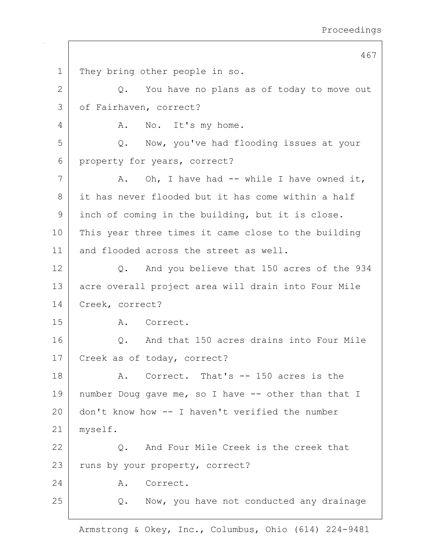467 1 They bring other people in so.  $2$   $\sqrt{Q}$ . You have no plans as of today to move out 3 | of Fairhaven, correct? 4 A. No. It's my home. 5 Q. Now, you've had flooding issues at your 6 property for years, correct?  $7$  | A. Oh, I have had -- while I have owned it, 8 it has never flooded but it has come within a half 9 inch of coming in the building, but it is close. 10 This year three times it came close to the building 11 and flooded across the street as well. 12 Q. And you believe that 150 acres of the 934 13 acre overall project area will drain into Four Mile 14 Creek, correct? 15 A. Correct. 16 | C. And that 150 acres drains into Four Mile 17 Creek as of today, correct? 18 A. Correct. That's -- 150 acres is the 19 number Doug gave me, so I have -- other than that I 20 don't know how -- I haven't verified the number 21 myself. 22 Q. And Four Mile Creek is the creek that 23 | runs by your property, correct? 24 A. Correct. 25 | Q. Now, you have not conducted any drainage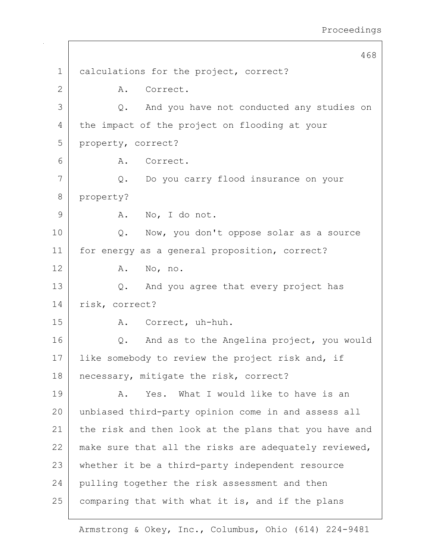468 1 calculations for the project, correct? 2 A. Correct. 3 Q. And you have not conducted any studies on 4 the impact of the project on flooding at your 5 property, correct? 6 A. Correct. 7 Q. Do you carry flood insurance on your 8 property? 9 A. No, I do not. 10 | Q. Now, you don't oppose solar as a source 11 | for energy as a general proposition, correct? 12 A. No, no. 13 Q. And you agree that every project has 14 risk, correct? 15 | R. Correct, uh-huh. 16 Q. And as to the Angelina project, you would 17 | like somebody to review the project risk and, if 18 | necessary, mitigate the risk, correct? 19 A. Yes. What I would like to have is an 20 unbiased third-party opinion come in and assess all 21 the risk and then look at the plans that you have and 22 | make sure that all the risks are adequately reviewed, 23 whether it be a third-party independent resource 24 pulling together the risk assessment and then  $25$  comparing that with what it is, and if the plans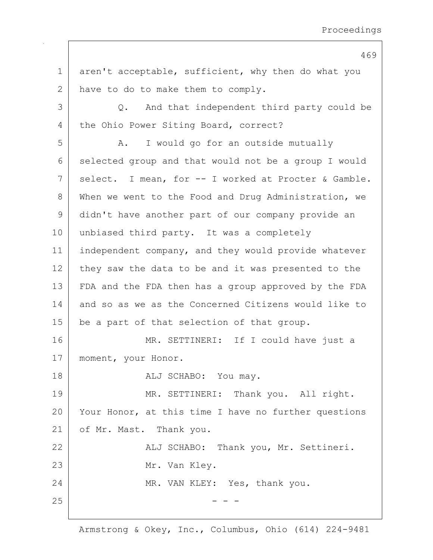1 aren't acceptable, sufficient, why then do what you 2 have to do to make them to comply. 3 Q. And that independent third party could be 4 the Ohio Power Siting Board, correct? 5 A. I would go for an outside mutually 6 selected group and that would not be a group I would 7 | select. I mean, for -- I worked at Procter & Gamble. 8 When we went to the Food and Drug Administration, we 9 didn't have another part of our company provide an 10 unbiased third party. It was a completely 11 | independent company, and they would provide whatever 12 they saw the data to be and it was presented to the 13 FDA and the FDA then has a group approved by the FDA 14 and so as we as the Concerned Citizens would like to 15 | be a part of that selection of that group. 16 MR. SETTINERI: If I could have just a 17 | moment, your Honor. 18 | REALU SCHABO: You may. 19 MR. SETTINERI: Thank you. All right. 20 Your Honor, at this time I have no further questions 21 of Mr. Mast. Thank you. 22 | Kalj SCHABO: Thank you, Mr. Settineri. 23 Mr. Van Kley. 24 MR. VAN KLEY: Yes, thank you.  $25$  - - -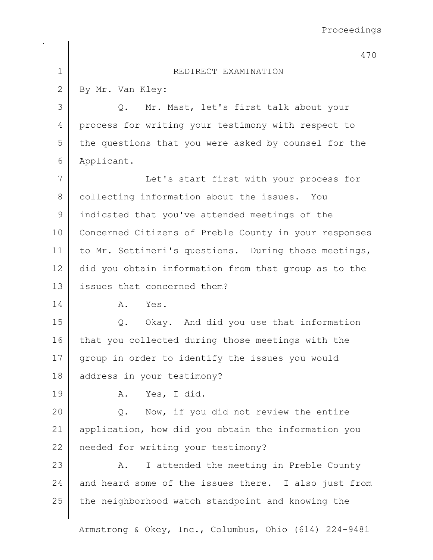|             | 470                                                   |
|-------------|-------------------------------------------------------|
| $\mathbf 1$ | REDIRECT EXAMINATION                                  |
| 2           | By Mr. Van Kley:                                      |
| 3           | Mr. Mast, let's first talk about your<br>Q.           |
| 4           | process for writing your testimony with respect to    |
| 5           | the questions that you were asked by counsel for the  |
| 6           | Applicant.                                            |
| 7           | Let's start first with your process for               |
| 8           | collecting information about the issues. You          |
| 9           | indicated that you've attended meetings of the        |
| 10          | Concerned Citizens of Preble County in your responses |
| 11          | to Mr. Settineri's questions. During those meetings,  |
| 12          | did you obtain information from that group as to the  |
| 13          | issues that concerned them?                           |
| 14          | Yes.<br>Α.                                            |
| 15          | Q. Okay. And did you use that information             |
| 16          | that you collected during those meetings with the     |
| 17          | group in order to identify the issues you would       |
| 18          | address in your testimony?                            |
| 19          | Yes, I did.<br>Α.                                     |
| 20          | Now, if you did not review the entire<br>Q.           |
| 21          | application, how did you obtain the information you   |
| 22          | needed for writing your testimony?                    |
| 23          | I attended the meeting in Preble County<br>Α.         |
| 24          | and heard some of the issues there. I also just from  |
| 25          | the neighborhood watch standpoint and knowing the     |
|             |                                                       |

 $\sqrt{ }$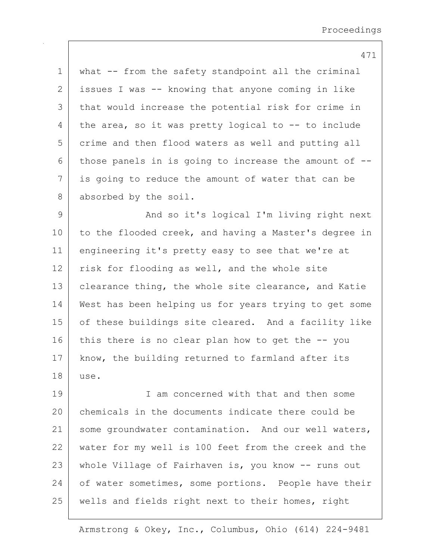1 | what -- from the safety standpoint all the criminal 2 issues I was -- knowing that anyone coming in like 3 that would increase the potential risk for crime in 4 the area, so it was pretty logical to -- to include 5 crime and then flood waters as well and putting all 6 those panels in is going to increase the amount of  $-$ -7 is going to reduce the amount of water that can be 8 absorbed by the soil.

9 | And so it's logical I'm living right next 10 to the flooded creek, and having a Master's degree in 11 engineering it's pretty easy to see that we're at 12 risk for flooding as well, and the whole site 13 | clearance thing, the whole site clearance, and Katie 14 West has been helping us for years trying to get some 15 | of these buildings site cleared. And a facility like  $16$  this there is no clear plan how to get the  $-$ - you 17 | know, the building returned to farmland after its 18 use.

19 I am concerned with that and then some 20 chemicals in the documents indicate there could be 21 | some groundwater contamination. And our well waters, 22 water for my well is 100 feet from the creek and the 23 | whole Village of Fairhaven is, you know -- runs out 24 of water sometimes, some portions. People have their 25 | wells and fields right next to their homes, right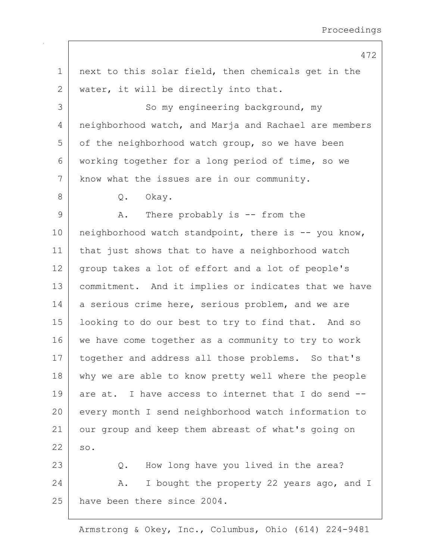1 | next to this solar field, then chemicals get in the 2 | water, it will be directly into that. 3 So my engineering background, my 4 | neighborhood watch, and Marja and Rachael are members  $5$  of the neighborhood watch group, so we have been 6 working together for a long period of time, so we 7 | know what the issues are in our community. 8 Q. Okay. 9 A. There probably is -- from the 10 | neighborhood watch standpoint, there is -- you know, 11 | that just shows that to have a neighborhood watch 12 group takes a lot of effort and a lot of people's 13 commitment. And it implies or indicates that we have 14 a serious crime here, serious problem, and we are 15 looking to do our best to try to find that. And so 16 we have come together as a community to try to work 17 | together and address all those problems. So that's 18 | why we are able to know pretty well where the people  $19$  are at. I have access to internet that I do send  $-$ -20 every month I send neighborhood watch information to 21 our group and keep them abreast of what's going on  $22$  so. 23 Q. How long have you lived in the area? 24 A. I bought the property 22 years ago, and I 25 have been there since 2004.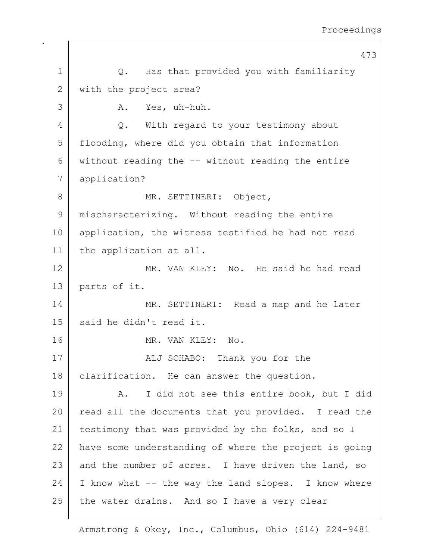473 1 | Q. Has that provided you with familiarity 2 with the project area? 3 A. Yes, uh-huh. 4 Q. With regard to your testimony about 5 flooding, where did you obtain that information  $6$  without reading the  $-$ - without reading the entire 7 application? 8 MR. SETTINERI: Object, 9 mischaracterizing. Without reading the entire 10 | application, the witness testified he had not read 11 the application at all. 12 MR. VAN KLEY: No. He said he had read 13 parts of it. 14 MR. SETTINERI: Read a map and he later 15 said he didn't read it. 16 MR. VAN KLEY: No. 17 | ALJ SCHABO: Thank you for the 18 | clarification. He can answer the question. 19 | A. I did not see this entire book, but I did 20 read all the documents that you provided. I read the 21 | testimony that was provided by the folks, and so I 22 have some understanding of where the project is going 23 and the number of acres. I have driven the land, so  $24$  I know what  $-$  the way the land slopes. I know where  $25$  the water drains. And so I have a very clear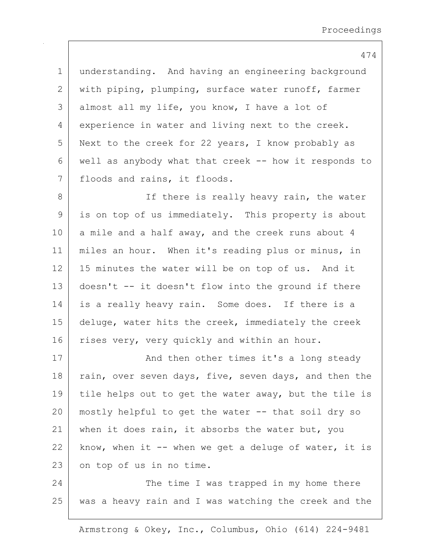474 1 understanding. And having an engineering background 2 with piping, plumping, surface water runoff, farmer 3 almost all my life, you know, I have a lot of 4 experience in water and living next to the creek. 5 Next to the creek for 22 years, I know probably as 6 well as anybody what that creek -- how it responds to 7 | floods and rains, it floods. 8 | There is really heavy rain, the water 9 is on top of us immediately. This property is about  $10$  a mile and a half away, and the creek runs about 4 11 | miles an hour. When it's reading plus or minus, in 12 | 15 minutes the water will be on top of us. And it 13 doesn't -- it doesn't flow into the ground if there 14 is a really heavy rain. Some does. If there is a 15 deluge, water hits the creek, immediately the creek 16 rises very, very quickly and within an hour. 17 | And then other times it's a long steady 18 rain, over seven days, five, seven days, and then the 19 tile helps out to get the water away, but the tile is  $20$  mostly helpful to get the water  $-$  that soil dry so 21 when it does rain, it absorbs the water but, you  $22$  know, when it -- when we get a deluge of water, it is

23 on top of us in no time.

24 The time I was trapped in my home there 25 was a heavy rain and I was watching the creek and the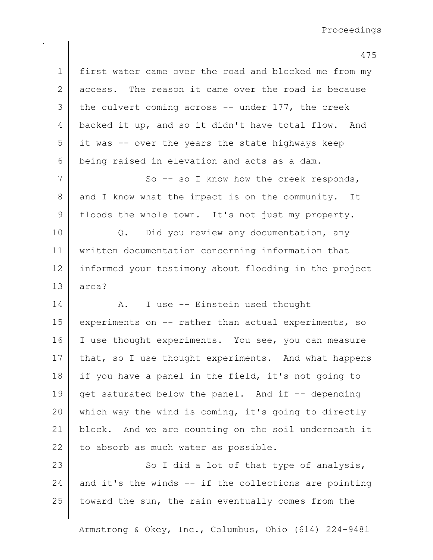|              | 475                                                   |
|--------------|-------------------------------------------------------|
| $\mathbf 1$  | first water came over the road and blocked me from my |
| $\mathbf{2}$ | access. The reason it came over the road is because   |
| 3            | the culvert coming across $-$ under 177, the creek    |
| 4            | backed it up, and so it didn't have total flow. And   |
| 5            | it was -- over the years the state highways keep      |
| 6            | being raised in elevation and acts as a dam.          |
| 7            | So $-$ so I know how the creek responds,              |
| 8            | and I know what the impact is on the community. It    |
| $\mathsf 9$  | floods the whole town. It's not just my property.     |
| 10           | Q. Did you review any documentation, any              |
| 11           | written documentation concerning information that     |
| 12           | informed your testimony about flooding in the project |
| 13           | area?                                                 |
| 14           | I use -- Einstein used thought<br>Α.                  |
| 15           | experiments on -- rather than actual experiments, so  |
| 16           | I use thought experiments. You see, you can measure   |
| 17           | that, so I use thought experiments. And what happens  |
| 18           | if you have a panel in the field, it's not going to   |
| 19           | get saturated below the panel. And if -- depending    |
| 20           | which way the wind is coming, it's going to directly  |
| 21           | block. And we are counting on the soil underneath it  |
| 22           | to absorb as much water as possible.                  |
| 23           | So I did a lot of that type of analysis,              |
| 24           | and it's the winds -- if the collections are pointing |
| 25           | toward the sun, the rain eventually comes from the    |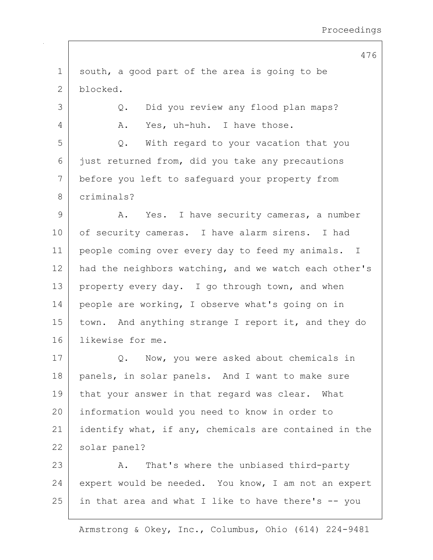1 south, a good part of the area is going to be 2 blocked. 3 Q. Did you review any flood plan maps? 4 A. Yes, uh-huh. I have those. 5 Q. With regard to your vacation that you  $6$  just returned from, did you take any precautions 7 before you left to safeguard your property from 8 criminals? 9 A. Yes. I have security cameras, a number 10 | of security cameras. I have alarm sirens. I had 11 | people coming over every day to feed my animals. I 12 had the neighbors watching, and we watch each other's 13 property every day. I go through town, and when 14 | people are working, I observe what's going on in 15 | town. And anything strange I report it, and they do 16 likewise for me. 17 | Q. Now, you were asked about chemicals in 18 | panels, in solar panels. And I want to make sure 19 | that your answer in that regard was clear. What 20 information would you need to know in order to 21 identify what, if any, chemicals are contained in the 22 | solar panel? 23 A. That's where the unbiased third-party 24 expert would be needed. You know, I am not an expert  $25$  in that area and what I like to have there's  $-$  you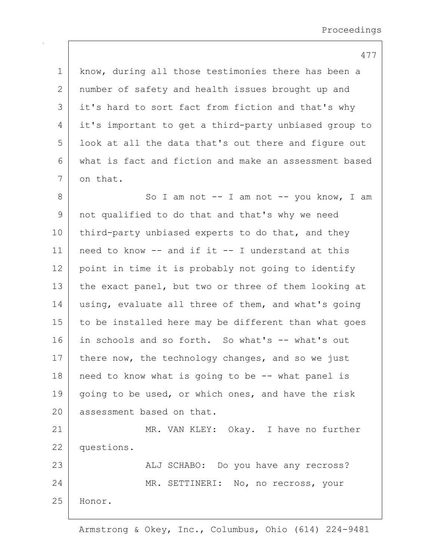1 know, during all those testimonies there has been a 2 | number of safety and health issues brought up and 3 it's hard to sort fact from fiction and that's why 4 it's important to get a third-party unbiased group to 5 | look at all the data that's out there and figure out 6 what is fact and fiction and make an assessment based 7 on that. 8 | So I am not -- I am not -- you know, I am 9 | not qualified to do that and that's why we need 10 third-party unbiased experts to do that, and they 11 | need to know  $--$  and if it  $--$  I understand at this 12 point in time it is probably not going to identify 13 the exact panel, but two or three of them looking at 14 using, evaluate all three of them, and what's going 15 | to be installed here may be different than what goes 16 in schools and so forth. So what's -- what's out 17 there now, the technology changes, and so we just  $18$  need to know what is going to be  $-$  what panel is 19 | going to be used, or which ones, and have the risk 20 assessment based on that. 21 MR. VAN KLEY: Okay. I have no further 22 questions. 23 | ALJ SCHABO: Do you have any recross? 24 MR. SETTINERI: No, no recross, your

25 Honor.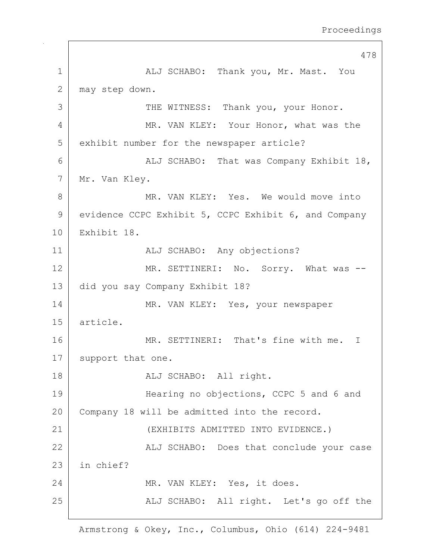478 1 ALJ SCHABO: Thank you, Mr. Mast. You 2 may step down. 3 THE WITNESS: Thank you, your Honor. 4 MR. VAN KLEY: Your Honor, what was the 5 exhibit number for the newspaper article? 6 ALJ SCHABO: That was Company Exhibit 18, 7 | Mr. Van Kley. 8 MR. VAN KLEY: Yes. We would move into 9 evidence CCPC Exhibit 5, CCPC Exhibit 6, and Company 10 Exhibit 18. 11 | ALJ SCHABO: Any objections? 12 MR. SETTINERI: No. Sorry. What was --13 did you say Company Exhibit 18? 14 MR. VAN KLEY: Yes, your newspaper 15 article. 16 MR. SETTINERI: That's fine with me. I 17 support that one. 18 | REALU SCHABO: All right. 19 Hearing no objections, CCPC 5 and 6 and 20 Company 18 will be admitted into the record. 21 (EXHIBITS ADMITTED INTO EVIDENCE.) 22 | ALJ SCHABO: Does that conclude your case 23 in chief? 24 MR. VAN KLEY: Yes, it does. 25 | ALJ SCHABO: All right. Let's go off the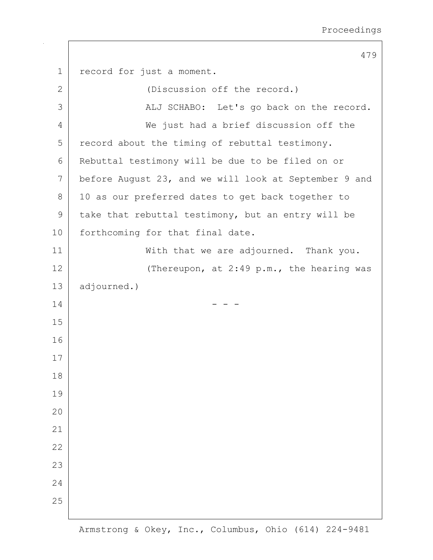|             | 479                                                   |
|-------------|-------------------------------------------------------|
| $\mathbf 1$ | record for just a moment.                             |
| 2           | (Discussion off the record.)                          |
| 3           | ALJ SCHABO: Let's go back on the record.              |
| 4           | We just had a brief discussion off the                |
| 5           | record about the timing of rebuttal testimony.        |
| 6           | Rebuttal testimony will be due to be filed on or      |
| 7           | before August 23, and we will look at September 9 and |
| 8           | 10 as our preferred dates to get back together to     |
| 9           | take that rebuttal testimony, but an entry will be    |
| 10          | forthcoming for that final date.                      |
| 11          | With that we are adjourned. Thank you.                |
| 12          | (Thereupon, at 2:49 p.m., the hearing was             |
| 13          | adjourned.)                                           |
| 14          |                                                       |
| 15          |                                                       |
| 16          |                                                       |
| 17          |                                                       |
| 18          |                                                       |
| 19          |                                                       |
| 20          |                                                       |
| 21          |                                                       |
| 22          |                                                       |
| 23          |                                                       |
| 24          |                                                       |
| 25          |                                                       |
|             |                                                       |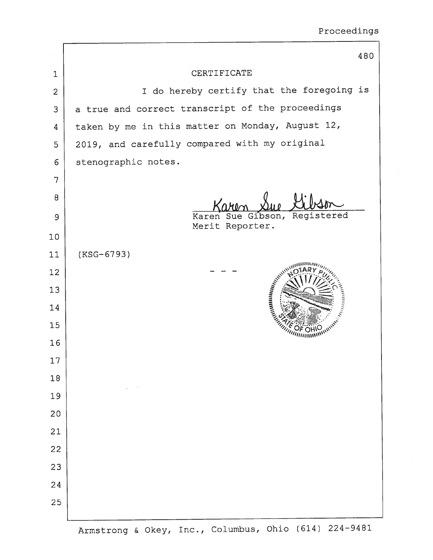|                |                                                  | 480 |
|----------------|--------------------------------------------------|-----|
| 1              | CERTIFICATE                                      |     |
| $\overline{2}$ | I do hereby certify that the foregoing is        |     |
| 3              | a true and correct transcript of the proceedings |     |
| 4              | taken by me in this matter on Monday, August 12, |     |
| 5              | 2019, and carefully compared with my original    |     |
| 6              | stenographic notes.                              |     |
| 7              |                                                  |     |
| 8              |                                                  |     |
| 9              | Registered<br>Karen Sue<br>Gibson,               |     |
| 10             | Merit Reporter.                                  |     |
| 11             | (KSG-6793)                                       |     |
| 12             |                                                  |     |
| 13             | AN MINIMARATE                                    |     |
| 14             | Indiana Manusia                                  |     |
| 15             |                                                  |     |
| 16             |                                                  |     |
| 17             |                                                  |     |
| 18             |                                                  |     |
| 19             |                                                  |     |
| 20             |                                                  |     |
| 21             |                                                  |     |
| 22             |                                                  |     |
| 23             |                                                  |     |
| 24             |                                                  |     |
| 25             |                                                  |     |
|                |                                                  |     |